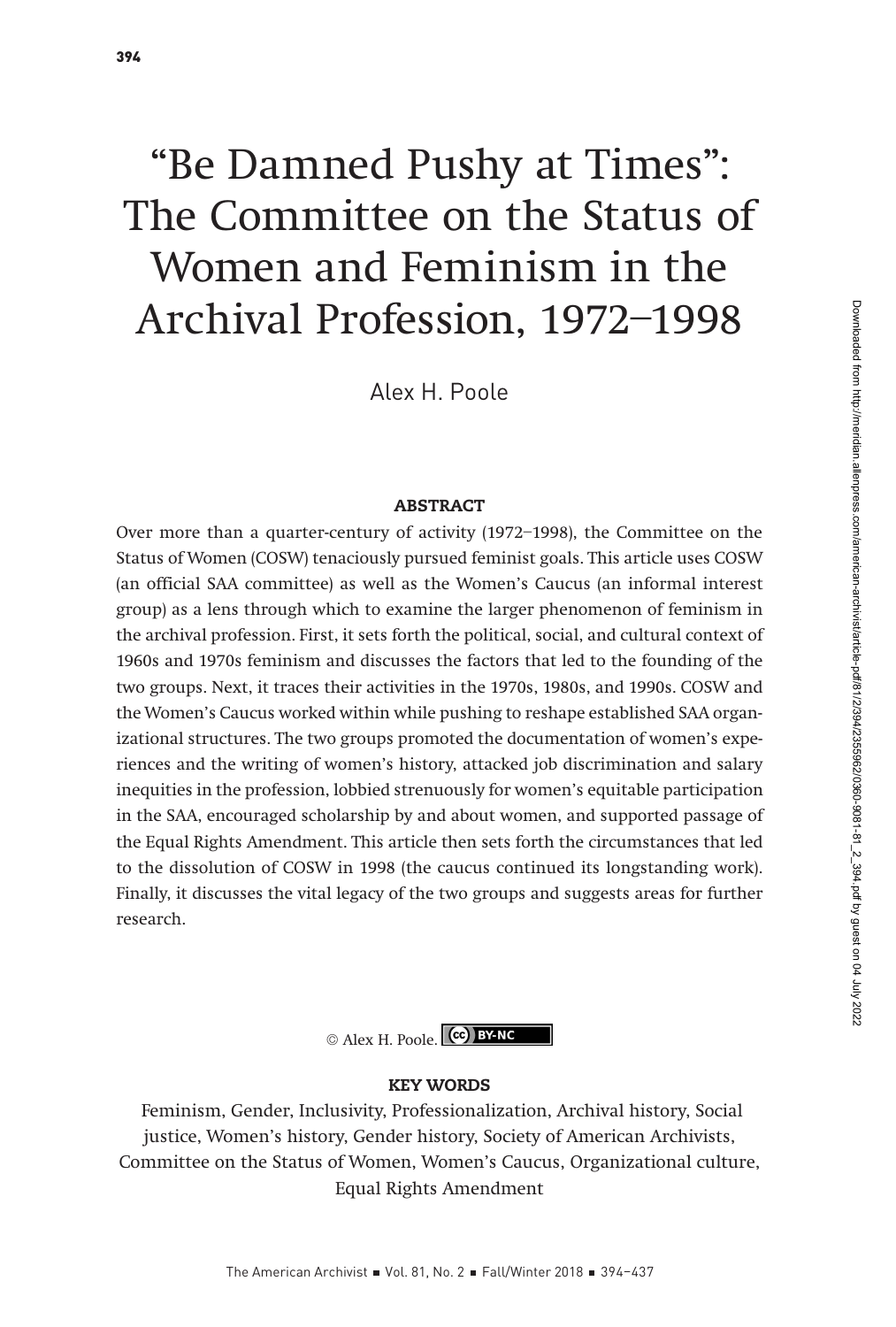# "Be Damned Pushy at Times": The Committee on the Status of Women and Feminism in the Archival Profession, 1972–1998

Alex H. Poole

#### ABSTRACT

Over more than a quarter-century of activity (1972–1998), the Committee on the Status of Women (COSW) tenaciously pursued feminist goals. This article uses COSW (an official SAA committee) as well as the Women's Caucus (an informal interest group) as a lens through which to examine the larger phenomenon of feminism in the archival profession. First, it sets forth the political, social, and cultural context of 1960s and 1970s feminism and discusses the factors that led to the founding of the two groups. Next, it traces their activities in the 1970s, 1980s, and 1990s. COSW and the Women's Caucus worked within while pushing to reshape established SAA organizational structures. The two groups promoted the documentation of women's experiences and the writing of women's history, attacked job discrimination and salary inequities in the profession, lobbied strenuously for women's equitable participation in the SAA, encouraged scholarship by and about women, and supported passage of the Equal Rights Amendment. This article then sets forth the circumstances that led to the dissolution of COSW in 1998 (the caucus continued its longstanding work). Finally, it discusses the vital legacy of the two groups and suggests areas for further research.



#### KEY WORDS

 Feminism, Gender, Inclusivity, Professionalization, Archival history, Social justice, Women's history, Gender history, Society of American Archivists, Committee on the Status of Women, Women's Caucus, Organizational culture, Equal Rights Amendment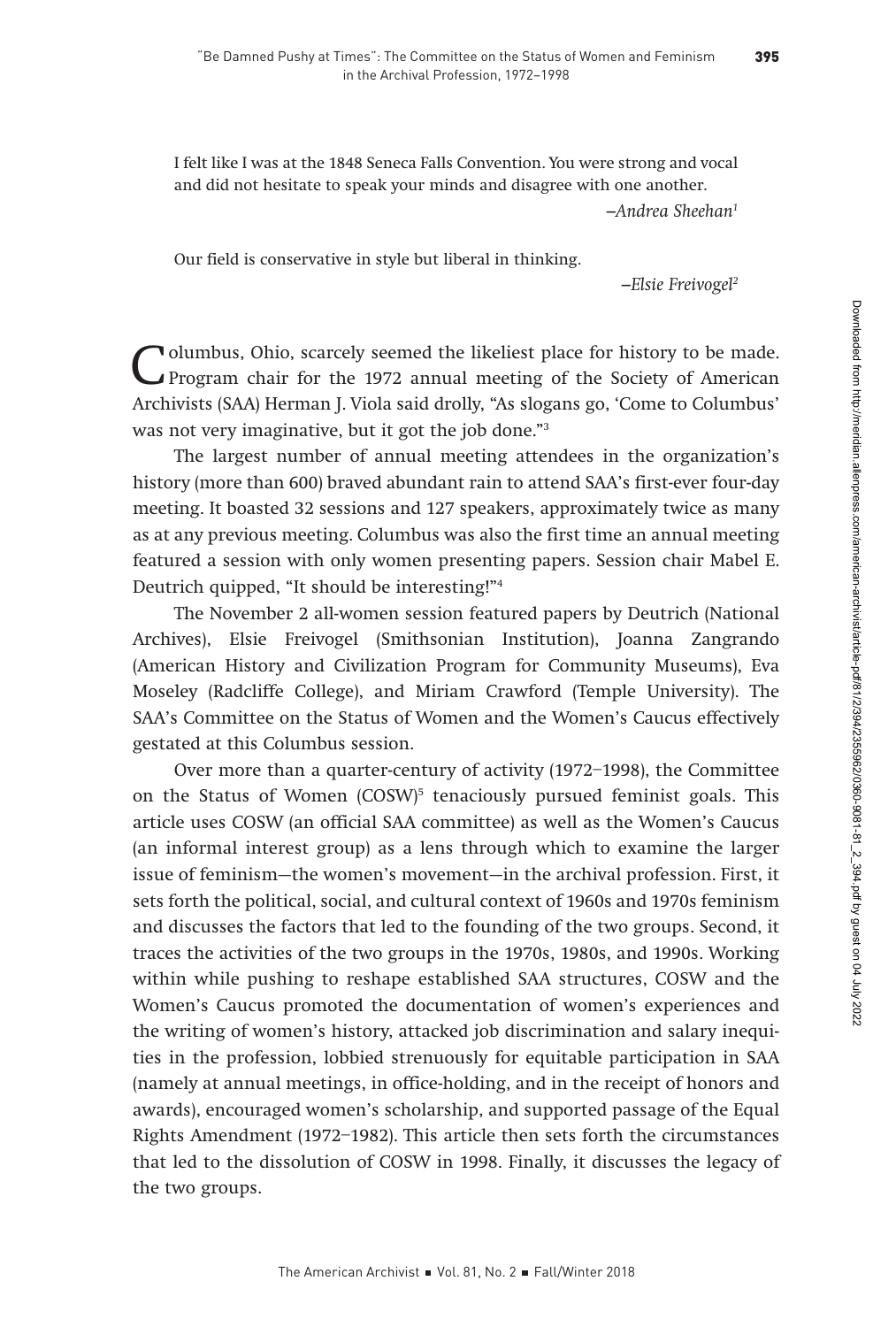I felt like I was at the 1848 Seneca Falls Convention. You were strong and vocal and did not hesitate to speak your minds and disagree with one another.  $-$ Andrea Sheehan $^1$ 

Our field is conservative in style but liberal in thinking.

–Elsie Freivogel2

Columbus, Ohio, scarcely seemed the likeliest place for history to be made.<br>
Program chair for the 1972 annual meeting of the Society of American<br>
Archivista (SAA) Harmon J Viele said drally "As alarma as 'Came to Columbus Archivists (SAA) Herman J. Viola said drolly, "As slogans go, 'Come to Columbus' was not very imaginative, but it got the job done."3

The largest number of annual meeting attendees in the organization's history (more than 600) braved abundant rain to attend SAA's first-ever four-day meeting. It boasted 32 sessions and 127 speakers, approximately twice as many as at any previous meeting. Columbus was also the first time an annual meeting featured a session with only women presenting papers. Session chair Mabel E. Deutrich quipped, "It should be interesting!"4

The November 2 all-women session featured papers by Deutrich (National Archives), Elsie Freivogel (Smithsonian Institution), Joanna Zangrando (American History and Civilization Program for Community Museums), Eva Moseley (Radcliffe College), and Miriam Crawford (Temple University). The SAA's Committee on the Status of Women and the Women's Caucus effectively gestated at this Columbus session.

Over more than a quarter-century of activity (1972–1998), the Committee on the Status of Women (COSW)<sup>5</sup> tenaciously pursued feminist goals. This article uses COSW (an official SAA committee) as well as the Women's Caucus (an informal interest group) as a lens through which to examine the larger issue of feminism—the women's movement—in the archival profession. First, it sets forth the political, social, and cultural context of 1960s and 1970s feminism and discusses the factors that led to the founding of the two groups. Second, it traces the activities of the two groups in the 1970s, 1980s, and 1990s. Working within while pushing to reshape established SAA structures, COSW and the Women's Caucus promoted the documentation of women's experiences and the writing of women's history, attacked job discrimination and salary inequities in the profession, lobbied strenuously for equitable participation in SAA (namely at annual meetings, in office-holding, and in the receipt of honors and awards), encouraged women's scholarship, and supported passage of the Equal Rights Amendment (1972–1982). This article then sets forth the circumstances that led to the dissolution of COSW in 1998. Finally, it discusses the legacy of the two groups.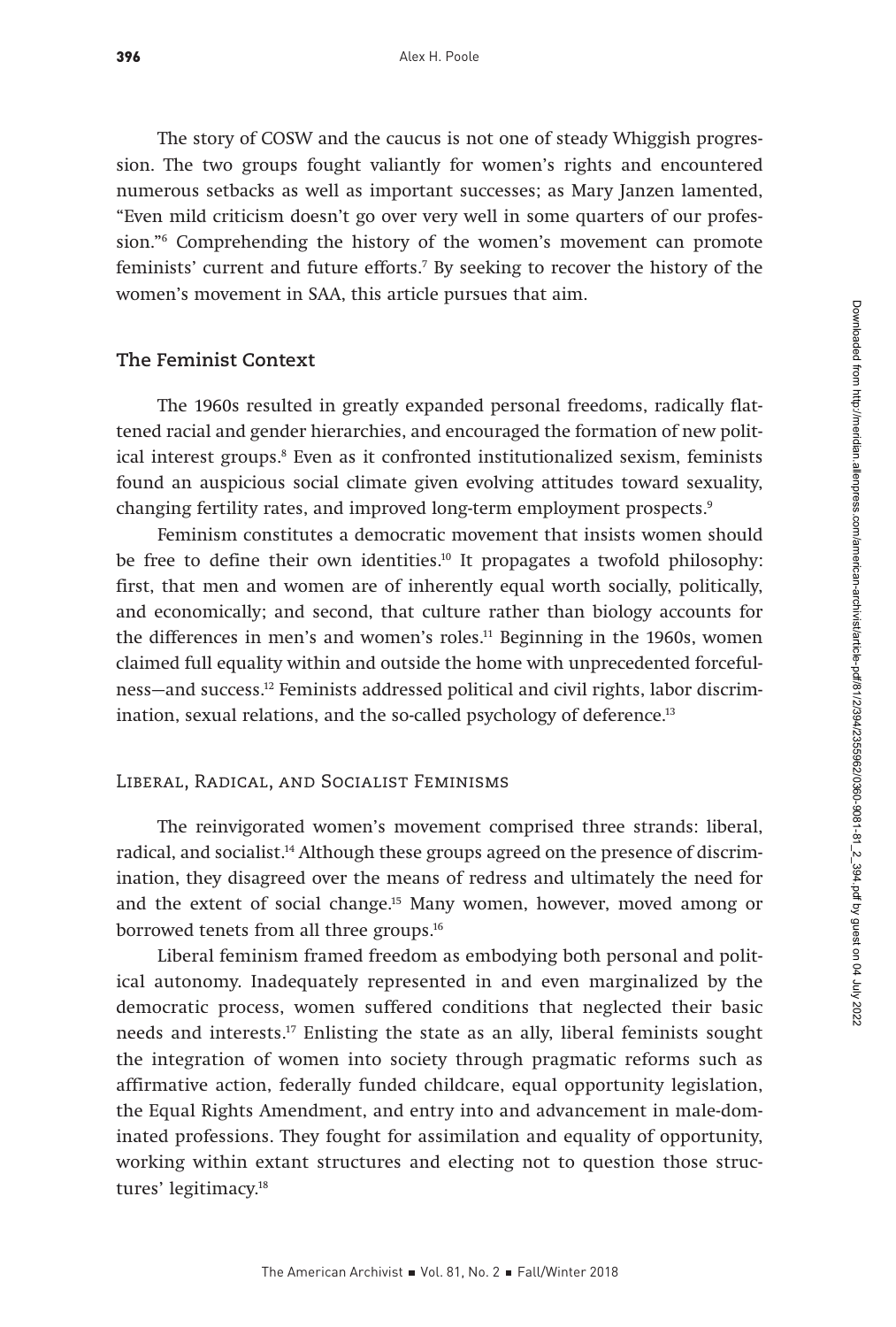The story of COSW and the caucus is not one of steady Whiggish progression. The two groups fought valiantly for women's rights and encountered numerous setbacks as well as important successes; as Mary Janzen lamented, "Even mild criticism doesn't go over very well in some quarters of our profession."6 Comprehending the history of the women's movement can promote feminists' current and future efforts.7 By seeking to recover the history of the women's movement in SAA, this article pursues that aim.

#### **The Feminist Context**

The 1960s resulted in greatly expanded personal freedoms, radically flattened racial and gender hierarchies, and encouraged the formation of new political interest groups.8 Even as it confronted institutionalized sexism, feminists found an auspicious social climate given evolving attitudes toward sexuality, changing fertility rates, and improved long-term employment prospects.<sup>9</sup>

Feminism constitutes a democratic movement that insists women should be free to define their own identities.<sup>10</sup> It propagates a twofold philosophy: first, that men and women are of inherently equal worth socially, politically, and economically; and second, that culture rather than biology accounts for the differences in men's and women's roles.11 Beginning in the 1960s, women claimed full equality within and outside the home with unprecedented forcefulness—and success.12 Feminists addressed political and civil rights, labor discrimination, sexual relations, and the so-called psychology of deference.<sup>13</sup>

#### Liberal, Radical, and Socialist Feminisms

The reinvigorated women's movement comprised three strands: liberal, radical, and socialist.<sup>14</sup> Although these groups agreed on the presence of discrimination, they disagreed over the means of redress and ultimately the need for and the extent of social change.15 Many women, however, moved among or borrowed tenets from all three groups.<sup>16</sup>

Liberal feminism framed freedom as embodying both personal and political autonomy. Inadequately represented in and even marginalized by the democratic process, women suffered conditions that neglected their basic needs and interests.17 Enlisting the state as an ally, liberal feminists sought the integration of women into society through pragmatic reforms such as affirmative action, federally funded childcare, equal opportunity legislation, the Equal Rights Amendment, and entry into and advancement in male-dominated professions. They fought for assimilation and equality of opportunity, working within extant structures and electing not to question those structures' legitimacy.18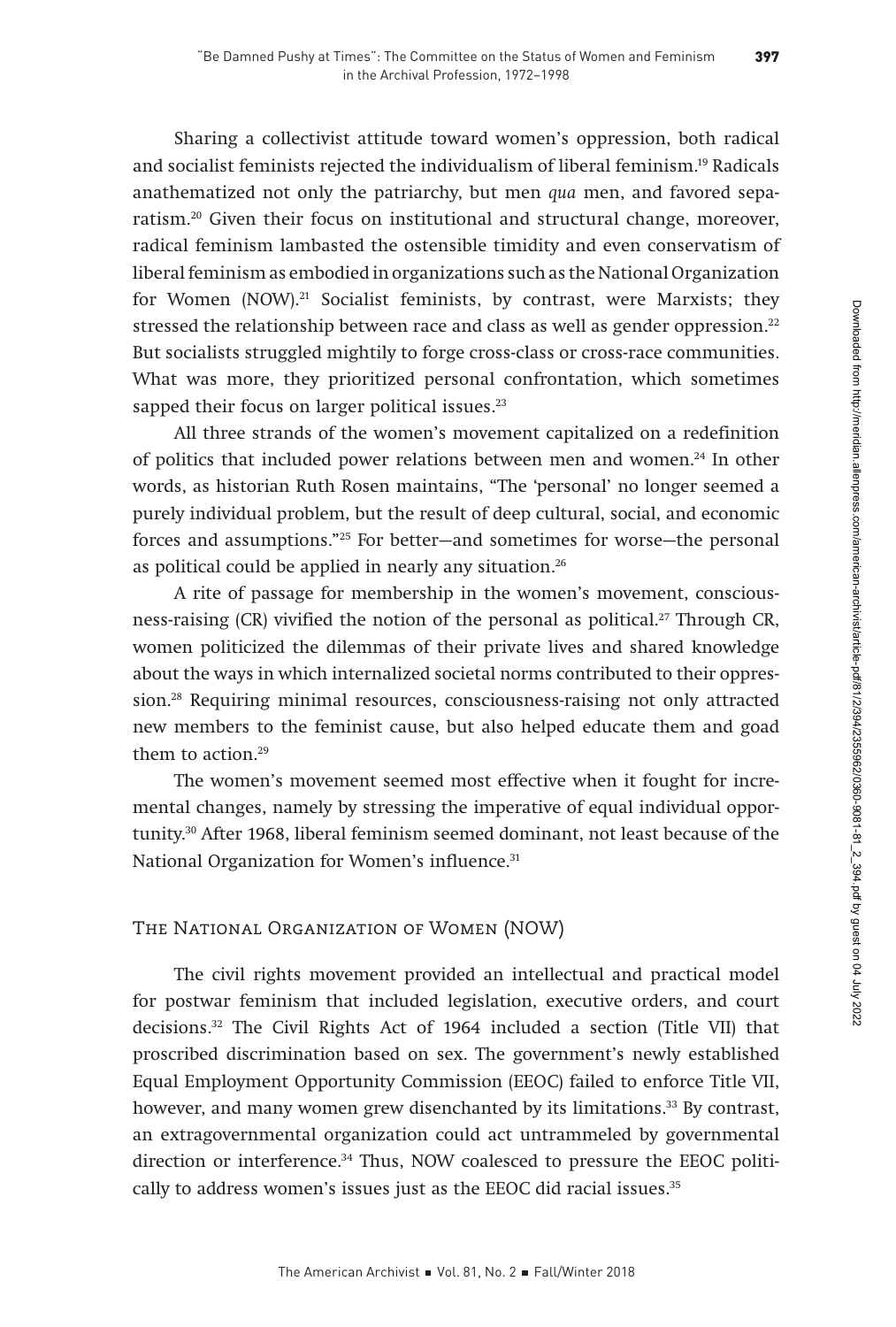Sharing a collectivist attitude toward women's oppression, both radical and socialist feminists rejected the individualism of liberal feminism.19 Radicals anathematized not only the patriarchy, but men qua men, and favored separatism.20 Given their focus on institutional and structural change, moreover, radical feminism lambasted the ostensible timidity and even conservatism of liberal feminism as embodied in organizations such as the National Organization for Women (NOW).<sup>21</sup> Socialist feminists, by contrast, were Marxists; they stressed the relationship between race and class as well as gender oppression.<sup>22</sup> But socialists struggled mightily to forge cross-class or cross-race communities. What was more, they prioritized personal confrontation, which sometimes sapped their focus on larger political issues.<sup>23</sup>

All three strands of the women's movement capitalized on a redefinition of politics that included power relations between men and women.24 In other words, as historian Ruth Rosen maintains, "The 'personal' no longer seemed a purely individual problem, but the result of deep cultural, social, and economic forces and assumptions."25 For better—and sometimes for worse—the personal as political could be applied in nearly any situation.<sup>26</sup>

A rite of passage for membership in the women's movement, consciousness-raising (CR) vivified the notion of the personal as political.27 Through CR, women politicized the dilemmas of their private lives and shared knowledge about the ways in which internalized societal norms contributed to their oppression.28 Requiring minimal resources, consciousness-raising not only attracted new members to the feminist cause, but also helped educate them and goad them to action.<sup>29</sup>

The women's movement seemed most effective when it fought for incremental changes, namely by stressing the imperative of equal individual opportunity.30 After 1968, liberal feminism seemed dominant, not least because of the National Organization for Women's influence.<sup>31</sup>

# The National Organization of Women (NOW)

The civil rights movement provided an intellectual and practical model for postwar feminism that included legislation, executive orders, and court decisions.32 The Civil Rights Act of 1964 included a section (Title VII) that proscribed discrimination based on sex. The government's newly established Equal Employment Opportunity Commission (EEOC) failed to enforce Title VII, however, and many women grew disenchanted by its limitations.<sup>33</sup> By contrast, an extragovernmental organization could act untrammeled by governmental direction or interference.34 Thus, NOW coalesced to pressure the EEOC politically to address women's issues just as the EEOC did racial issues.<sup>35</sup>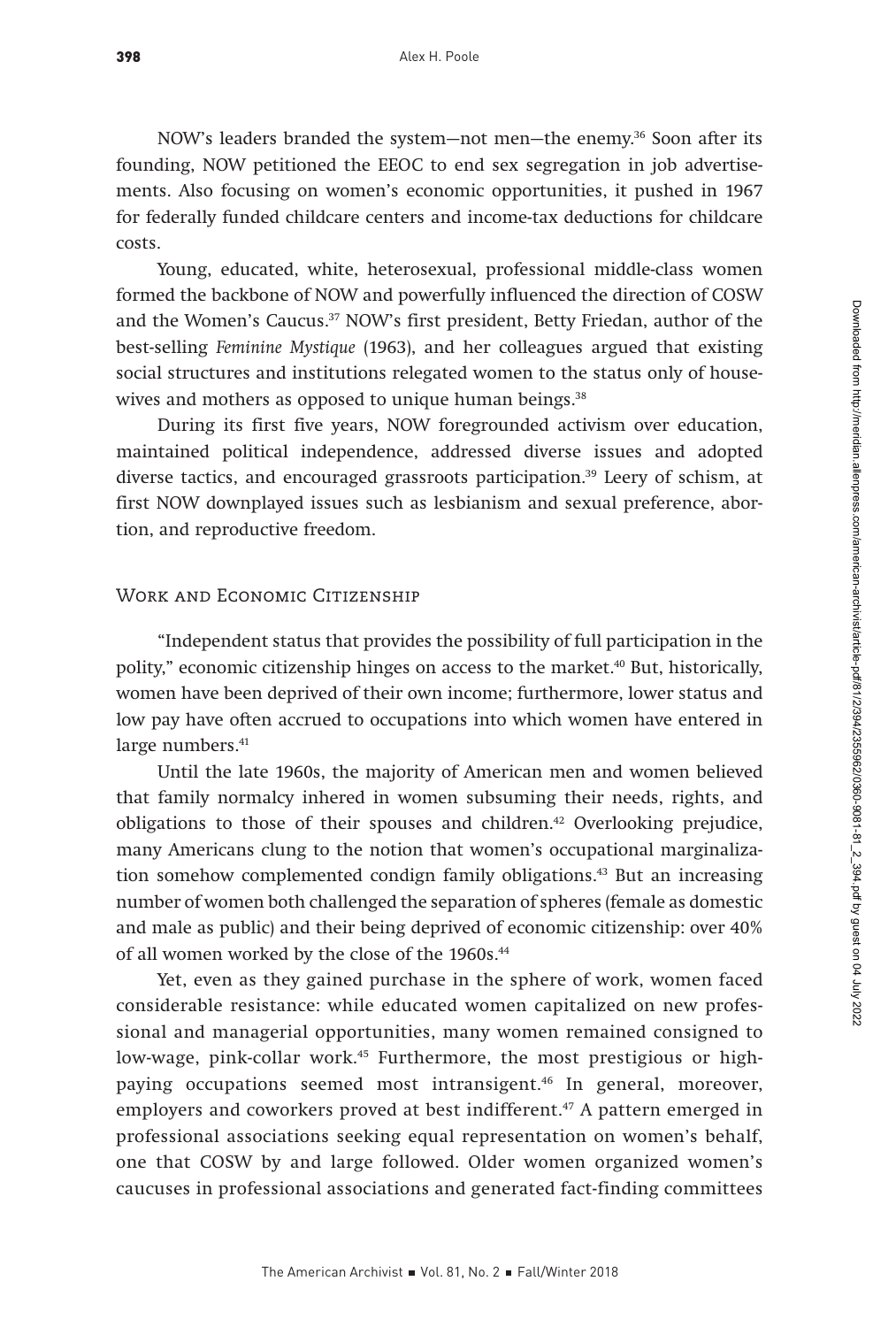NOW's leaders branded the system—not men—the enemy.<sup>36</sup> Soon after its founding, NOW petitioned the EEOC to end sex segregation in job advertisements. Also focusing on women's economic opportunities, it pushed in 1967 for federally funded childcare centers and income-tax deductions for childcare costs.

Young, educated, white, heterosexual, professional middle-class women formed the backbone of NOW and powerfully influenced the direction of COSW and the Women's Caucus.37 NOW's first president, Betty Friedan, author of the best-selling Feminine Mystique (1963), and her colleagues argued that existing social structures and institutions relegated women to the status only of housewives and mothers as opposed to unique human beings.<sup>38</sup>

During its first five years, NOW foregrounded activism over education, maintained political independence, addressed diverse issues and adopted diverse tactics, and encouraged grassroots participation.39 Leery of schism, at first NOW downplayed issues such as lesbianism and sexual preference, abortion, and reproductive freedom.

#### WORK AND ECONOMIC CITIZENSHIP

"Independent status that provides the possibility of full participation in the polity," economic citizenship hinges on access to the market.40 But, historically, women have been deprived of their own income; furthermore, lower status and low pay have often accrued to occupations into which women have entered in large numbers.<sup>41</sup>

Until the late 1960s, the majority of American men and women believed that family normalcy inhered in women subsuming their needs, rights, and obligations to those of their spouses and children.<sup>42</sup> Overlooking prejudice, many Americans clung to the notion that women's occupational marginalization somehow complemented condign family obligations.<sup>43</sup> But an increasing number of women both challenged the separation of spheres (female as domestic and male as public) and their being deprived of economic citizenship: over 40% of all women worked by the close of the 1960s.<sup>44</sup>

Yet, even as they gained purchase in the sphere of work, women faced considerable resistance: while educated women capitalized on new professional and managerial opportunities, many women remained consigned to low-wage, pink-collar work.<sup>45</sup> Furthermore, the most prestigious or highpaying occupations seemed most intransigent.<sup>46</sup> In general, moreover, employers and coworkers proved at best indifferent.<sup>47</sup> A pattern emerged in professional associations seeking equal representation on women's behalf, one that COSW by and large followed. Older women organized women's caucuses in professional associations and generated fact-finding committees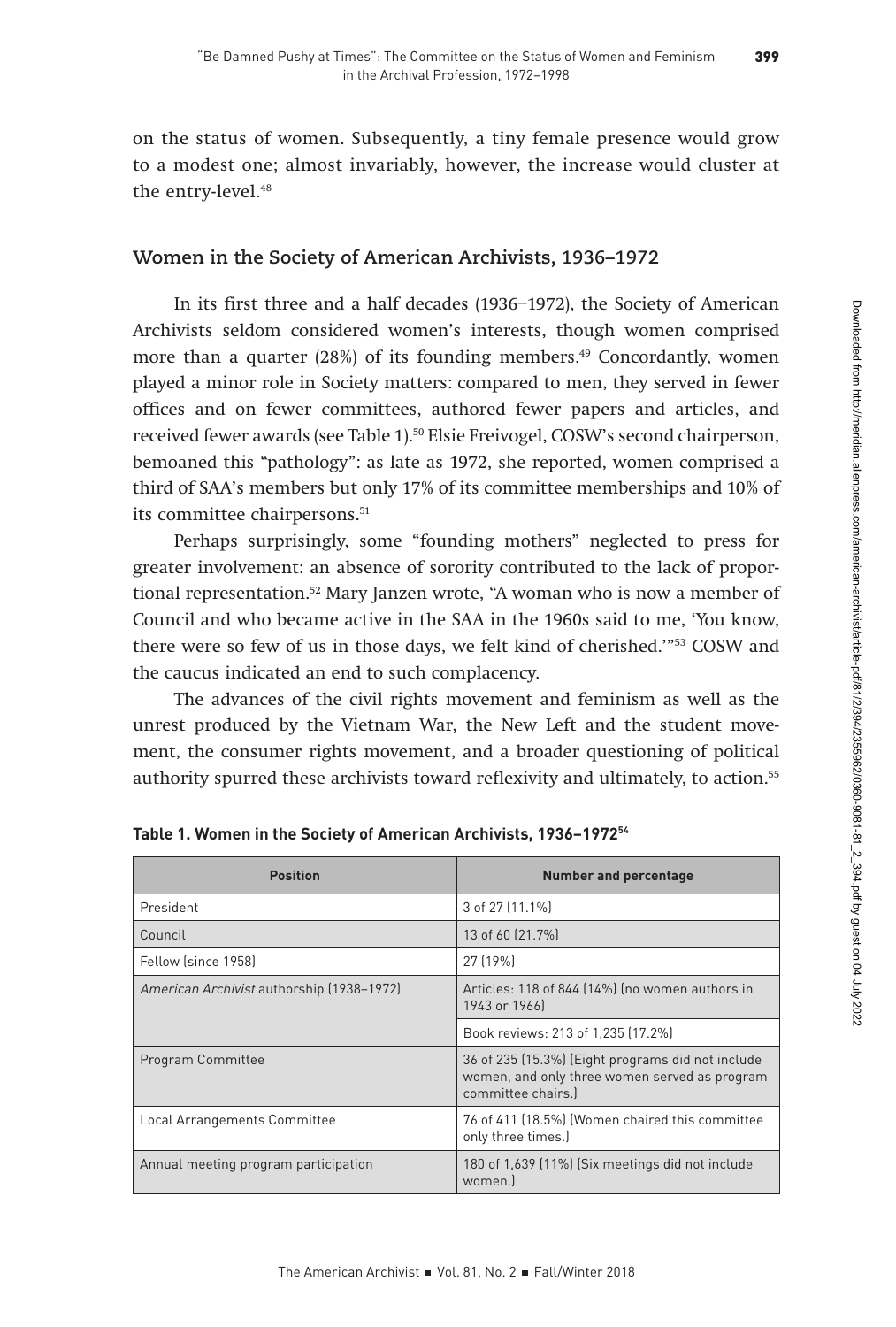on the status of women. Subsequently, a tiny female presence would grow to a modest one; almost invariably, however, the increase would cluster at the entry-level.<sup>48</sup>

# **Women in the Society of American Archivists, 1936–1972**

In its first three and a half decades (1936–1972), the Society of American Archivists seldom considered women's interests, though women comprised more than a quarter (28%) of its founding members.<sup>49</sup> Concordantly, women played a minor role in Society matters: compared to men, they served in fewer offices and on fewer committees, authored fewer papers and articles, and received fewer awards (see Table 1).50 Elsie Freivogel, COSW's second chairperson, bemoaned this "pathology": as late as 1972, she reported, women comprised a third of SAA's members but only 17% of its committee memberships and 10% of its committee chairpersons.<sup>51</sup>

Perhaps surprisingly, some "founding mothers" neglected to press for greater involvement: an absence of sorority contributed to the lack of proportional representation.<sup>52</sup> Mary Janzen wrote, "A woman who is now a member of Council and who became active in the SAA in the 1960s said to me, 'You know, there were so few of us in those days, we felt kind of cherished.'"53 COSW and the caucus indicated an end to such complacency.

The advances of the civil rights movement and feminism as well as the unrest produced by the Vietnam War, the New Left and the student movement, the consumer rights movement, and a broader questioning of political authority spurred these archivists toward reflexivity and ultimately, to action.55

| <b>Position</b>                           | <b>Number and percentage</b>                                                                                             |  |
|-------------------------------------------|--------------------------------------------------------------------------------------------------------------------------|--|
| President                                 | 3 of 27 [11.1%]                                                                                                          |  |
| Council                                   | 13 of 60 (21.7%)                                                                                                         |  |
| Fellow (since 1958)                       | 27 (19%)                                                                                                                 |  |
| American Archivist authorship (1938-1972) | Articles: 118 of 844 (14%) (no women authors in<br>1943 or 1966]                                                         |  |
|                                           | Book reviews: 213 of 1,235 (17.2%)                                                                                       |  |
| Program Committee                         | 36 of 235 (15.3%) (Eight programs did not include<br>women, and only three women served as program<br>committee chairs.) |  |
| Local Arrangements Committee              | 76 of 411 (18.5%) (Women chaired this committee<br>only three times.)                                                    |  |
| Annual meeting program participation      | 180 of 1,639 (11%) (Six meetings did not include<br>women.                                                               |  |

**Table 1. Women in the Society of American Archivists, 1936–197254**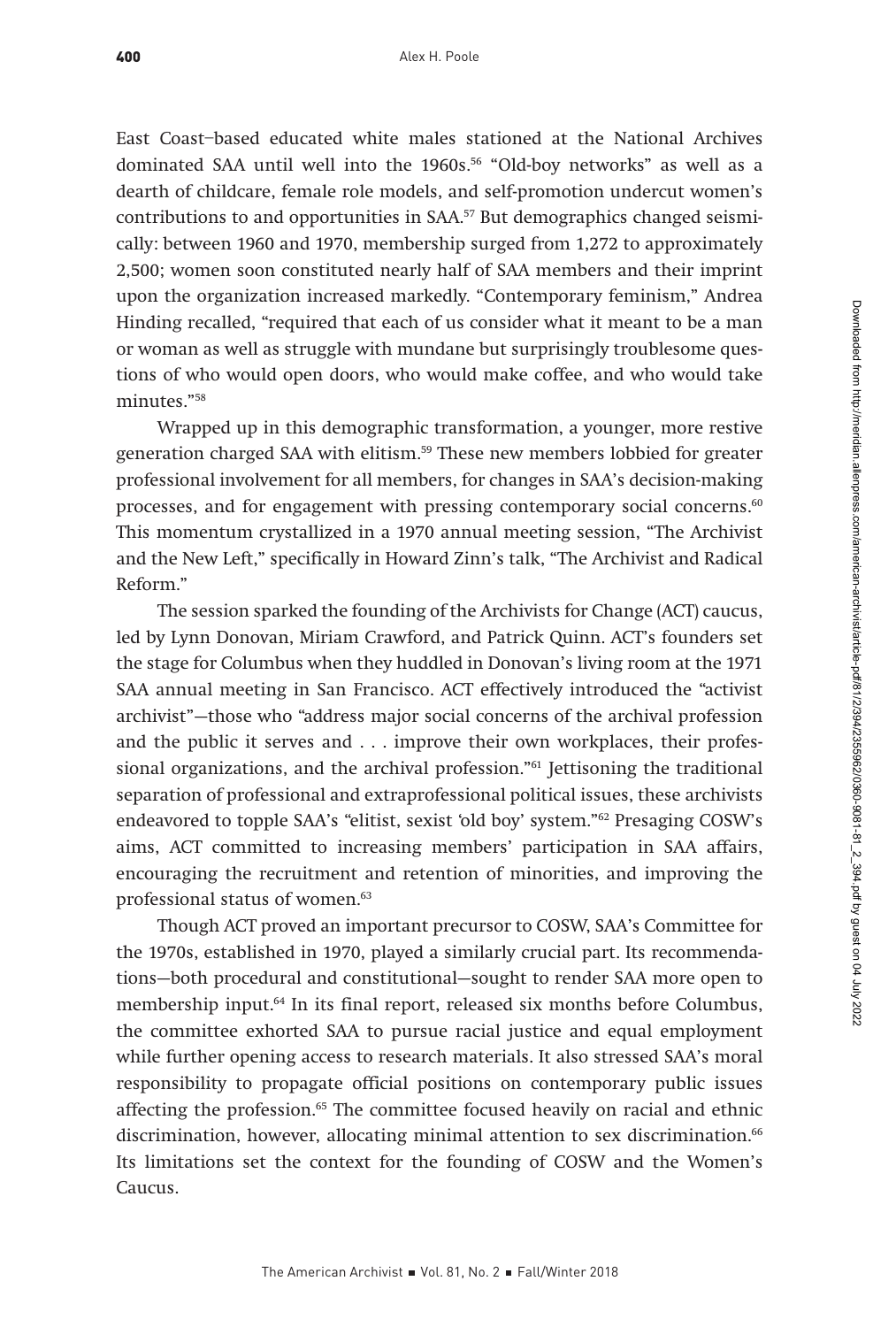East Coast–based educated white males stationed at the National Archives dominated SAA until well into the 1960s.<sup>56</sup> "Old-boy networks" as well as a dearth of childcare, female role models, and self-promotion undercut women's contributions to and opportunities in SAA.<sup>57</sup> But demographics changed seismically: between 1960 and 1970, membership surged from 1,272 to approximately 2,500; women soon constituted nearly half of SAA members and their imprint upon the organization increased markedly. "Contemporary feminism," Andrea Hinding recalled, "required that each of us consider what it meant to be a man or woman as well as struggle with mundane but surprisingly troublesome questions of who would open doors, who would make coffee, and who would take minutes."58

Wrapped up in this demographic transformation, a younger, more restive generation charged SAA with elitism.<sup>59</sup> These new members lobbied for greater professional involvement for all members, for changes in SAA's decision-making processes, and for engagement with pressing contemporary social concerns.<sup>60</sup> This momentum crystallized in a 1970 annual meeting session, "The Archivist and the New Left," specifically in Howard Zinn's talk, "The Archivist and Radical Reform."

The session sparked the founding of the Archivists for Change (ACT) caucus, led by Lynn Donovan, Miriam Crawford, and Patrick Quinn. ACT's founders set the stage for Columbus when they huddled in Donovan's living room at the 1971 SAA annual meeting in San Francisco. ACT effectively introduced the "activist archivist"—those who "address major social concerns of the archival profession and the public it serves and . . . improve their own workplaces, their professional organizations, and the archival profession." $61$  Jettisoning the traditional separation of professional and extraprofessional political issues, these archivists endeavored to topple SAA's "elitist, sexist 'old boy' system."62 Presaging COSW's aims, ACT committed to increasing members' participation in SAA affairs, encouraging the recruitment and retention of minorities, and improving the professional status of women.<sup>63</sup>

Though ACT proved an important precursor to COSW, SAA's Committee for the 1970s, established in 1970, played a similarly crucial part. Its recommendations—both procedural and constitutional—sought to render SAA more open to membership input.<sup>64</sup> In its final report, released six months before Columbus, the committee exhorted SAA to pursue racial justice and equal employment while further opening access to research materials. It also stressed SAA's moral responsibility to propagate official positions on contemporary public issues affecting the profession.65 The committee focused heavily on racial and ethnic discrimination, however, allocating minimal attention to sex discrimination.<sup>66</sup> Its limitations set the context for the founding of COSW and the Women's Caucus.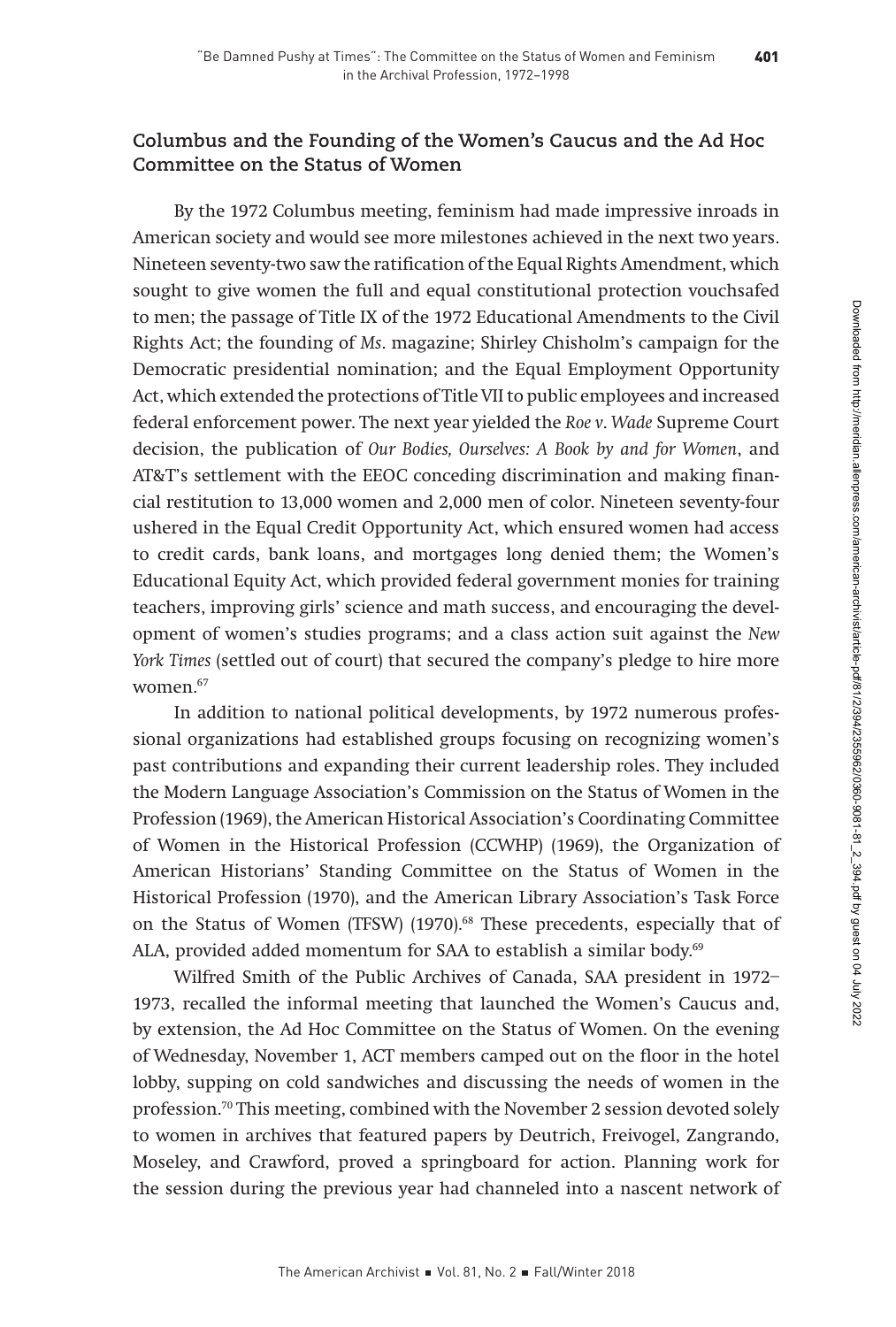# **Columbus and the Founding of the Women's Caucus and the Ad Hoc Committee on the Status of Women**

By the 1972 Columbus meeting, feminism had made impressive inroads in American society and would see more milestones achieved in the next two years. Nineteen seventy-two saw the ratification of the Equal Rights Amendment, which sought to give women the full and equal constitutional protection vouchsafed to men; the passage of Title IX of the 1972 Educational Amendments to the Civil Rights Act; the founding of Ms. magazine; Shirley Chisholm's campaign for the Democratic presidential nomination; and the Equal Employment Opportunity Act, which extended the protections of Title VII to public employees and increased federal enforcement power. The next year yielded the Roe v. Wade Supreme Court decision, the publication of Our Bodies, Ourselves: A Book by and for Women, and AT&T's settlement with the EEOC conceding discrimination and making financial restitution to 13,000 women and 2,000 men of color. Nineteen seventy-four ushered in the Equal Credit Opportunity Act, which ensured women had access to credit cards, bank loans, and mortgages long denied them; the Women's Educational Equity Act, which provided federal government monies for training teachers, improving girls' science and math success, and encouraging the development of women's studies programs; and a class action suit against the New York Times (settled out of court) that secured the company's pledge to hire more women.67

In addition to national political developments, by 1972 numerous professional organizations had established groups focusing on recognizing women's past contributions and expanding their current leadership roles. They included the Modern Language Association's Commission on the Status of Women in the Profession (1969), the American Historical Association's Coordinating Committee of Women in the Historical Profession (CCWHP) (1969), the Organization of American Historians' Standing Committee on the Status of Women in the Historical Profession (1970), and the American Library Association's Task Force on the Status of Women (TFSW) (1970).<sup>68</sup> These precedents, especially that of ALA, provided added momentum for SAA to establish a similar body.<sup>69</sup>

Wilfred Smith of the Public Archives of Canada, SAA president in 1972– 1973, recalled the informal meeting that launched the Women's Caucus and, by extension, the Ad Hoc Committee on the Status of Women. On the evening of Wednesday, November 1, ACT members camped out on the floor in the hotel lobby, supping on cold sandwiches and discussing the needs of women in the profession.70 This meeting, combined with the November 2 session devoted solely to women in archives that featured papers by Deutrich, Freivogel, Zangrando, Moseley, and Crawford, proved a springboard for action. Planning work for the session during the previous year had channeled into a nascent network of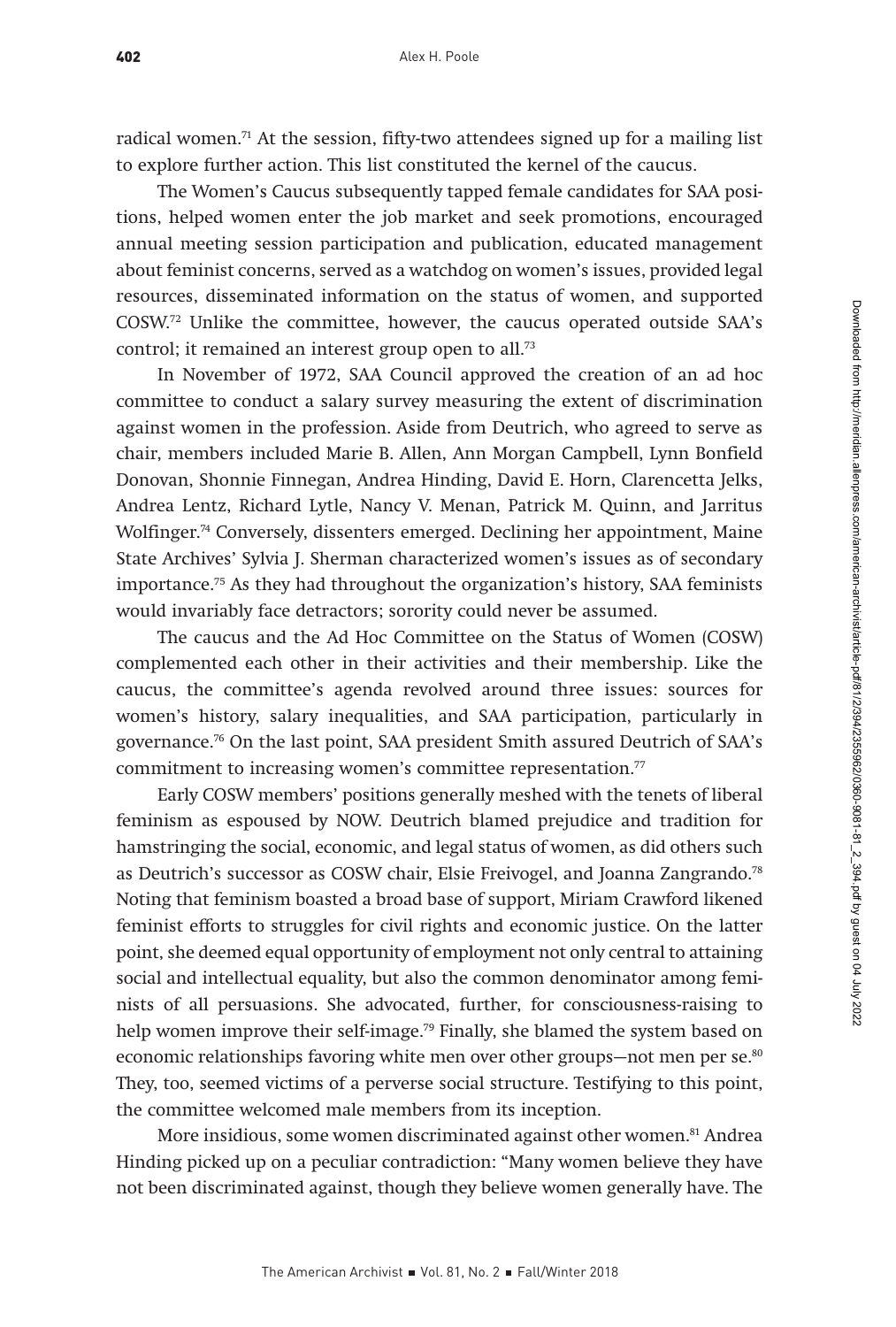radical women.<sup>71</sup> At the session, fifty-two attendees signed up for a mailing list to explore further action. This list constituted the kernel of the caucus.

The Women's Caucus subsequently tapped female candidates for SAA positions, helped women enter the job market and seek promotions, encouraged annual meeting session participation and publication, educated management about feminist concerns, served as a watchdog on women's issues, provided legal resources, disseminated information on the status of women, and supported COSW.72 Unlike the committee, however, the caucus operated outside SAA's control; it remained an interest group open to all.<sup>73</sup>

In November of 1972, SAA Council approved the creation of an ad hoc committee to conduct a salary survey measuring the extent of discrimination against women in the profession. Aside from Deutrich, who agreed to serve as chair, members included Marie B. Allen, Ann Morgan Campbell, Lynn Bonfield Donovan, Shonnie Finnegan, Andrea Hinding, David E. Horn, Clarencetta Jelks, Andrea Lentz, Richard Lytle, Nancy V. Menan, Patrick M. Quinn, and Jarritus Wolfinger.<sup>74</sup> Conversely, dissenters emerged. Declining her appointment, Maine State Archives' Sylvia J. Sherman characterized women's issues as of secondary importance.75 As they had throughout the organization's history, SAA feminists would invariably face detractors; sorority could never be assumed.

The caucus and the Ad Hoc Committee on the Status of Women (COSW) complemented each other in their activities and their membership. Like the caucus, the committee's agenda revolved around three issues: sources for women's history, salary inequalities, and SAA participation, particularly in governance.76 On the last point, SAA president Smith assured Deutrich of SAA's commitment to increasing women's committee representation.<sup>77</sup>

Early COSW members' positions generally meshed with the tenets of liberal feminism as espoused by NOW. Deutrich blamed prejudice and tradition for hamstringing the social, economic, and legal status of women, as did others such as Deutrich's successor as COSW chair, Elsie Freivogel, and Joanna Zangrando.<sup>78</sup> Noting that feminism boasted a broad base of support, Miriam Crawford likened feminist efforts to struggles for civil rights and economic justice. On the latter point, she deemed equal opportunity of employment not only central to attaining social and intellectual equality, but also the common denominator among feminists of all persuasions. She advocated, further, for consciousness-raising to help women improve their self-image.<sup>79</sup> Finally, she blamed the system based on economic relationships favoring white men over other groups—not men per se.<sup>80</sup> They, too, seemed victims of a perverse social structure. Testifying to this point, the committee welcomed male members from its inception.

More insidious, some women discriminated against other women.<sup>81</sup> Andrea Hinding picked up on a peculiar contradiction: "Many women believe they have not been discriminated against, though they believe women generally have. The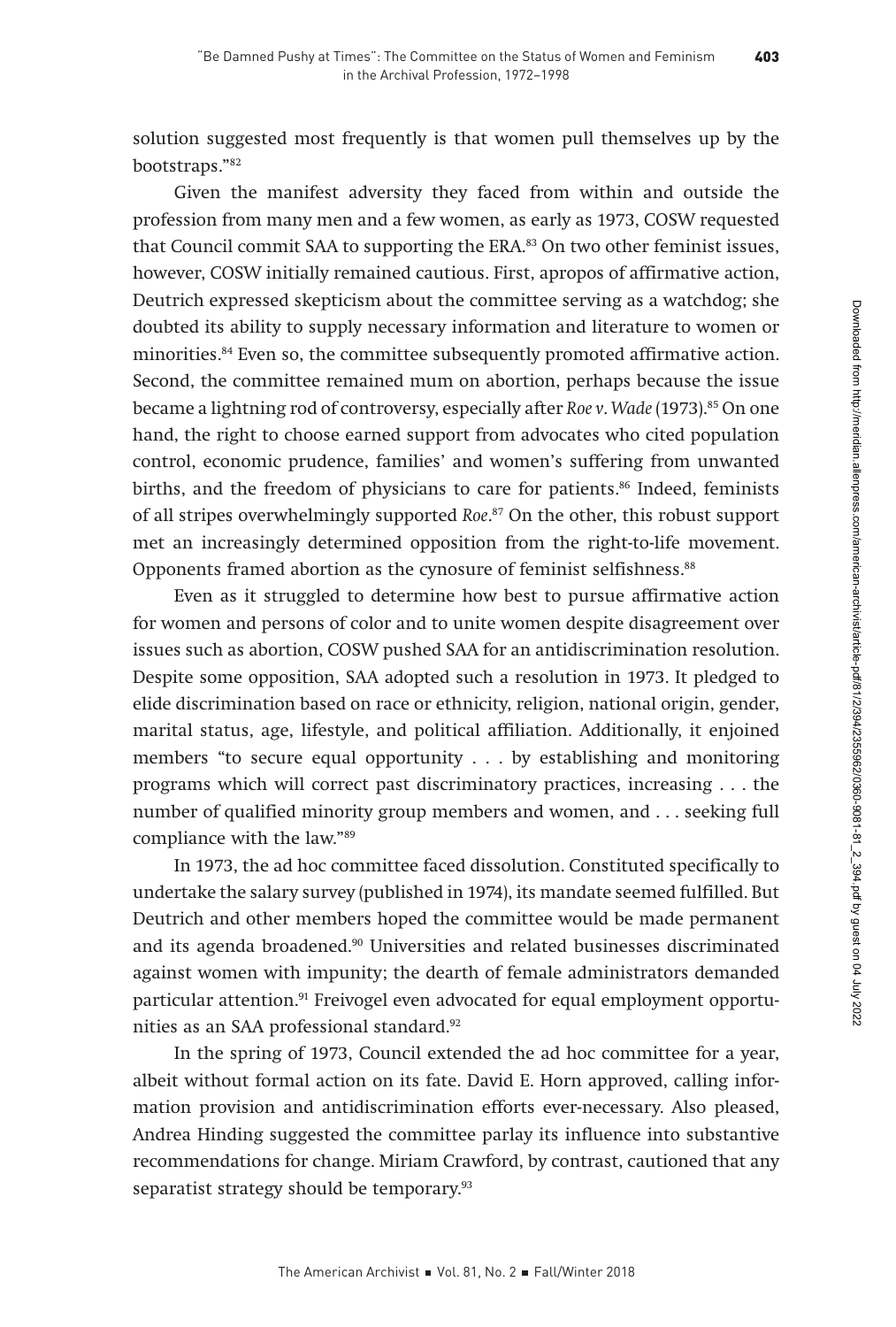solution suggested most frequently is that women pull themselves up by the bootstraps."82

Given the manifest adversity they faced from within and outside the profession from many men and a few women, as early as 1973, COSW requested that Council commit SAA to supporting the ERA.83 On two other feminist issues, however, COSW initially remained cautious. First, apropos of affirmative action, Deutrich expressed skepticism about the committee serving as a watchdog; she doubted its ability to supply necessary information and literature to women or minorities.<sup>84</sup> Even so, the committee subsequently promoted affirmative action. Second, the committee remained mum on abortion, perhaps because the issue became a lightning rod of controversy, especially after Roe v. Wade (1973).<sup>85</sup> On one hand, the right to choose earned support from advocates who cited population control, economic prudence, families' and women's suffering from unwanted births, and the freedom of physicians to care for patients.<sup>86</sup> Indeed, feminists of all stripes overwhelmingly supported Roe. 87 On the other, this robust support met an increasingly determined opposition from the right-to-life movement. Opponents framed abortion as the cynosure of feminist selfishness.<sup>88</sup>

Even as it struggled to determine how best to pursue affirmative action for women and persons of color and to unite women despite disagreement over issues such as abortion, COSW pushed SAA for an antidiscrimination resolution. Despite some opposition, SAA adopted such a resolution in 1973. It pledged to elide discrimination based on race or ethnicity, religion, national origin, gender, marital status, age, lifestyle, and political affiliation. Additionally, it enjoined members "to secure equal opportunity . . . by establishing and monitoring programs which will correct past discriminatory practices, increasing . . . the number of qualified minority group members and women, and . . . seeking full compliance with the law."89

In 1973, the ad hoc committee faced dissolution. Constituted specifically to undertake the salary survey (published in 1974), its mandate seemed fulfilled. But Deutrich and other members hoped the committee would be made permanent and its agenda broadened.90 Universities and related businesses discriminated against women with impunity; the dearth of female administrators demanded particular attention.<sup>91</sup> Freivogel even advocated for equal employment opportunities as an SAA professional standard.92

In the spring of 1973, Council extended the ad hoc committee for a year, albeit without formal action on its fate. David E. Horn approved, calling information provision and antidiscrimination efforts ever-necessary. Also pleased, Andrea Hinding suggested the committee parlay its influence into substantive recommendations for change. Miriam Crawford, by contrast, cautioned that any separatist strategy should be temporary.<sup>93</sup>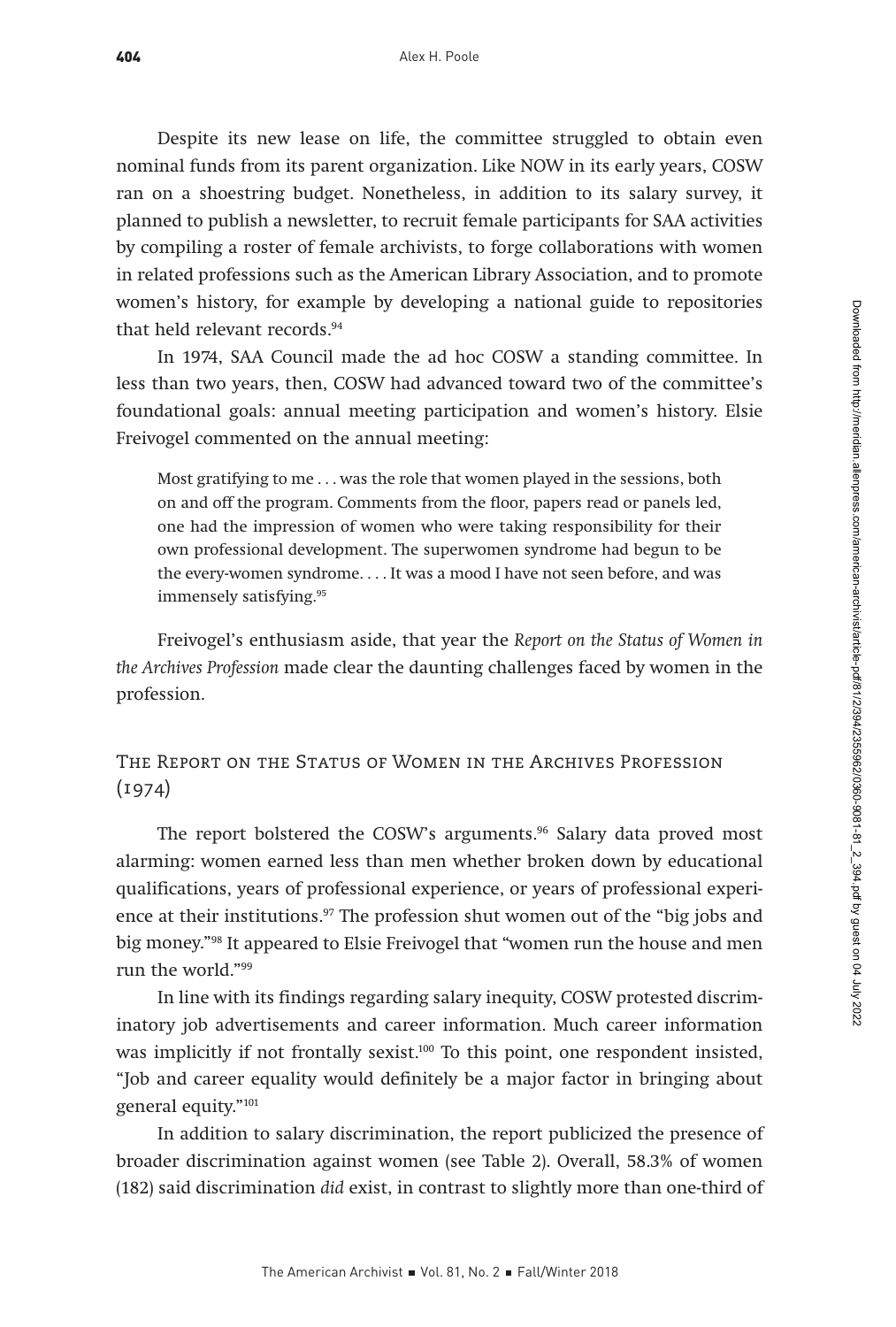Despite its new lease on life, the committee struggled to obtain even nominal funds from its parent organization. Like NOW in its early years, COSW ran on a shoestring budget. Nonetheless, in addition to its salary survey, it planned to publish a newsletter, to recruit female participants for SAA activities by compiling a roster of female archivists, to forge collaborations with women in related professions such as the American Library Association, and to promote women's history, for example by developing a national guide to repositories that held relevant records.<sup>94</sup>

In 1974, SAA Council made the ad hoc COSW a standing committee. In less than two years, then, COSW had advanced toward two of the committee's foundational goals: annual meeting participation and women's history. Elsie Freivogel commented on the annual meeting:

Most gratifying to me . . . was the role that women played in the sessions, both on and off the program. Comments from the floor, papers read or panels led, one had the impression of women who were taking responsibility for their own professional development. The superwomen syndrome had begun to be the every-women syndrome. . . . It was a mood I have not seen before, and was immensely satisfying.95

Freivogel's enthusiasm aside, that year the Report on the Status of Women in the Archives Profession made clear the daunting challenges faced by women in the profession.

The Report on the Status of Women in the Archives Profession  $(1974)$ 

The report bolstered the COSW's arguments.<sup>96</sup> Salary data proved most alarming: women earned less than men whether broken down by educational qualifications, years of professional experience, or years of professional experience at their institutions.<sup>97</sup> The profession shut women out of the "big jobs and big money."98 It appeared to Elsie Freivogel that "women run the house and men run the world."99

In line with its findings regarding salary inequity, COSW protested discriminatory job advertisements and career information. Much career information was implicitly if not frontally sexist.<sup>100</sup> To this point, one respondent insisted, "Job and career equality would definitely be a major factor in bringing about general equity."101

In addition to salary discrimination, the report publicized the presence of broader discrimination against women (see Table 2). Overall, 58.3% of women (182) said discrimination did exist, in contrast to slightly more than one-third of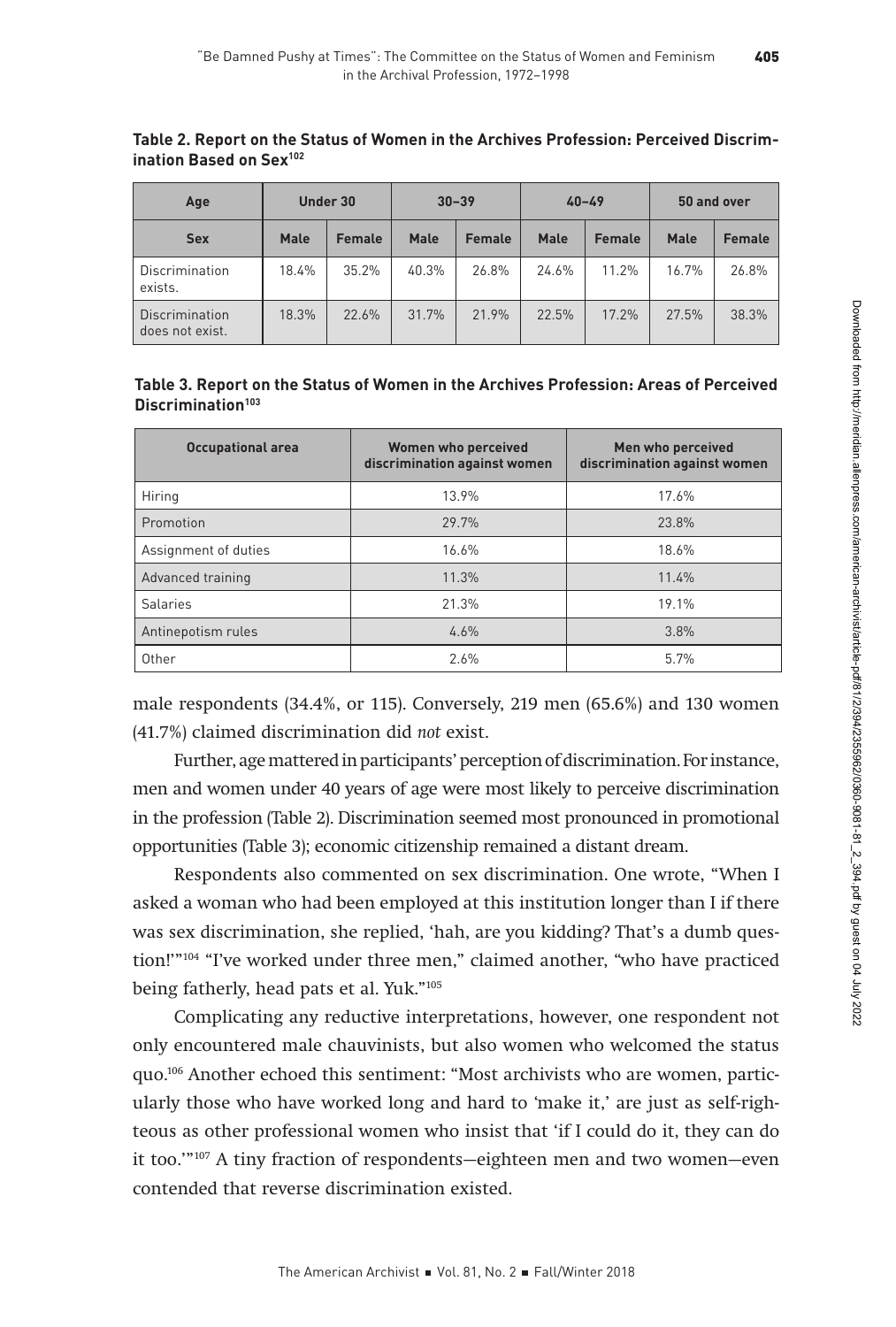| Age                               |             | Under 30      | $30 - 39$   |               | $40 - 49$ |               | 50 and over |               |
|-----------------------------------|-------------|---------------|-------------|---------------|-----------|---------------|-------------|---------------|
| <b>Sex</b>                        | <b>Male</b> | <b>Female</b> | <b>Male</b> | <b>Female</b> | Male      | <b>Female</b> | <b>Male</b> | <b>Female</b> |
| Discrimination<br>exists.         | 18.4%       | 35.2%         | 40.3%       | 26.8%         | 24.6%     | 11.2%         | 16.7%       | 26.8%         |
| Discrimination<br>does not exist. | 18.3%       | 22.6%         | 31.7%       | 21.9%         | 22.5%     | 17.2%         | 27.5%       | 38.3%         |

**Table 2. Report on the Status of Women in the Archives Profession: Perceived Discrimination Based on Sex102**

| Table 3. Report on the Status of Women in the Archives Profession: Areas of Perceived |  |
|---------------------------------------------------------------------------------------|--|
| Discrimination <sup>103</sup>                                                         |  |

| <b>Occupational area</b> | <b>Women who perceived</b><br>discrimination against women | Men who perceived<br>discrimination against women |
|--------------------------|------------------------------------------------------------|---------------------------------------------------|
| Hiring                   | 13.9%                                                      | 17.6%                                             |
| Promotion                | 29.7%                                                      | 23.8%                                             |
| Assignment of duties     | 16.6%                                                      | 18.6%                                             |
| Advanced training        | 11.3%                                                      | 11.4%                                             |
| <b>Salaries</b>          | 21.3%                                                      | 19.1%                                             |
| Antinepotism rules       | 4.6%                                                       | 3.8%                                              |
| Other                    | 2.6%                                                       | 5.7%                                              |

male respondents (34.4%, or 115). Conversely, 219 men (65.6%) and 130 women (41.7%) claimed discrimination did not exist.

Further, age mattered in participants' perception of discrimination. For instance, men and women under 40 years of age were most likely to perceive discrimination in the profession (Table 2). Discrimination seemed most pronounced in promotional opportunities (Table 3); economic citizenship remained a distant dream.

Respondents also commented on sex discrimination. One wrote, "When I asked a woman who had been employed at this institution longer than I if there was sex discrimination, she replied, 'hah, are you kidding? That's a dumb question!'"104 "I've worked under three men," claimed another, "who have practiced being fatherly, head pats et al. Yuk."105

Complicating any reductive interpretations, however, one respondent not only encountered male chauvinists, but also women who welcomed the status quo.106 Another echoed this sentiment: "Most archivists who are women, particularly those who have worked long and hard to 'make it,' are just as self-righteous as other professional women who insist that 'if I could do it, they can do it too.'"107 A tiny fraction of respondents—eighteen men and two women—even contended that reverse discrimination existed.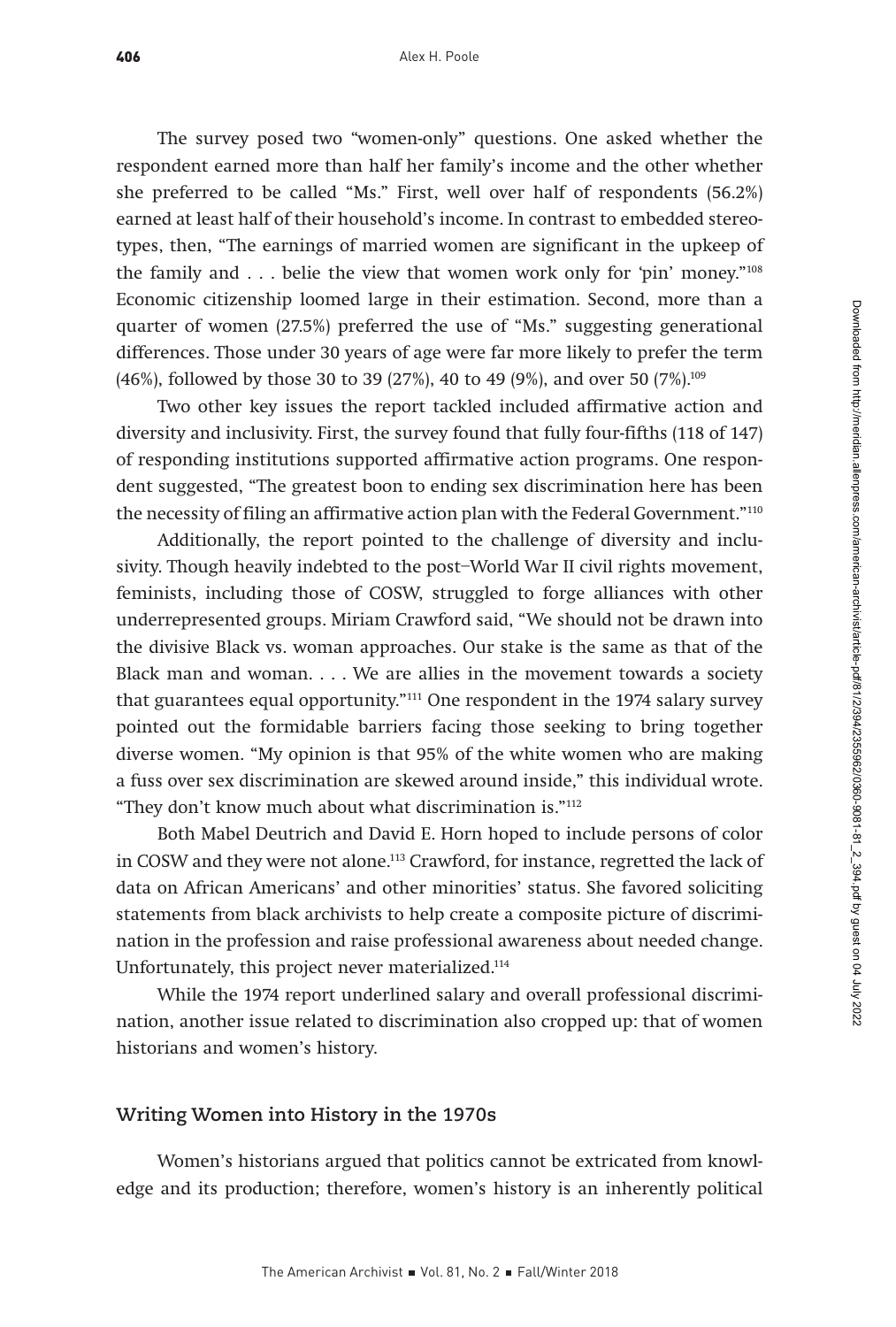The survey posed two "women-only" questions. One asked whether the respondent earned more than half her family's income and the other whether she preferred to be called "Ms." First, well over half of respondents (56.2%) earned at least half of their household's income. In contrast to embedded stereotypes, then, "The earnings of married women are significant in the upkeep of the family and . . . belie the view that women work only for 'pin' money."<sup>108</sup> Economic citizenship loomed large in their estimation. Second, more than a quarter of women (27.5%) preferred the use of "Ms." suggesting generational differences. Those under 30 years of age were far more likely to prefer the term (46%), followed by those 30 to 39 (27%), 40 to 49 (9%), and over 50 (7%).<sup>109</sup>

Two other key issues the report tackled included affirmative action and diversity and inclusivity. First, the survey found that fully four-fifths (118 of 147) of responding institutions supported affirmative action programs. One respondent suggested, "The greatest boon to ending sex discrimination here has been the necessity of filing an affirmative action plan with the Federal Government."110

Additionally, the report pointed to the challenge of diversity and inclusivity. Though heavily indebted to the post–World War II civil rights movement, feminists, including those of COSW, struggled to forge alliances with other underrepresented groups. Miriam Crawford said, "We should not be drawn into the divisive Black vs. woman approaches. Our stake is the same as that of the Black man and woman. . . . We are allies in the movement towards a society that guarantees equal opportunity."111 One respondent in the 1974 salary survey pointed out the formidable barriers facing those seeking to bring together diverse women. "My opinion is that 95% of the white women who are making a fuss over sex discrimination are skewed around inside," this individual wrote. "They don't know much about what discrimination is."112

Both Mabel Deutrich and David E. Horn hoped to include persons of color in COSW and they were not alone.113 Crawford, for instance, regretted the lack of data on African Americans' and other minorities' status. She favored soliciting statements from black archivists to help create a composite picture of discrimination in the profession and raise professional awareness about needed change. Unfortunately, this project never materialized.114

While the 1974 report underlined salary and overall professional discrimination, another issue related to discrimination also cropped up: that of women historians and women's history.

#### **Writing Women into History in the 1970s**

Women's historians argued that politics cannot be extricated from knowledge and its production; therefore, women's history is an inherently political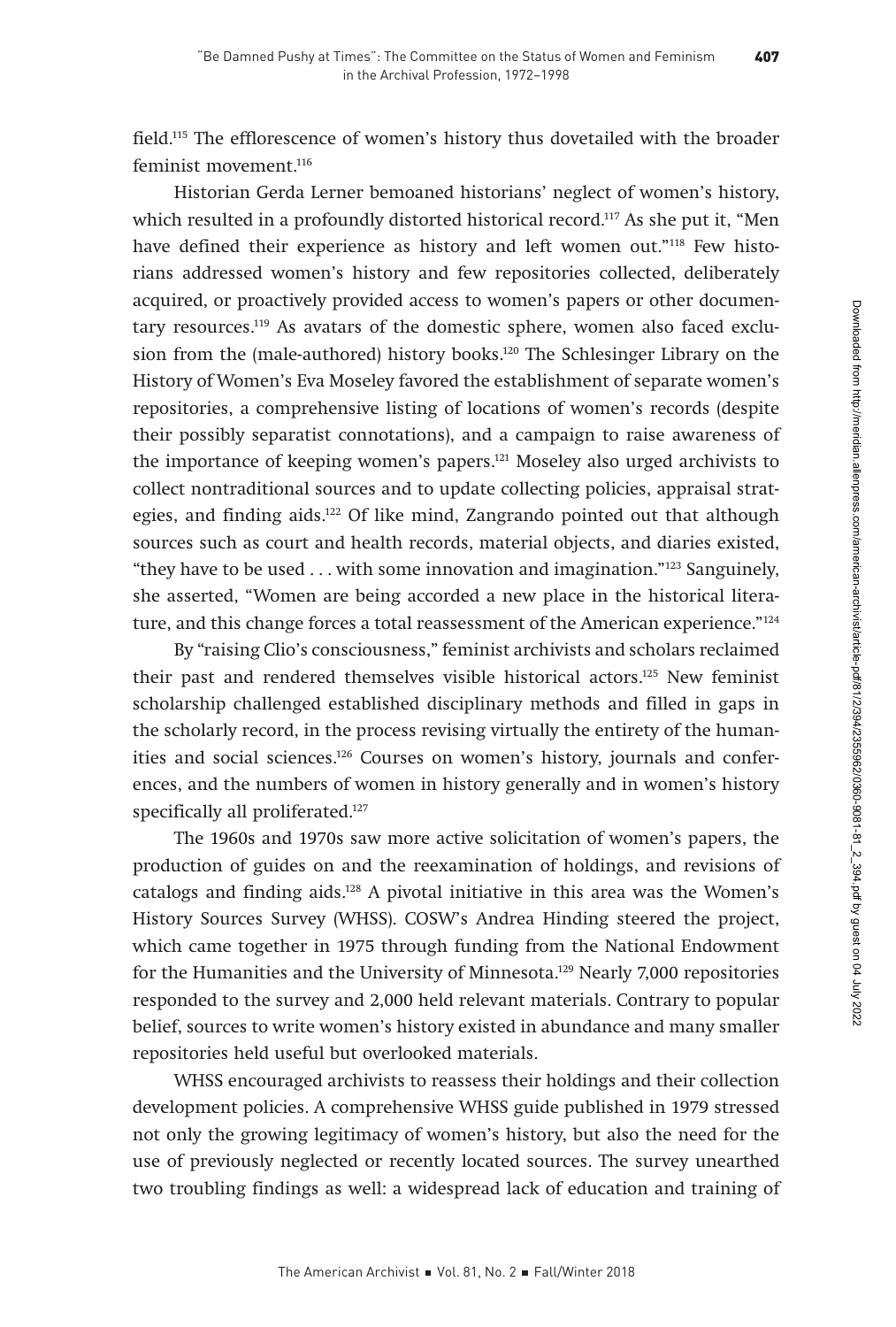field.115 The efflorescence of women's history thus dovetailed with the broader feminist movement.<sup>116</sup>

Historian Gerda Lerner bemoaned historians' neglect of women's history, which resulted in a profoundly distorted historical record.117 As she put it, "Men have defined their experience as history and left women out."<sup>118</sup> Few historians addressed women's history and few repositories collected, deliberately acquired, or proactively provided access to women's papers or other documentary resources.119 As avatars of the domestic sphere, women also faced exclusion from the (male-authored) history books.<sup>120</sup> The Schlesinger Library on the History of Women's Eva Moseley favored the establishment of separate women's repositories, a comprehensive listing of locations of women's records (despite their possibly separatist connotations), and a campaign to raise awareness of the importance of keeping women's papers.121 Moseley also urged archivists to collect nontraditional sources and to update collecting policies, appraisal strategies, and finding aids.122 Of like mind, Zangrando pointed out that although sources such as court and health records, material objects, and diaries existed, "they have to be used . . . with some innovation and imagination."123 Sanguinely, she asserted, "Women are being accorded a new place in the historical literature, and this change forces a total reassessment of the American experience."124

By "raising Clio's consciousness," feminist archivists and scholars reclaimed their past and rendered themselves visible historical actors.125 New feminist scholarship challenged established disciplinary methods and filled in gaps in the scholarly record, in the process revising virtually the entirety of the humanities and social sciences.126 Courses on women's history, journals and conferences, and the numbers of women in history generally and in women's history specifically all proliferated.<sup>127</sup>

The 1960s and 1970s saw more active solicitation of women's papers, the production of guides on and the reexamination of holdings, and revisions of catalogs and finding aids.128 A pivotal initiative in this area was the Women's History Sources Survey (WHSS). COSW's Andrea Hinding steered the project, which came together in 1975 through funding from the National Endowment for the Humanities and the University of Minnesota.129 Nearly 7,000 repositories responded to the survey and 2,000 held relevant materials. Contrary to popular belief, sources to write women's history existed in abundance and many smaller repositories held useful but overlooked materials.

WHSS encouraged archivists to reassess their holdings and their collection development policies. A comprehensive WHSS guide published in 1979 stressed not only the growing legitimacy of women's history, but also the need for the use of previously neglected or recently located sources. The survey unearthed two troubling findings as well: a widespread lack of education and training of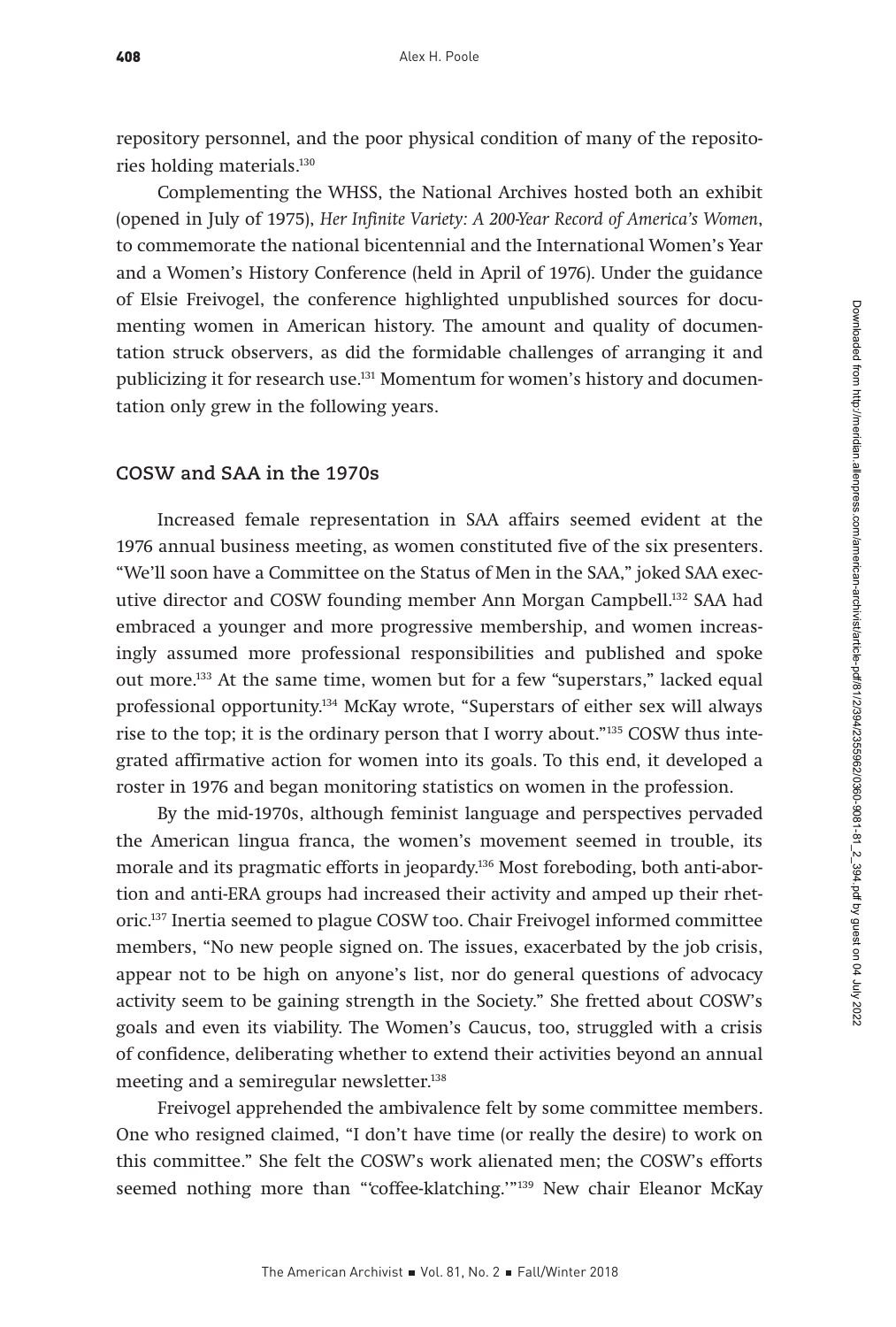repository personnel, and the poor physical condition of many of the repositories holding materials.130

Complementing the WHSS, the National Archives hosted both an exhibit (opened in July of 1975), Her Infinite Variety: A 200-Year Record of America's Women, to commemorate the national bicentennial and the International Women's Year and a Women's History Conference (held in April of 1976). Under the guidance of Elsie Freivogel, the conference highlighted unpublished sources for documenting women in American history. The amount and quality of documentation struck observers, as did the formidable challenges of arranging it and publicizing it for research use.131 Momentum for women's history and documentation only grew in the following years.

#### **COSW and SAA in the 1970s**

Increased female representation in SAA affairs seemed evident at the 1976 annual business meeting, as women constituted five of the six presenters. "We'll soon have a Committee on the Status of Men in the SAA," joked SAA executive director and COSW founding member Ann Morgan Campbell.132 SAA had embraced a younger and more progressive membership, and women increasingly assumed more professional responsibilities and published and spoke out more.133 At the same time, women but for a few "superstars," lacked equal professional opportunity.134 McKay wrote, "Superstars of either sex will always rise to the top; it is the ordinary person that I worry about."135 COSW thus integrated affirmative action for women into its goals. To this end, it developed a roster in 1976 and began monitoring statistics on women in the profession.

By the mid-1970s, although feminist language and perspectives pervaded the American lingua franca, the women's movement seemed in trouble, its morale and its pragmatic efforts in jeopardy.<sup>136</sup> Most foreboding, both anti-abortion and anti-ERA groups had increased their activity and amped up their rhetoric.137 Inertia seemed to plague COSW too. Chair Freivogel informed committee members, "No new people signed on. The issues, exacerbated by the job crisis, appear not to be high on anyone's list, nor do general questions of advocacy activity seem to be gaining strength in the Society." She fretted about COSW's goals and even its viability. The Women's Caucus, too, struggled with a crisis of confidence, deliberating whether to extend their activities beyond an annual meeting and a semiregular newsletter.<sup>138</sup>

Freivogel apprehended the ambivalence felt by some committee members. One who resigned claimed, "I don't have time (or really the desire) to work on this committee." She felt the COSW's work alienated men; the COSW's efforts seemed nothing more than "'coffee-klatching.'"139 New chair Eleanor McKay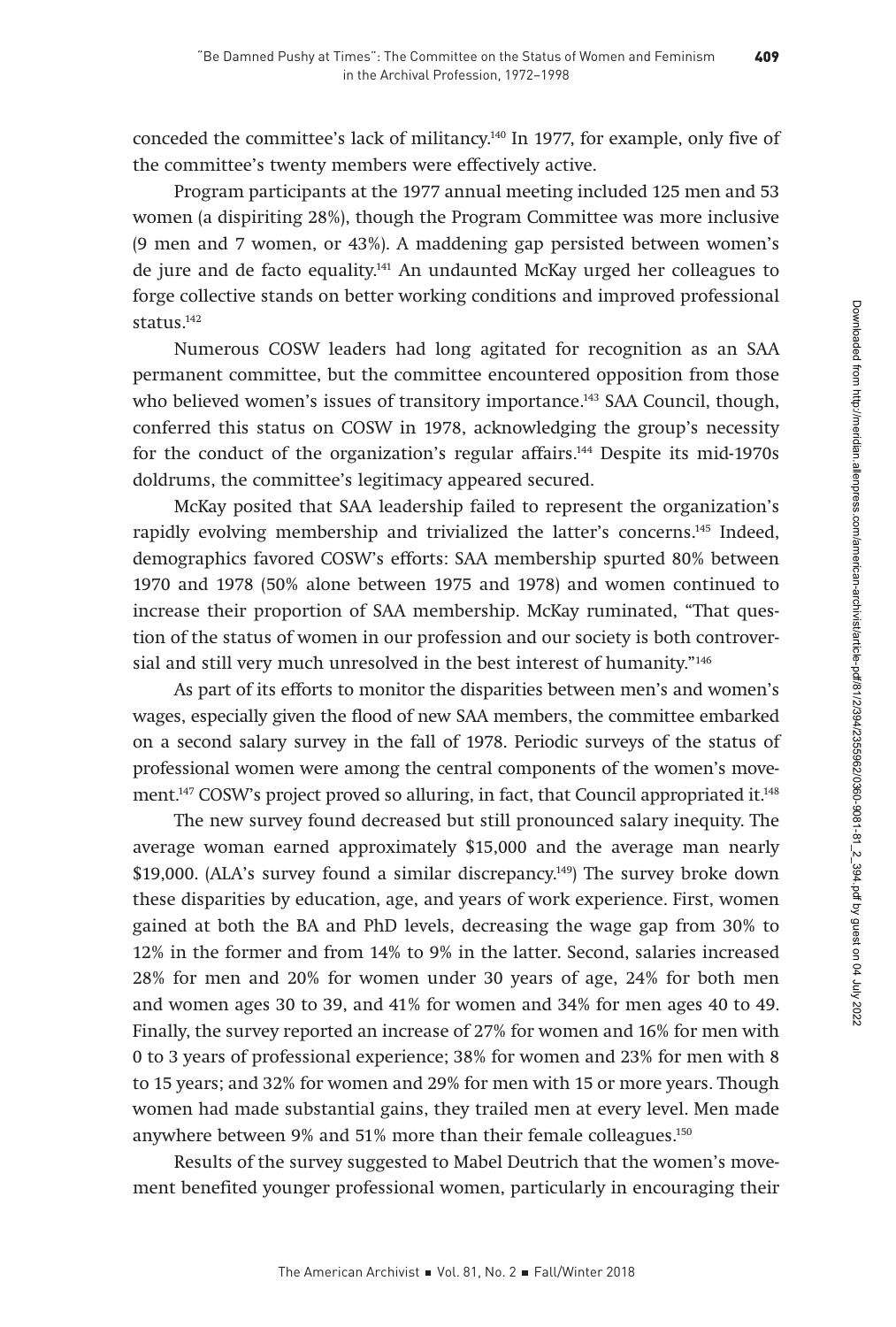conceded the committee's lack of militancy.140 In 1977, for example, only five of the committee's twenty members were effectively active.

Program participants at the 1977 annual meeting included 125 men and 53 women (a dispiriting 28%), though the Program Committee was more inclusive (9 men and 7 women, or 43%). A maddening gap persisted between women's de jure and de facto equality.141 An undaunted McKay urged her colleagues to forge collective stands on better working conditions and improved professional status.142

Numerous COSW leaders had long agitated for recognition as an SAA permanent committee, but the committee encountered opposition from those who believed women's issues of transitory importance.<sup>143</sup> SAA Council, though, conferred this status on COSW in 1978, acknowledging the group's necessity for the conduct of the organization's regular affairs.<sup>144</sup> Despite its mid-1970s doldrums, the committee's legitimacy appeared secured.

McKay posited that SAA leadership failed to represent the organization's rapidly evolving membership and trivialized the latter's concerns.<sup>145</sup> Indeed, demographics favored COSW's efforts: SAA membership spurted 80% between 1970 and 1978 (50% alone between 1975 and 1978) and women continued to increase their proportion of SAA membership. McKay ruminated, "That question of the status of women in our profession and our society is both controversial and still very much unresolved in the best interest of humanity."<sup>146</sup>

As part of its efforts to monitor the disparities between men's and women's wages, especially given the flood of new SAA members, the committee embarked on a second salary survey in the fall of 1978. Periodic surveys of the status of professional women were among the central components of the women's movement.147 COSW's project proved so alluring, in fact, that Council appropriated it.148

The new survey found decreased but still pronounced salary inequity. The average woman earned approximately \$15,000 and the average man nearly \$19,000. (ALA's survey found a similar discrepancy.149) The survey broke down these disparities by education, age, and years of work experience. First, women gained at both the BA and PhD levels, decreasing the wage gap from 30% to 12% in the former and from 14% to 9% in the latter. Second, salaries increased 28% for men and 20% for women under 30 years of age, 24% for both men and women ages 30 to 39, and 41% for women and 34% for men ages 40 to 49. Finally, the survey reported an increase of 27% for women and 16% for men with 0 to 3 years of professional experience; 38% for women and 23% for men with 8 to 15 years; and 32% for women and 29% for men with 15 or more years. Though women had made substantial gains, they trailed men at every level. Men made anywhere between 9% and 51% more than their female colleagues.150

Results of the survey suggested to Mabel Deutrich that the women's movement benefited younger professional women, particularly in encouraging their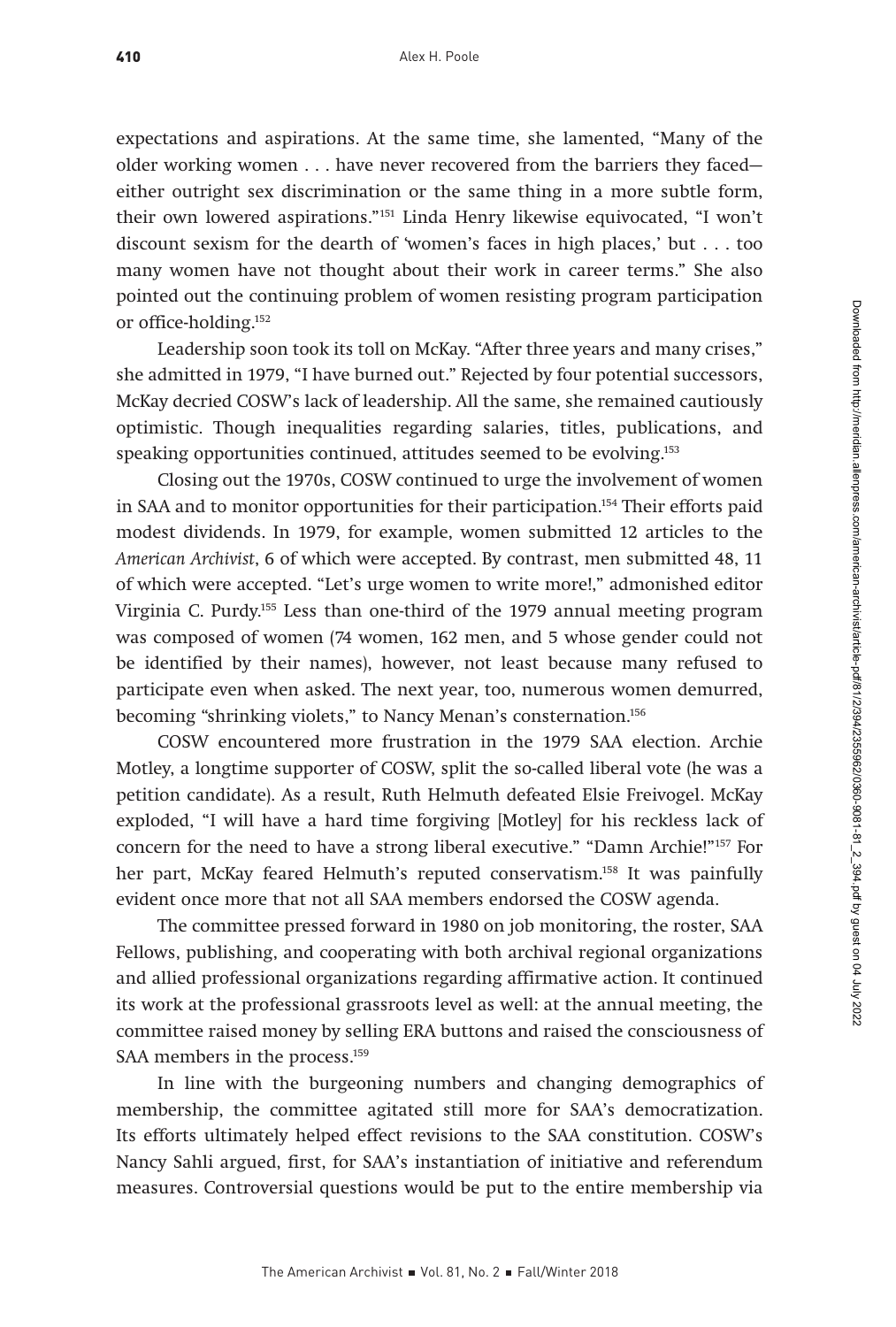expectations and aspirations. At the same time, she lamented, "Many of the older working women . . . have never recovered from the barriers they faced either outright sex discrimination or the same thing in a more subtle form, their own lowered aspirations."151 Linda Henry likewise equivocated, "I won't discount sexism for the dearth of 'women's faces in high places,' but . . . too many women have not thought about their work in career terms." She also pointed out the continuing problem of women resisting program participation or office-holding.152

Leadership soon took its toll on McKay. "After three years and many crises," she admitted in 1979, "I have burned out." Rejected by four potential successors, McKay decried COSW's lack of leadership. All the same, she remained cautiously optimistic. Though inequalities regarding salaries, titles, publications, and speaking opportunities continued, attitudes seemed to be evolving.<sup>153</sup>

Closing out the 1970s, COSW continued to urge the involvement of women in SAA and to monitor opportunities for their participation.154 Their efforts paid modest dividends. In 1979, for example, women submitted 12 articles to the American Archivist, 6 of which were accepted. By contrast, men submitted 48, 11 of which were accepted. "Let's urge women to write more!," admonished editor Virginia C. Purdy.155 Less than one-third of the 1979 annual meeting program was composed of women (74 women, 162 men, and 5 whose gender could not be identified by their names), however, not least because many refused to participate even when asked. The next year, too, numerous women demurred, becoming "shrinking violets," to Nancy Menan's consternation.<sup>156</sup>

COSW encountered more frustration in the 1979 SAA election. Archie Motley, a longtime supporter of COSW, split the so-called liberal vote (he was a petition candidate). As a result, Ruth Helmuth defeated Elsie Freivogel. McKay exploded, "I will have a hard time forgiving [Motley] for his reckless lack of concern for the need to have a strong liberal executive." "Damn Archie!"157 For her part, McKay feared Helmuth's reputed conservatism.158 It was painfully evident once more that not all SAA members endorsed the COSW agenda.

The committee pressed forward in 1980 on job monitoring, the roster, SAA Fellows, publishing, and cooperating with both archival regional organizations and allied professional organizations regarding affirmative action. It continued its work at the professional grassroots level as well: at the annual meeting, the committee raised money by selling ERA buttons and raised the consciousness of SAA members in the process.<sup>159</sup>

In line with the burgeoning numbers and changing demographics of membership, the committee agitated still more for SAA's democratization. Its efforts ultimately helped effect revisions to the SAA constitution. COSW's Nancy Sahli argued, first, for SAA's instantiation of initiative and referendum measures. Controversial questions would be put to the entire membership via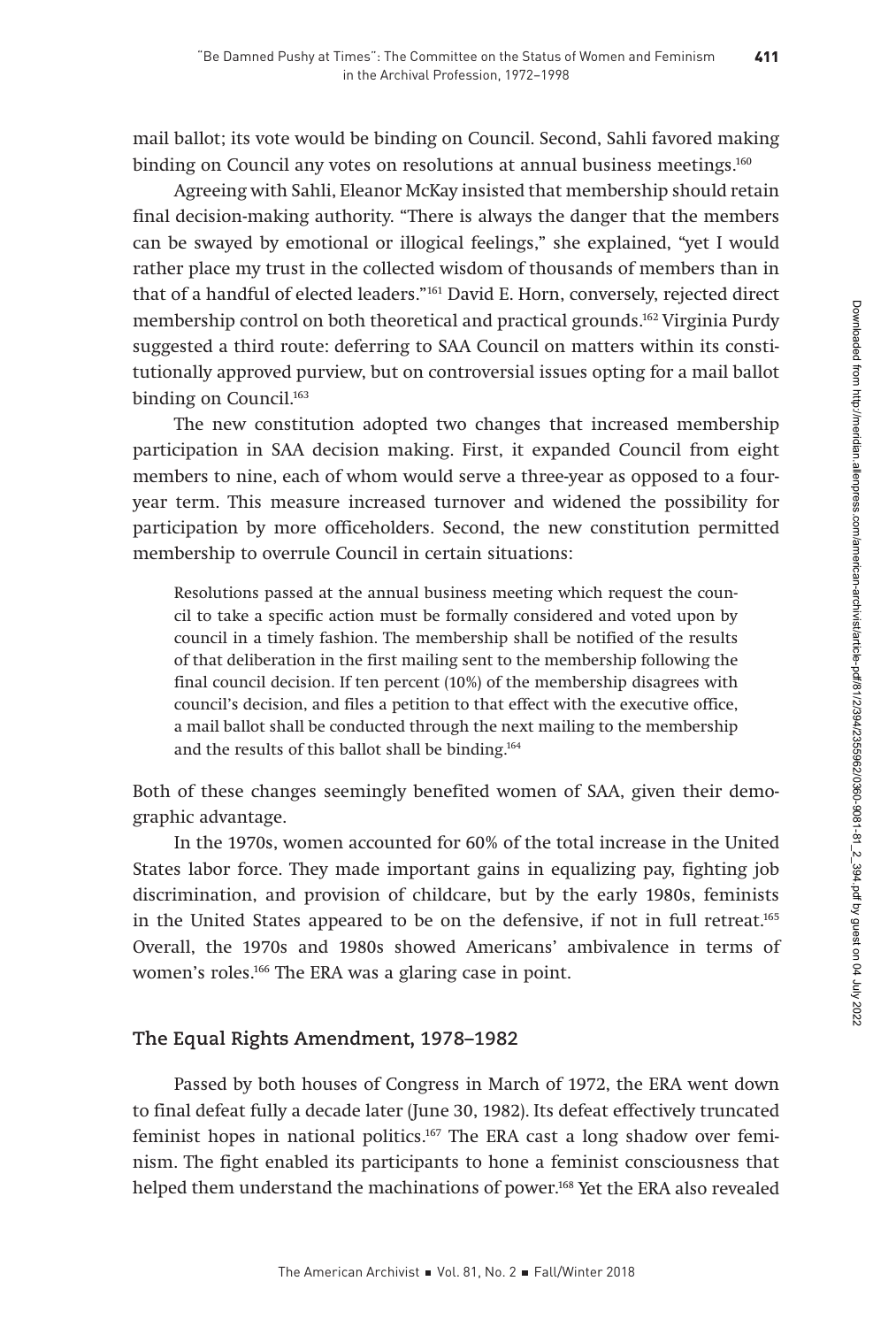mail ballot; its vote would be binding on Council. Second, Sahli favored making binding on Council any votes on resolutions at annual business meetings.<sup>160</sup>

Agreeing with Sahli, Eleanor McKay insisted that membership should retain final decision-making authority. "There is always the danger that the members can be swayed by emotional or illogical feelings," she explained, "yet I would rather place my trust in the collected wisdom of thousands of members than in that of a handful of elected leaders."161 David E. Horn, conversely, rejected direct membership control on both theoretical and practical grounds.162 Virginia Purdy suggested a third route: deferring to SAA Council on matters within its constitutionally approved purview, but on controversial issues opting for a mail ballot binding on Council.<sup>163</sup>

The new constitution adopted two changes that increased membership participation in SAA decision making. First, it expanded Council from eight members to nine, each of whom would serve a three-year as opposed to a fouryear term. This measure increased turnover and widened the possibility for participation by more officeholders. Second, the new constitution permitted membership to overrule Council in certain situations:

Resolutions passed at the annual business meeting which request the council to take a specific action must be formally considered and voted upon by council in a timely fashion. The membership shall be notified of the results of that deliberation in the first mailing sent to the membership following the final council decision. If ten percent (10%) of the membership disagrees with council's decision, and files a petition to that effect with the executive office, a mail ballot shall be conducted through the next mailing to the membership and the results of this ballot shall be binding.164

Both of these changes seemingly benefited women of SAA, given their demographic advantage.

In the 1970s, women accounted for 60% of the total increase in the United States labor force. They made important gains in equalizing pay, fighting job discrimination, and provision of childcare, but by the early 1980s, feminists in the United States appeared to be on the defensive, if not in full retreat.165 Overall, the 1970s and 1980s showed Americans' ambivalence in terms of women's roles.<sup>166</sup> The ERA was a glaring case in point.

#### **The Equal Rights Amendment, 1978–1982**

Passed by both houses of Congress in March of 1972, the ERA went down to final defeat fully a decade later (June 30, 1982). Its defeat effectively truncated feminist hopes in national politics.167 The ERA cast a long shadow over feminism. The fight enabled its participants to hone a feminist consciousness that helped them understand the machinations of power.168 Yet the ERA also revealed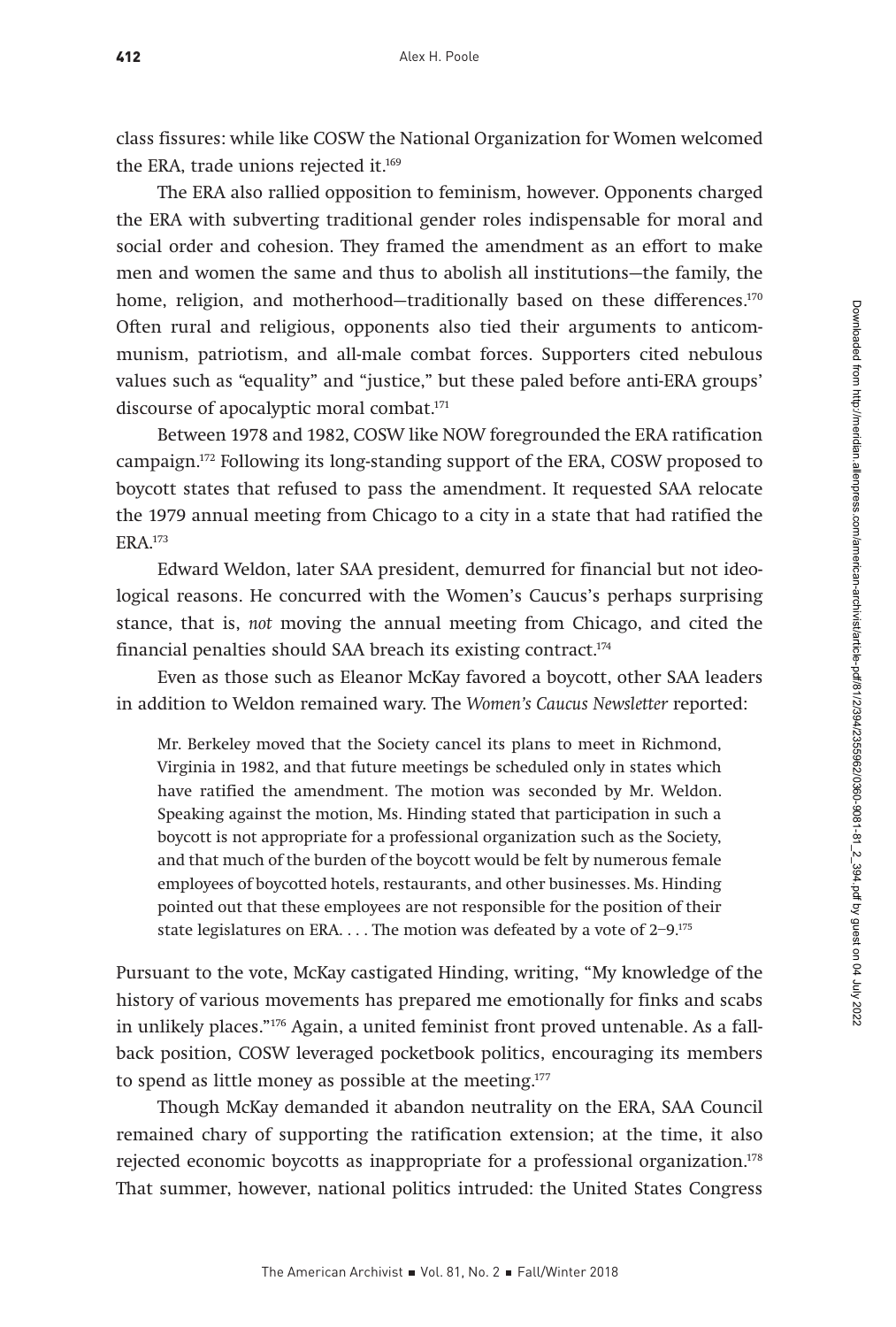class fissures: while like COSW the National Organization for Women welcomed the ERA, trade unions rejected it.<sup>169</sup>

The ERA also rallied opposition to feminism, however. Opponents charged the ERA with subverting traditional gender roles indispensable for moral and social order and cohesion. They framed the amendment as an effort to make men and women the same and thus to abolish all institutions—the family, the home, religion, and motherhood-traditionally based on these differences.<sup>170</sup> Often rural and religious, opponents also tied their arguments to anticommunism, patriotism, and all-male combat forces. Supporters cited nebulous values such as "equality" and "justice," but these paled before anti-ERA groups' discourse of apocalyptic moral combat.<sup>171</sup>

Between 1978 and 1982, COSW like NOW foregrounded the ERA ratification campaign.172 Following its long-standing support of the ERA, COSW proposed to boycott states that refused to pass the amendment. It requested SAA relocate the 1979 annual meeting from Chicago to a city in a state that had ratified the ERA.173

Edward Weldon, later SAA president, demurred for financial but not ideological reasons. He concurred with the Women's Caucus's perhaps surprising stance, that is, not moving the annual meeting from Chicago, and cited the financial penalties should SAA breach its existing contract.174

Even as those such as Eleanor McKay favored a boycott, other SAA leaders in addition to Weldon remained wary. The Women's Caucus Newsletter reported:

Mr. Berkeley moved that the Society cancel its plans to meet in Richmond, Virginia in 1982, and that future meetings be scheduled only in states which have ratified the amendment. The motion was seconded by Mr. Weldon. Speaking against the motion, Ms. Hinding stated that participation in such a boycott is not appropriate for a professional organization such as the Society, and that much of the burden of the boycott would be felt by numerous female employees of boycotted hotels, restaurants, and other businesses. Ms. Hinding pointed out that these employees are not responsible for the position of their state legislatures on ERA. . . . The motion was defeated by a vote of 2-9.<sup>175</sup>

Pursuant to the vote, McKay castigated Hinding, writing, "My knowledge of the history of various movements has prepared me emotionally for finks and scabs in unlikely places."176 Again, a united feminist front proved untenable. As a fallback position, COSW leveraged pocketbook politics, encouraging its members to spend as little money as possible at the meeting.<sup>177</sup>

Though McKay demanded it abandon neutrality on the ERA, SAA Council remained chary of supporting the ratification extension; at the time, it also rejected economic boycotts as inappropriate for a professional organization.<sup>178</sup> That summer, however, national politics intruded: the United States Congress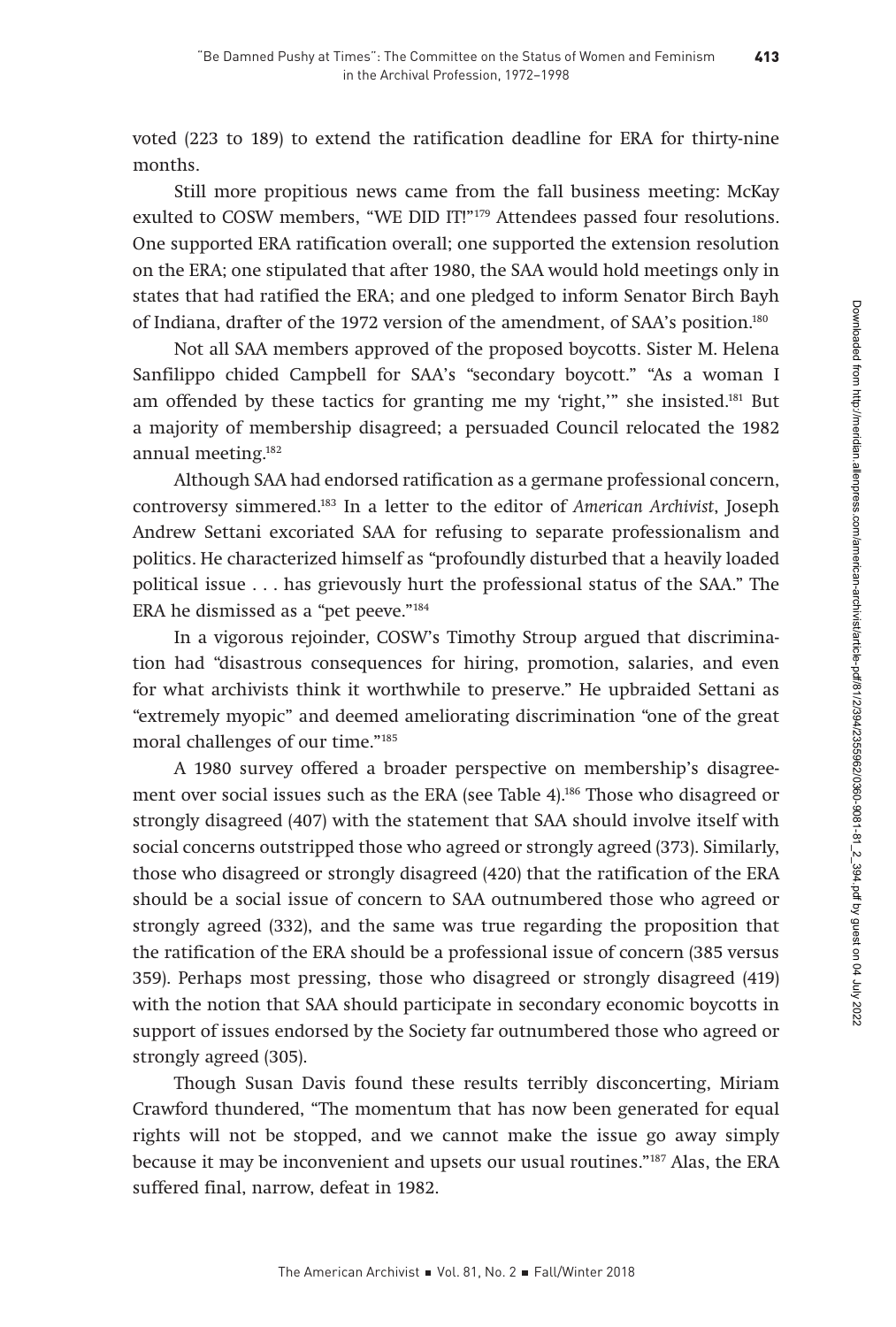voted (223 to 189) to extend the ratification deadline for ERA for thirty-nine months.

Still more propitious news came from the fall business meeting: McKay exulted to COSW members, "WE DID IT!"179 Attendees passed four resolutions. One supported ERA ratification overall; one supported the extension resolution on the ERA; one stipulated that after 1980, the SAA would hold meetings only in states that had ratified the ERA; and one pledged to inform Senator Birch Bayh of Indiana, drafter of the 1972 version of the amendment, of SAA's position.180

Not all SAA members approved of the proposed boycotts. Sister M. Helena Sanfilippo chided Campbell for SAA's "secondary boycott." "As a woman I am offended by these tactics for granting me my 'right,'" she insisted.181 But a majority of membership disagreed; a persuaded Council relocated the 1982 annual meeting.182

Although SAA had endorsed ratification as a germane professional concern, controversy simmered.183 In a letter to the editor of American Archivist, Joseph Andrew Settani excoriated SAA for refusing to separate professionalism and politics. He characterized himself as "profoundly disturbed that a heavily loaded political issue . . . has grievously hurt the professional status of the SAA." The ERA he dismissed as a "pet peeve."184

In a vigorous rejoinder, COSW's Timothy Stroup argued that discrimination had "disastrous consequences for hiring, promotion, salaries, and even for what archivists think it worthwhile to preserve." He upbraided Settani as "extremely myopic" and deemed ameliorating discrimination "one of the great moral challenges of our time."185

A 1980 survey offered a broader perspective on membership's disagreement over social issues such as the ERA (see Table 4).<sup>186</sup> Those who disagreed or strongly disagreed (407) with the statement that SAA should involve itself with social concerns outstripped those who agreed or strongly agreed (373). Similarly, those who disagreed or strongly disagreed (420) that the ratification of the ERA should be a social issue of concern to SAA outnumbered those who agreed or strongly agreed (332), and the same was true regarding the proposition that the ratification of the ERA should be a professional issue of concern (385 versus 359). Perhaps most pressing, those who disagreed or strongly disagreed (419) with the notion that SAA should participate in secondary economic boycotts in support of issues endorsed by the Society far outnumbered those who agreed or strongly agreed (305).

Though Susan Davis found these results terribly disconcerting, Miriam Crawford thundered, "The momentum that has now been generated for equal rights will not be stopped, and we cannot make the issue go away simply because it may be inconvenient and upsets our usual routines."187 Alas, the ERA suffered final, narrow, defeat in 1982.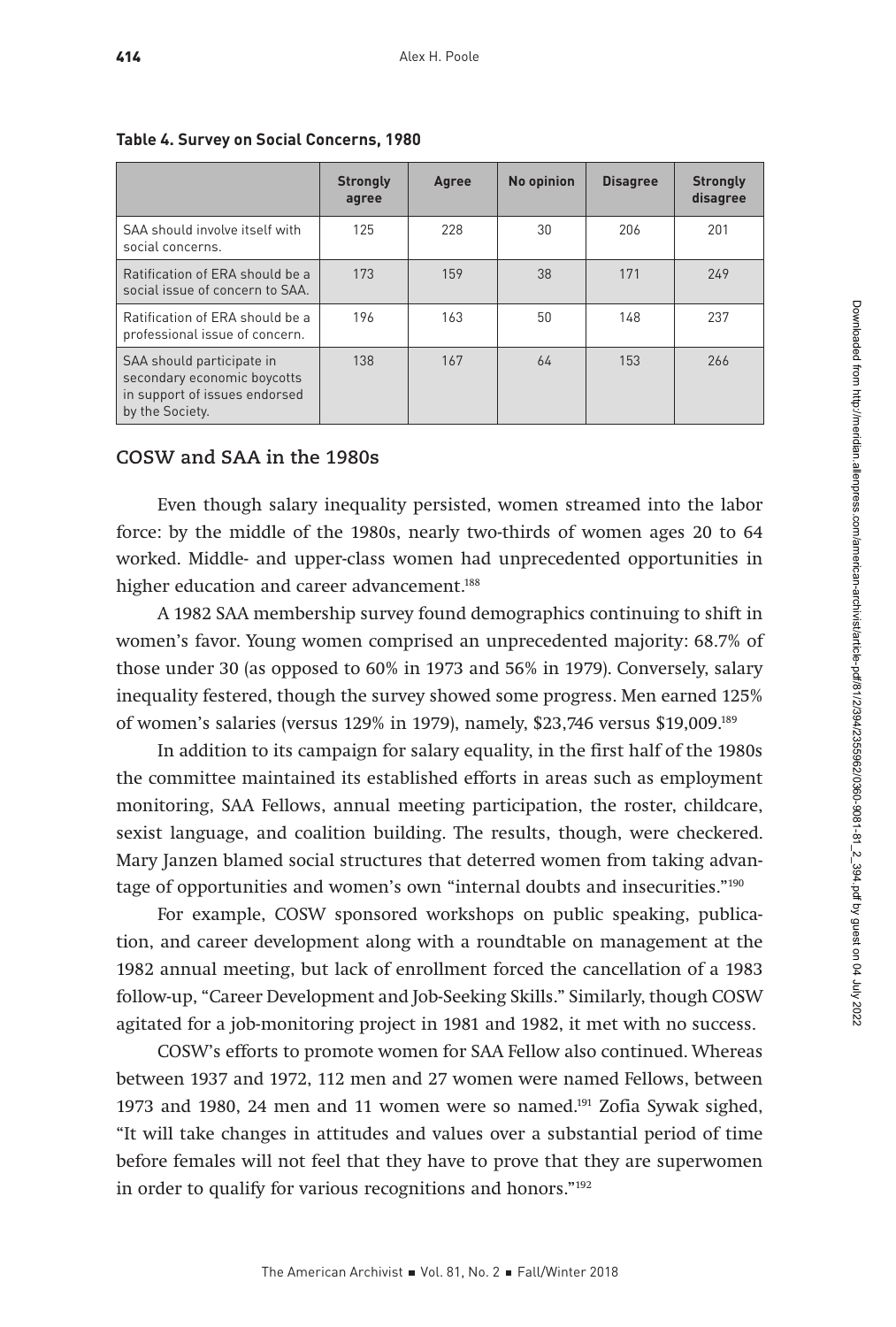|                                                                                                              | <b>Strongly</b><br>agree | Agree | No opinion | <b>Disagree</b> | <b>Strongly</b><br>disagree |
|--------------------------------------------------------------------------------------------------------------|--------------------------|-------|------------|-----------------|-----------------------------|
| SAA should involve itself with<br>social concerns.                                                           | 125                      | 228   | 30         | 206             | 201                         |
| Ratification of ERA should be a<br>social issue of concern to SAA.                                           | 173                      | 159   | 38         | 171             | 249                         |
| Ratification of FRA should be a<br>professional issue of concern.                                            | 196                      | 163   | 50         | 148             | 237                         |
| SAA should participate in<br>secondary economic boycotts<br>in support of issues endorsed<br>by the Society. | 138                      | 167   | 64         | 153             | 266                         |

# **Table 4. Survey on Social Concerns, 1980**

# **COSW and SAA in the 1980s**

Even though salary inequality persisted, women streamed into the labor force: by the middle of the 1980s, nearly two-thirds of women ages 20 to 64 worked. Middle- and upper-class women had unprecedented opportunities in higher education and career advancement.<sup>188</sup>

A 1982 SAA membership survey found demographics continuing to shift in women's favor. Young women comprised an unprecedented majority: 68.7% of those under 30 (as opposed to 60% in 1973 and 56% in 1979). Conversely, salary inequality festered, though the survey showed some progress. Men earned 125% of women's salaries (versus 129% in 1979), namely, \$23,746 versus \$19,009.189

In addition to its campaign for salary equality, in the first half of the 1980s the committee maintained its established efforts in areas such as employment monitoring, SAA Fellows, annual meeting participation, the roster, childcare, sexist language, and coalition building. The results, though, were checkered. Mary Janzen blamed social structures that deterred women from taking advantage of opportunities and women's own "internal doubts and insecurities."190

For example, COSW sponsored workshops on public speaking, publication, and career development along with a roundtable on management at the 1982 annual meeting, but lack of enrollment forced the cancellation of a 1983 follow-up, "Career Development and Job-Seeking Skills." Similarly, though COSW agitated for a job-monitoring project in 1981 and 1982, it met with no success.

COSW's efforts to promote women for SAA Fellow also continued. Whereas between 1937 and 1972, 112 men and 27 women were named Fellows, between 1973 and 1980, 24 men and 11 women were so named.191 Zofia Sywak sighed, "It will take changes in attitudes and values over a substantial period of time before females will not feel that they have to prove that they are superwomen in order to qualify for various recognitions and honors."192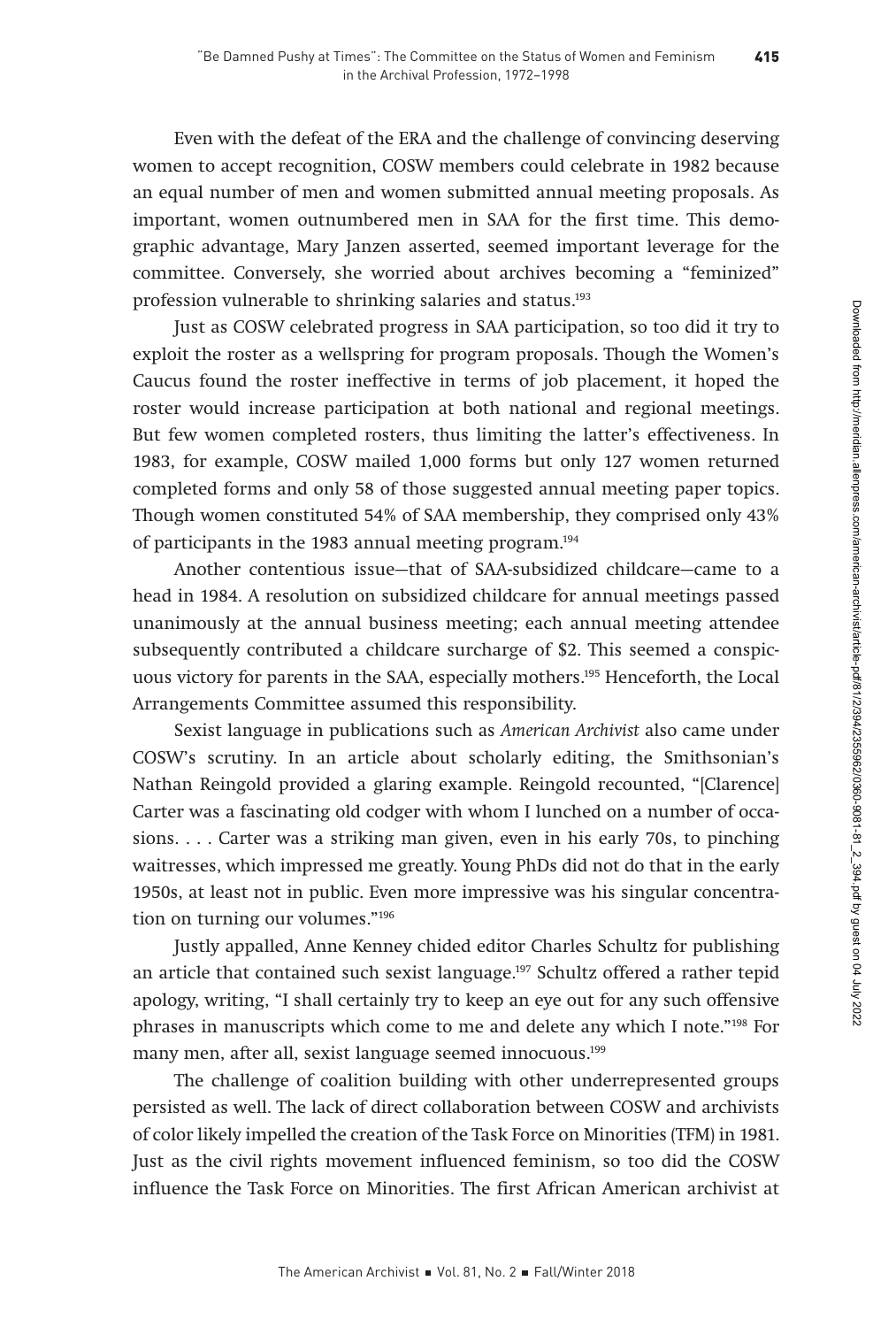Even with the defeat of the ERA and the challenge of convincing deserving women to accept recognition, COSW members could celebrate in 1982 because an equal number of men and women submitted annual meeting proposals. As important, women outnumbered men in SAA for the first time. This demographic advantage, Mary Janzen asserted, seemed important leverage for the committee. Conversely, she worried about archives becoming a "feminized" profession vulnerable to shrinking salaries and status.193

Just as COSW celebrated progress in SAA participation, so too did it try to exploit the roster as a wellspring for program proposals. Though the Women's Caucus found the roster ineffective in terms of job placement, it hoped the roster would increase participation at both national and regional meetings. But few women completed rosters, thus limiting the latter's effectiveness. In 1983, for example, COSW mailed 1,000 forms but only 127 women returned completed forms and only 58 of those suggested annual meeting paper topics. Though women constituted 54% of SAA membership, they comprised only 43% of participants in the 1983 annual meeting program.194

Another contentious issue—that of SAA-subsidized childcare—came to a head in 1984. A resolution on subsidized childcare for annual meetings passed unanimously at the annual business meeting; each annual meeting attendee subsequently contributed a childcare surcharge of \$2. This seemed a conspicuous victory for parents in the SAA, especially mothers.195 Henceforth, the Local Arrangements Committee assumed this responsibility.

Sexist language in publications such as American Archivist also came under COSW's scrutiny. In an article about scholarly editing, the Smithsonian's Nathan Reingold provided a glaring example. Reingold recounted, "[Clarence] Carter was a fascinating old codger with whom I lunched on a number of occasions. . . . Carter was a striking man given, even in his early 70s, to pinching waitresses, which impressed me greatly. Young PhDs did not do that in the early 1950s, at least not in public. Even more impressive was his singular concentration on turning our volumes."196

Justly appalled, Anne Kenney chided editor Charles Schultz for publishing an article that contained such sexist language.197 Schultz offered a rather tepid apology, writing, "I shall certainly try to keep an eye out for any such offensive phrases in manuscripts which come to me and delete any which I note."198 For many men, after all, sexist language seemed innocuous.<sup>199</sup>

The challenge of coalition building with other underrepresented groups persisted as well. The lack of direct collaboration between COSW and archivists of color likely impelled the creation of the Task Force on Minorities (TFM) in 1981. Just as the civil rights movement influenced feminism, so too did the COSW influence the Task Force on Minorities. The first African American archivist at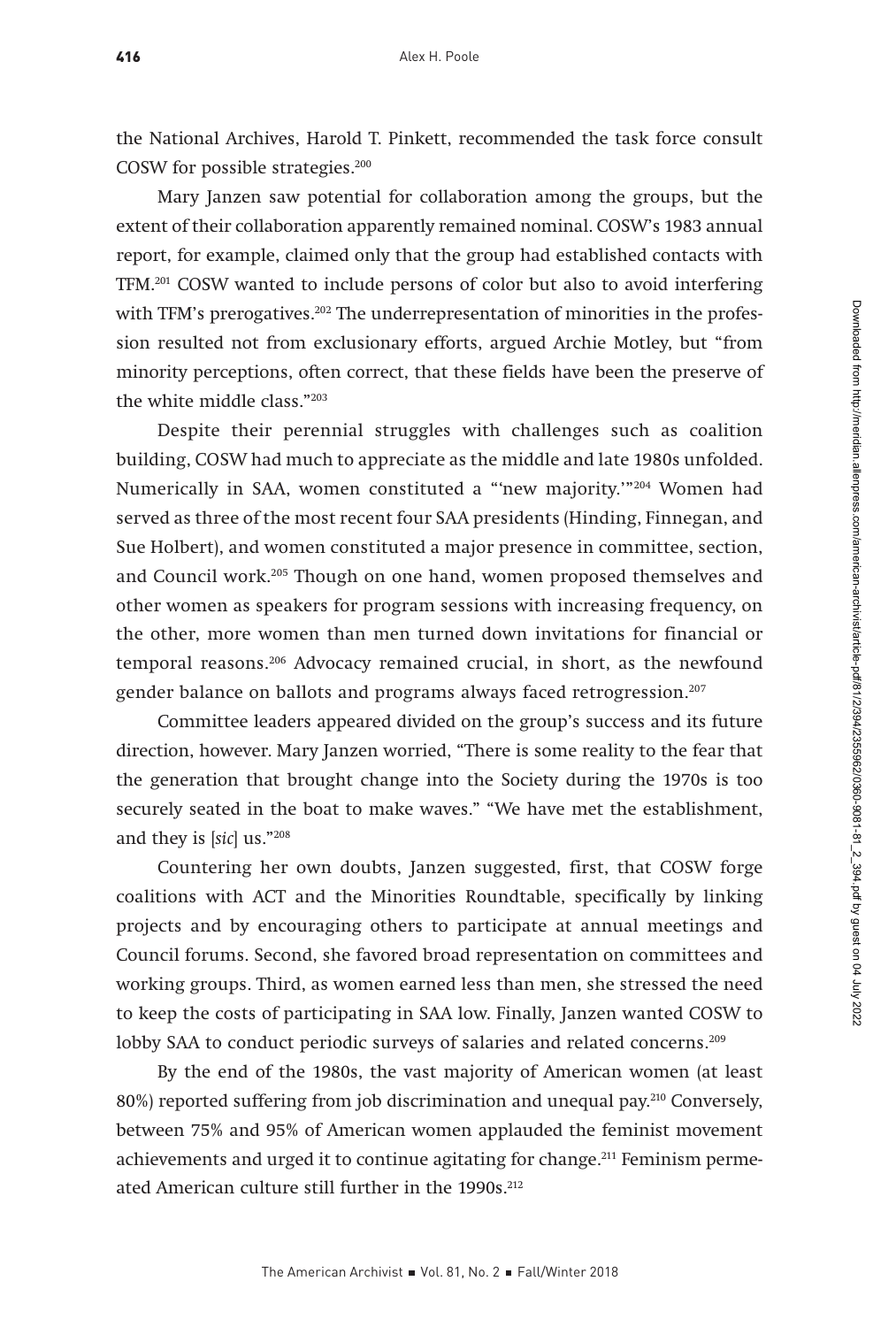the National Archives, Harold T. Pinkett, recommended the task force consult COSW for possible strategies.200

Mary Janzen saw potential for collaboration among the groups, but the extent of their collaboration apparently remained nominal. COSW's 1983 annual report, for example, claimed only that the group had established contacts with TFM.201 COSW wanted to include persons of color but also to avoid interfering with TFM's prerogatives. $202$  The underrepresentation of minorities in the profession resulted not from exclusionary efforts, argued Archie Motley, but "from minority perceptions, often correct, that these fields have been the preserve of the white middle class."203

Despite their perennial struggles with challenges such as coalition building, COSW had much to appreciate as the middle and late 1980s unfolded. Numerically in SAA, women constituted a "'new majority.'"204 Women had served as three of the most recent four SAA presidents (Hinding, Finnegan, and Sue Holbert), and women constituted a major presence in committee, section, and Council work.205 Though on one hand, women proposed themselves and other women as speakers for program sessions with increasing frequency, on the other, more women than men turned down invitations for financial or temporal reasons.206 Advocacy remained crucial, in short, as the newfound gender balance on ballots and programs always faced retrogression.<sup>207</sup>

Committee leaders appeared divided on the group's success and its future direction, however. Mary Janzen worried, "There is some reality to the fear that the generation that brought change into the Society during the 1970s is too securely seated in the boat to make waves." "We have met the establishment, and they is [sic] us."208

Countering her own doubts, Janzen suggested, first, that COSW forge coalitions with ACT and the Minorities Roundtable, specifically by linking projects and by encouraging others to participate at annual meetings and Council forums. Second, she favored broad representation on committees and working groups. Third, as women earned less than men, she stressed the need to keep the costs of participating in SAA low. Finally, Janzen wanted COSW to lobby SAA to conduct periodic surveys of salaries and related concerns.<sup>209</sup>

By the end of the 1980s, the vast majority of American women (at least 80%) reported suffering from job discrimination and unequal pay.210 Conversely, between 75% and 95% of American women applauded the feminist movement achievements and urged it to continue agitating for change.<sup>211</sup> Feminism permeated American culture still further in the 1990s.<sup>212</sup>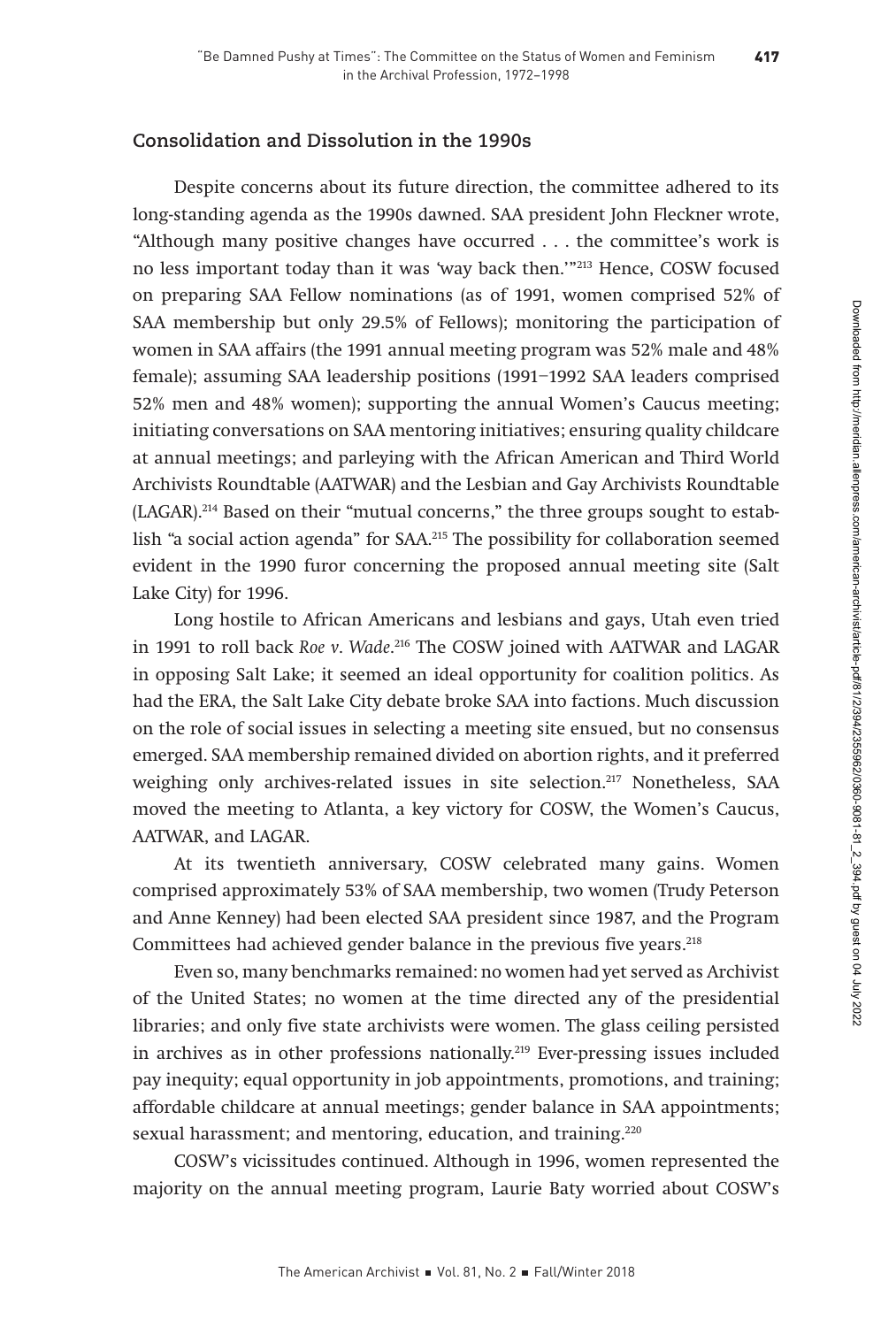# **Consolidation and Dissolution in the 1990s**

Despite concerns about its future direction, the committee adhered to its long-standing agenda as the 1990s dawned. SAA president John Fleckner wrote, "Although many positive changes have occurred . . . the committee's work is no less important today than it was 'way back then.'"213 Hence, COSW focused on preparing SAA Fellow nominations (as of 1991, women comprised 52% of SAA membership but only 29.5% of Fellows); monitoring the participation of women in SAA affairs (the 1991 annual meeting program was 52% male and 48% female); assuming SAA leadership positions (1991–1992 SAA leaders comprised 52% men and 48% women); supporting the annual Women's Caucus meeting; initiating conversations on SAA mentoring initiatives; ensuring quality childcare at annual meetings; and parleying with the African American and Third World Archivists Roundtable (AATWAR) and the Lesbian and Gay Archivists Roundtable (LAGAR).214 Based on their "mutual concerns," the three groups sought to establish "a social action agenda" for SAA.215 The possibility for collaboration seemed evident in the 1990 furor concerning the proposed annual meeting site (Salt Lake City) for 1996.

Long hostile to African Americans and lesbians and gays, Utah even tried in 1991 to roll back Roe v. Wade. 216 The COSW joined with AATWAR and LAGAR in opposing Salt Lake; it seemed an ideal opportunity for coalition politics. As had the ERA, the Salt Lake City debate broke SAA into factions. Much discussion on the role of social issues in selecting a meeting site ensued, but no consensus emerged. SAA membership remained divided on abortion rights, and it preferred weighing only archives-related issues in site selection.217 Nonetheless, SAA moved the meeting to Atlanta, a key victory for COSW, the Women's Caucus, AATWAR, and LAGAR.

At its twentieth anniversary, COSW celebrated many gains. Women comprised approximately 53% of SAA membership, two women (Trudy Peterson and Anne Kenney) had been elected SAA president since 1987, and the Program Committees had achieved gender balance in the previous five years.<sup>218</sup>

Even so, many benchmarks remained: no women had yet served as Archivist of the United States; no women at the time directed any of the presidential libraries; and only five state archivists were women. The glass ceiling persisted in archives as in other professions nationally.<sup>219</sup> Ever-pressing issues included pay inequity; equal opportunity in job appointments, promotions, and training; affordable childcare at annual meetings; gender balance in SAA appointments; sexual harassment; and mentoring, education, and training.<sup>220</sup>

COSW's vicissitudes continued. Although in 1996, women represented the majority on the annual meeting program, Laurie Baty worried about COSW's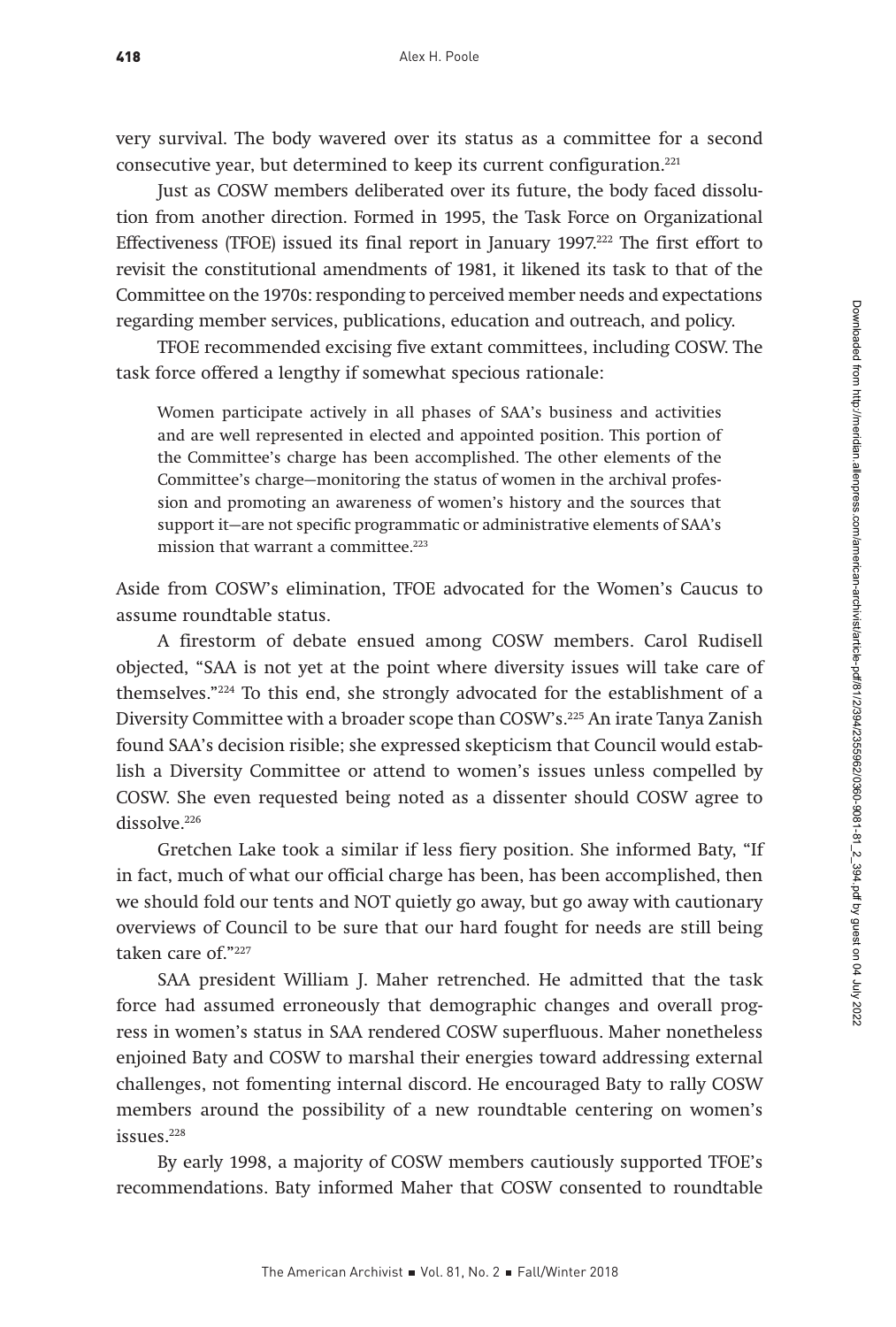very survival. The body wavered over its status as a committee for a second consecutive year, but determined to keep its current configuration.221

Just as COSW members deliberated over its future, the body faced dissolution from another direction. Formed in 1995, the Task Force on Organizational Effectiveness (TFOE) issued its final report in January 1997.222 The first effort to revisit the constitutional amendments of 1981, it likened its task to that of the Committee on the 1970s: responding to perceived member needs and expectations regarding member services, publications, education and outreach, and policy.

TFOE recommended excising five extant committees, including COSW. The task force offered a lengthy if somewhat specious rationale:

Women participate actively in all phases of SAA's business and activities and are well represented in elected and appointed position. This portion of the Committee's charge has been accomplished. The other elements of the Committee's charge—monitoring the status of women in the archival profession and promoting an awareness of women's history and the sources that support it—are not specific programmatic or administrative elements of SAA's mission that warrant a committee.<sup>223</sup>

Aside from COSW's elimination, TFOE advocated for the Women's Caucus to assume roundtable status.

A firestorm of debate ensued among COSW members. Carol Rudisell objected, "SAA is not yet at the point where diversity issues will take care of themselves."224 To this end, she strongly advocated for the establishment of a Diversity Committee with a broader scope than COSW's.<sup>225</sup> An irate Tanya Zanish found SAA's decision risible; she expressed skepticism that Council would establish a Diversity Committee or attend to women's issues unless compelled by COSW. She even requested being noted as a dissenter should COSW agree to dissolve.<sup>226</sup>

Gretchen Lake took a similar if less fiery position. She informed Baty, "If in fact, much of what our official charge has been, has been accomplished, then we should fold our tents and NOT quietly go away, but go away with cautionary overviews of Council to be sure that our hard fought for needs are still being taken care of."227

SAA president William J. Maher retrenched. He admitted that the task force had assumed erroneously that demographic changes and overall progress in women's status in SAA rendered COSW superfluous. Maher nonetheless enjoined Baty and COSW to marshal their energies toward addressing external challenges, not fomenting internal discord. He encouraged Baty to rally COSW members around the possibility of a new roundtable centering on women's issues.228

By early 1998, a majority of COSW members cautiously supported TFOE's recommendations. Baty informed Maher that COSW consented to roundtable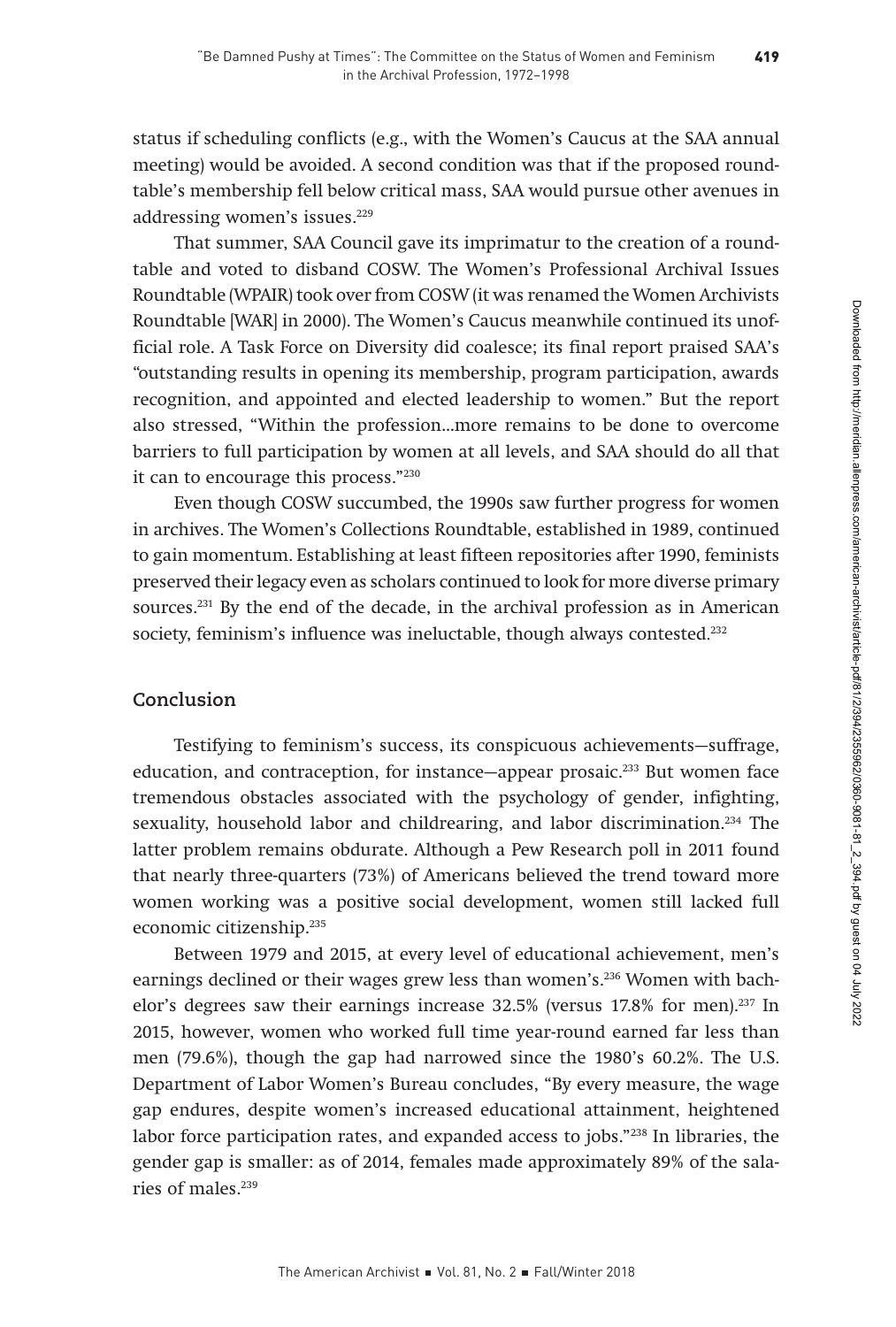status if scheduling conflicts (e.g., with the Women's Caucus at the SAA annual meeting) would be avoided. A second condition was that if the proposed roundtable's membership fell below critical mass, SAA would pursue other avenues in addressing women's issues.<sup>229</sup>

That summer, SAA Council gave its imprimatur to the creation of a roundtable and voted to disband COSW. The Women's Professional Archival Issues Roundtable (WPAIR) took over from COSW (it was renamed the Women Archivists Roundtable [WAR] in 2000). The Women's Caucus meanwhile continued its unofficial role. A Task Force on Diversity did coalesce; its final report praised SAA's "outstanding results in opening its membership, program participation, awards recognition, and appointed and elected leadership to women." But the report also stressed, "Within the profession…more remains to be done to overcome barriers to full participation by women at all levels, and SAA should do all that it can to encourage this process."230

Even though COSW succumbed, the 1990s saw further progress for women in archives. The Women's Collections Roundtable, established in 1989, continued to gain momentum. Establishing at least fifteen repositories after 1990, feminists preserved their legacy even as scholars continued to look for more diverse primary sources.231 By the end of the decade, in the archival profession as in American society, feminism's influence was ineluctable, though always contested.<sup>232</sup>

# **Conclusion**

Testifying to feminism's success, its conspicuous achievements—suffrage, education, and contraception, for instance—appear prosaic.233 But women face tremendous obstacles associated with the psychology of gender, infighting, sexuality, household labor and childrearing, and labor discrimination.<sup>234</sup> The latter problem remains obdurate. Although a Pew Research poll in 2011 found that nearly three-quarters (73%) of Americans believed the trend toward more women working was a positive social development, women still lacked full economic citizenship.235

Between 1979 and 2015, at every level of educational achievement, men's earnings declined or their wages grew less than women's.236 Women with bachelor's degrees saw their earnings increase 32.5% (versus 17.8% for men).<sup>237</sup> In 2015, however, women who worked full time year-round earned far less than men (79.6%), though the gap had narrowed since the 1980's 60.2%. The U.S. Department of Labor Women's Bureau concludes, "By every measure, the wage gap endures, despite women's increased educational attainment, heightened labor force participation rates, and expanded access to jobs."238 In libraries, the gender gap is smaller: as of 2014, females made approximately 89% of the salaries of males.<sup>239</sup>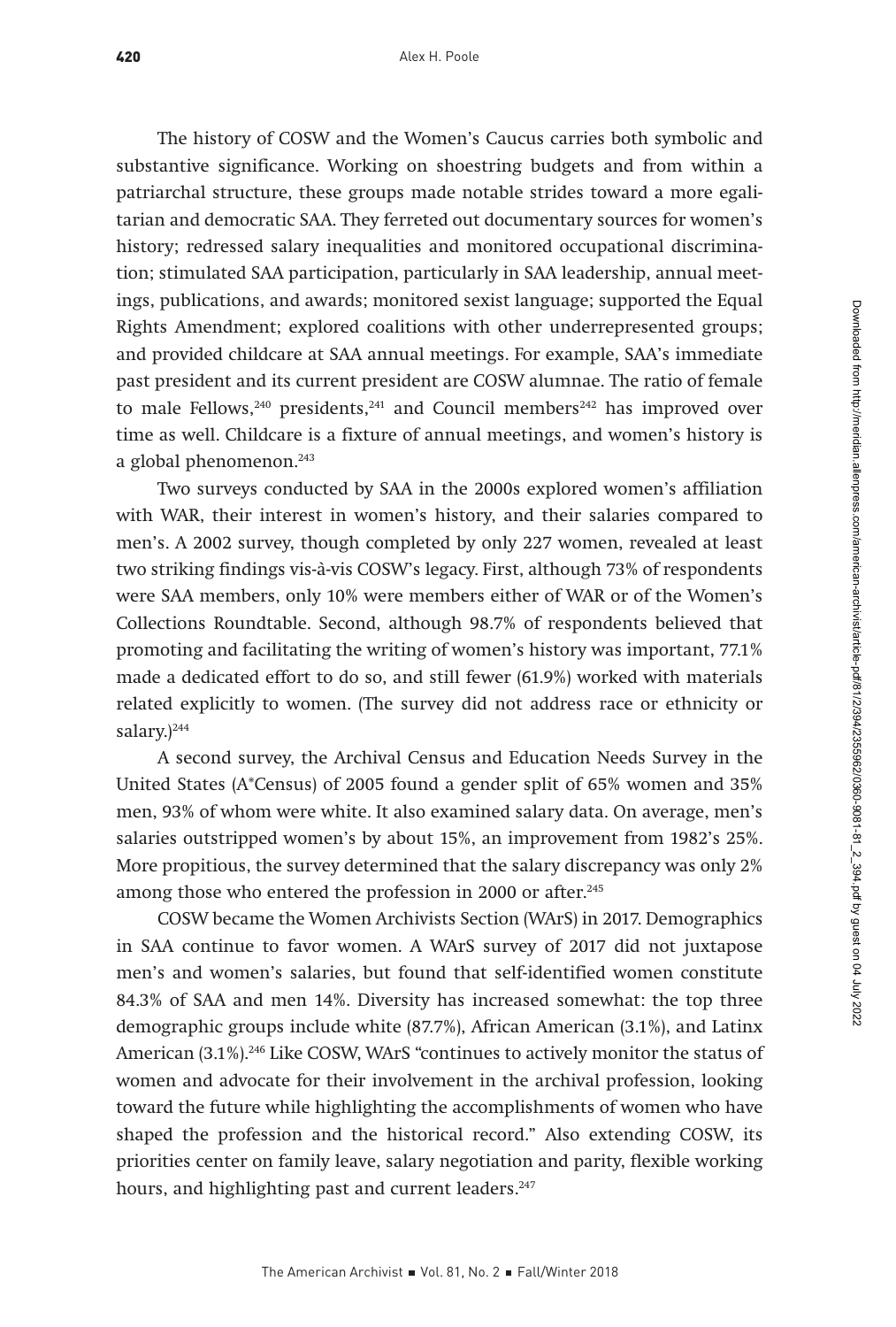The history of COSW and the Women's Caucus carries both symbolic and substantive significance. Working on shoestring budgets and from within a patriarchal structure, these groups made notable strides toward a more egalitarian and democratic SAA. They ferreted out documentary sources for women's history; redressed salary inequalities and monitored occupational discrimination; stimulated SAA participation, particularly in SAA leadership, annual meetings, publications, and awards; monitored sexist language; supported the Equal Rights Amendment; explored coalitions with other underrepresented groups; and provided childcare at SAA annual meetings. For example, SAA's immediate past president and its current president are COSW alumnae. The ratio of female to male Fellows, $240$  presidents, $241$  and Council members $242$  has improved over time as well. Childcare is a fixture of annual meetings, and women's history is a global phenomenon.<sup>243</sup>

Two surveys conducted by SAA in the 2000s explored women's affiliation with WAR, their interest in women's history, and their salaries compared to men's. A 2002 survey, though completed by only 227 women, revealed at least two striking findings vis-à-vis COSW's legacy. First, although 73% of respondents were SAA members, only 10% were members either of WAR or of the Women's Collections Roundtable. Second, although 98.7% of respondents believed that promoting and facilitating the writing of women's history was important, 77.1% made a dedicated effort to do so, and still fewer (61.9%) worked with materials related explicitly to women. (The survey did not address race or ethnicity or salary.)<sup>244</sup>

A second survey, the Archival Census and Education Needs Survey in the United States (A\*Census) of 2005 found a gender split of 65% women and 35% men, 93% of whom were white. It also examined salary data. On average, men's salaries outstripped women's by about 15%, an improvement from 1982's 25%. More propitious, the survey determined that the salary discrepancy was only 2% among those who entered the profession in 2000 or after.<sup>245</sup>

COSW became the Women Archivists Section (WArS) in 2017. Demographics in SAA continue to favor women. A WArS survey of 2017 did not juxtapose men's and women's salaries, but found that self-identified women constitute 84.3% of SAA and men 14%. Diversity has increased somewhat: the top three demographic groups include white (87.7%), African American (3.1%), and Latinx American (3.1%).<sup>246</sup> Like COSW, WArS "continues to actively monitor the status of women and advocate for their involvement in the archival profession, looking toward the future while highlighting the accomplishments of women who have shaped the profession and the historical record." Also extending COSW, its priorities center on family leave, salary negotiation and parity, flexible working hours, and highlighting past and current leaders.<sup>247</sup>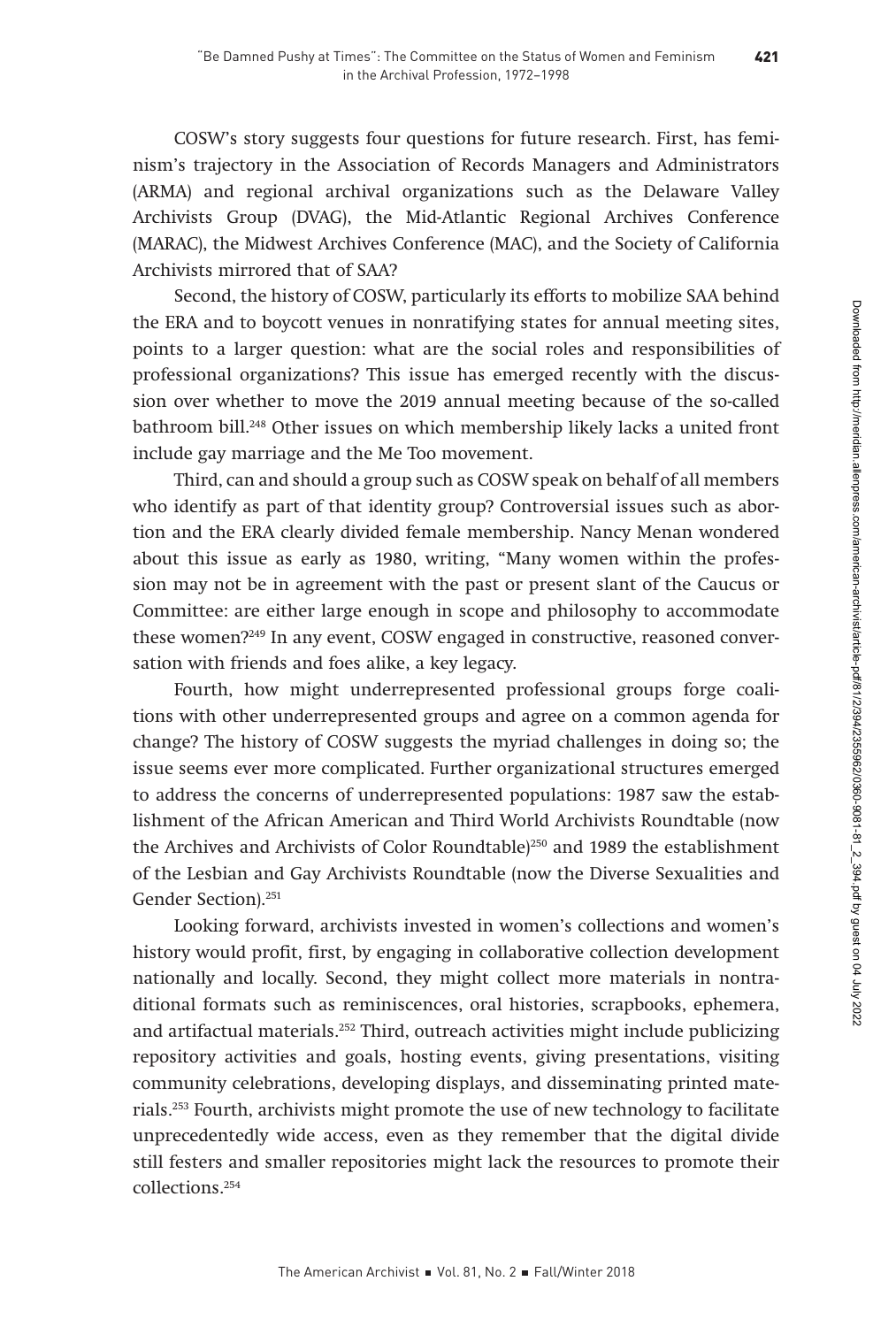COSW's story suggests four questions for future research. First, has feminism's trajectory in the Association of Records Managers and Administrators (ARMA) and regional archival organizations such as the Delaware Valley Archivists Group (DVAG), the Mid-Atlantic Regional Archives Conference (MARAC), the Midwest Archives Conference (MAC), and the Society of California Archivists mirrored that of SAA?

Second, the history of COSW, particularly its efforts to mobilize SAA behind the ERA and to boycott venues in nonratifying states for annual meeting sites, points to a larger question: what are the social roles and responsibilities of professional organizations? This issue has emerged recently with the discussion over whether to move the 2019 annual meeting because of the so-called bathroom bill.<sup>248</sup> Other issues on which membership likely lacks a united front include gay marriage and the Me Too movement.

Third, can and should a group such as COSW speak on behalf of all members who identify as part of that identity group? Controversial issues such as abortion and the ERA clearly divided female membership. Nancy Menan wondered about this issue as early as 1980, writing, "Many women within the profession may not be in agreement with the past or present slant of the Caucus or Committee: are either large enough in scope and philosophy to accommodate these women?249 In any event, COSW engaged in constructive, reasoned conversation with friends and foes alike, a key legacy.

Fourth, how might underrepresented professional groups forge coalitions with other underrepresented groups and agree on a common agenda for change? The history of COSW suggests the myriad challenges in doing so; the issue seems ever more complicated. Further organizational structures emerged to address the concerns of underrepresented populations: 1987 saw the establishment of the African American and Third World Archivists Roundtable (now the Archives and Archivists of Color Roundtable)<sup>250</sup> and 1989 the establishment of the Lesbian and Gay Archivists Roundtable (now the Diverse Sexualities and Gender Section).251

Looking forward, archivists invested in women's collections and women's history would profit, first, by engaging in collaborative collection development nationally and locally. Second, they might collect more materials in nontraditional formats such as reminiscences, oral histories, scrapbooks, ephemera, and artifactual materials.<sup>252</sup> Third, outreach activities might include publicizing repository activities and goals, hosting events, giving presentations, visiting community celebrations, developing displays, and disseminating printed materials.253 Fourth, archivists might promote the use of new technology to facilitate unprecedentedly wide access, even as they remember that the digital divide still festers and smaller repositories might lack the resources to promote their collections.254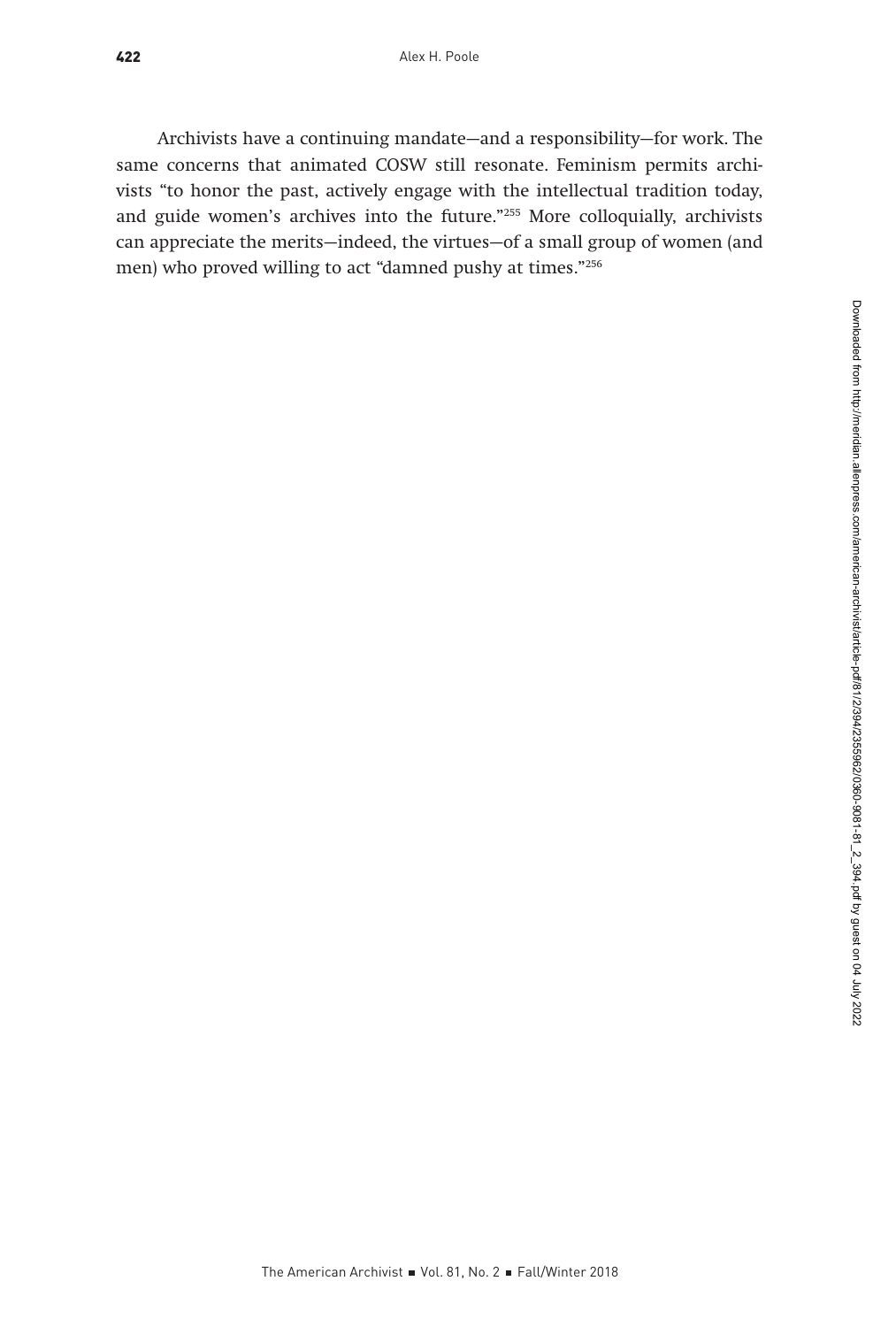Archivists have a continuing mandate—and a responsibility—for work. The same concerns that animated COSW still resonate. Feminism permits archivists "to honor the past, actively engage with the intellectual tradition today, and guide women's archives into the future."255 More colloquially, archivists can appreciate the merits—indeed, the virtues—of a small group of women (and men) who proved willing to act "damned pushy at times."256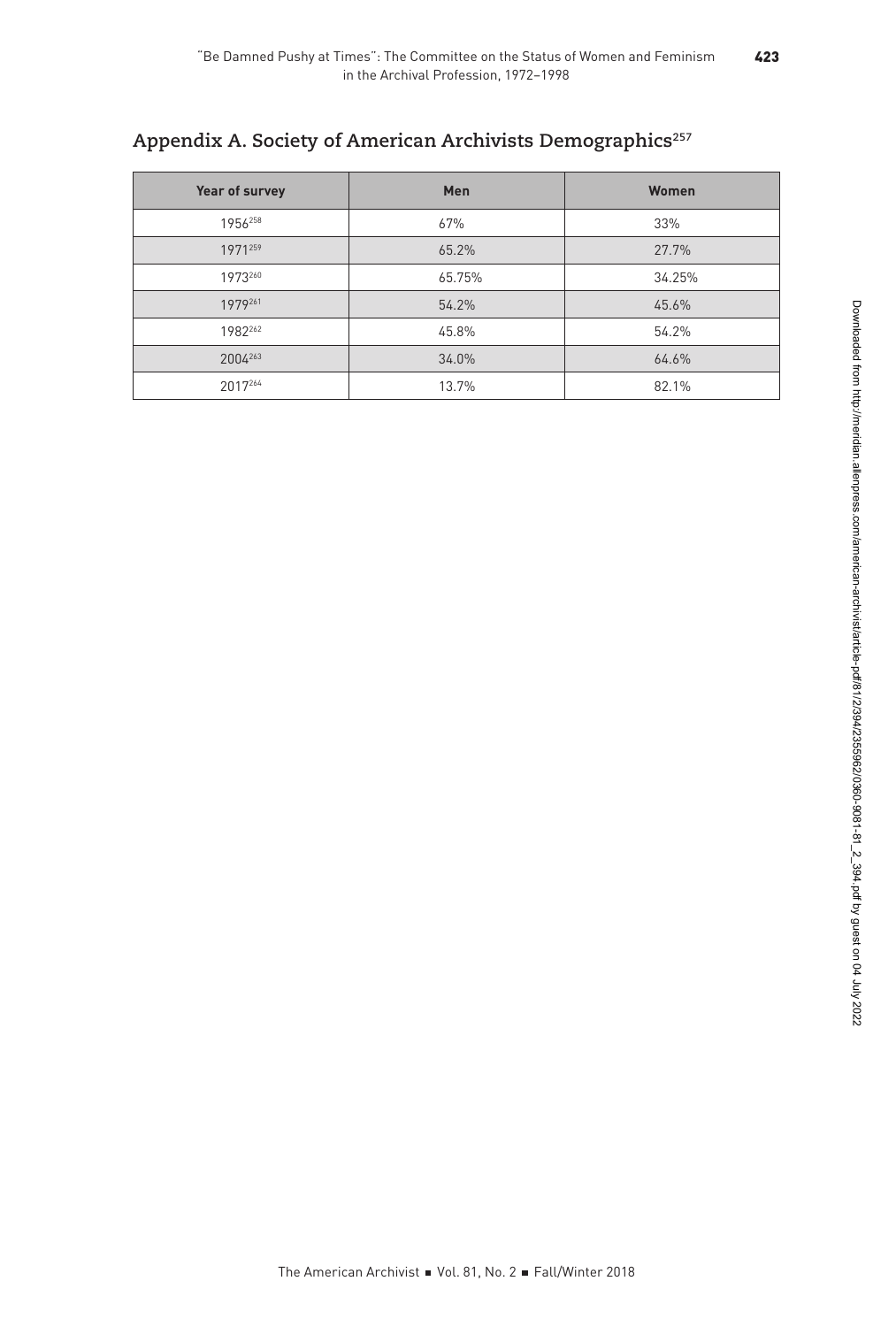# Appendix A. Society of American Archivists Demographics<sup>257</sup>

| Year of survey | Men    | Women  |
|----------------|--------|--------|
| 1956258        | 67%    | 33%    |
| 1971259        | 65.2%  | 27.7%  |
| 1973260        | 65.75% | 34.25% |
| 1979261        | 54.2%  | 45.6%  |
| 1982262        | 45.8%  | 54.2%  |
| 2004263        | 34.0%  | 64.6%  |
| 2017264        | 13.7%  | 82.1%  |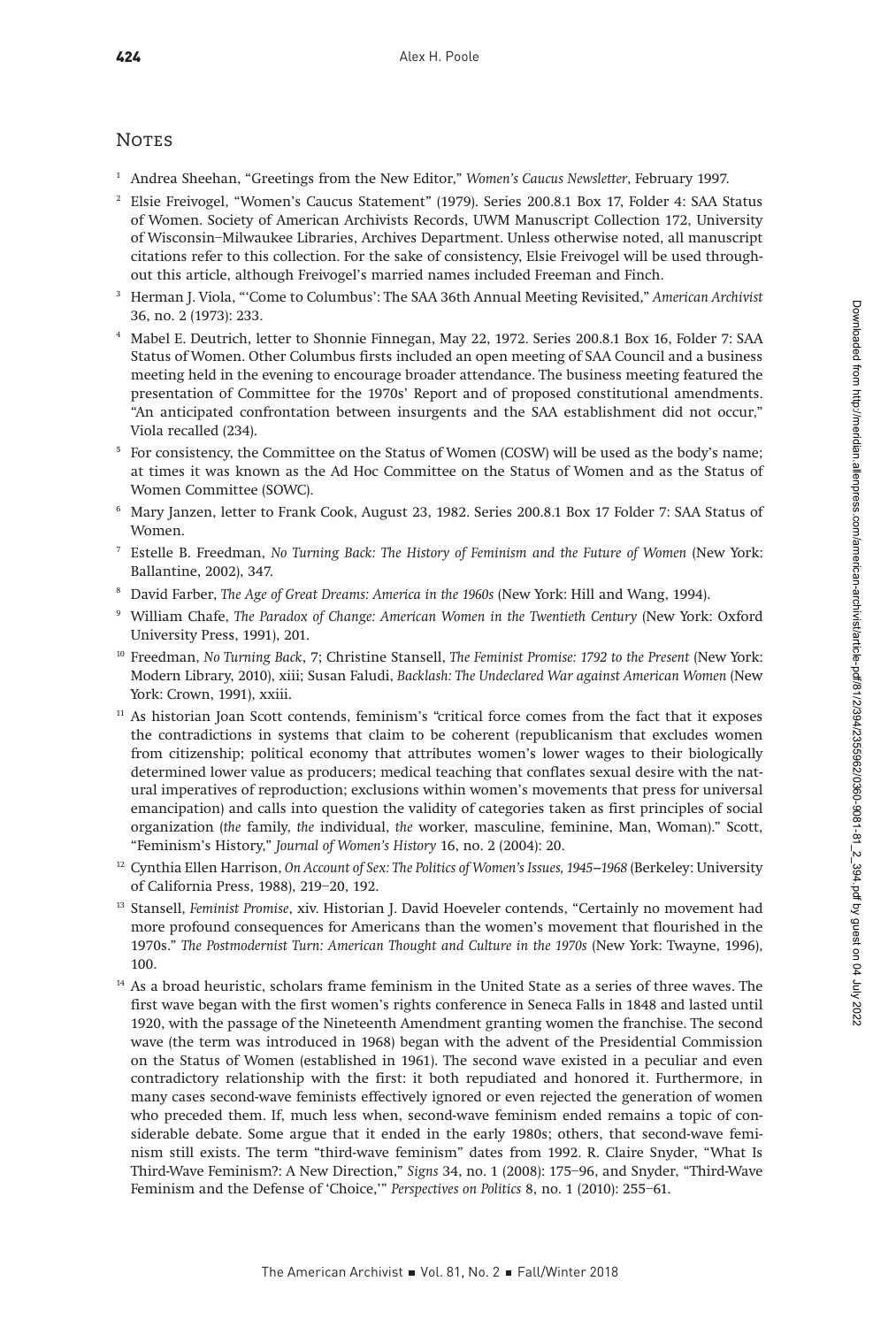#### **NOTES**

- <sup>1</sup> Andrea Sheehan, "Greetings from the New Editor," Women's Caucus Newsletter, February 1997.
- <sup>2</sup> Elsie Freivogel, "Women's Caucus Statement" (1979). Series 200.8.1 Box 17, Folder 4: SAA Status of Women. Society of American Archivists Records, UWM Manuscript Collection 172, University of Wisconsin–Milwaukee Libraries, Archives Department. Unless otherwise noted, all manuscript citations refer to this collection. For the sake of consistency, Elsie Freivogel will be used throughout this article, although Freivogel's married names included Freeman and Finch.
- <sup>3</sup> Herman J. Viola, "'Come to Columbus': The SAA 36th Annual Meeting Revisited," American Archivist 36, no. 2 (1973): 233.
- <sup>4</sup> Mabel E. Deutrich, letter to Shonnie Finnegan, May 22, 1972. Series 200.8.1 Box 16, Folder 7: SAA Status of Women. Other Columbus firsts included an open meeting of SAA Council and a business meeting held in the evening to encourage broader attendance. The business meeting featured the presentation of Committee for the 1970s' Report and of proposed constitutional amendments. "An anticipated confrontation between insurgents and the SAA establishment did not occur," Viola recalled (234).
- <sup>5</sup> For consistency, the Committee on the Status of Women (COSW) will be used as the body's name; at times it was known as the Ad Hoc Committee on the Status of Women and as the Status of Women Committee (SOWC).
- <sup>6</sup> Mary Janzen, letter to Frank Cook, August 23, 1982. Series 200.8.1 Box 17 Folder 7: SAA Status of Women.
- <sup>7</sup> Estelle B. Freedman, No Turning Back: The History of Feminism and the Future of Women (New York: Ballantine, 2002), 347.
- <sup>8</sup> David Farber, The Age of Great Dreams: America in the 1960s (New York: Hill and Wang, 1994).
- <sup>9</sup> William Chafe, The Paradox of Change: American Women in the Twentieth Century (New York: Oxford University Press, 1991), 201.
- <sup>10</sup> Freedman, No Turning Back, 7; Christine Stansell, The Feminist Promise: 1792 to the Present (New York: Modern Library, 2010), xiii; Susan Faludi, Backlash: The Undeclared War against American Women (New York: Crown, 1991), xxiii.
- <sup>11</sup> As historian Joan Scott contends, feminism's "critical force comes from the fact that it exposes the contradictions in systems that claim to be coherent (republicanism that excludes women from citizenship; political economy that attributes women's lower wages to their biologically determined lower value as producers; medical teaching that conflates sexual desire with the natural imperatives of reproduction; exclusions within women's movements that press for universal emancipation) and calls into question the validity of categories taken as first principles of social organization (the family, the individual, the worker, masculine, feminine, Man, Woman)." Scott, "Feminism's History," Journal of Women's History 16, no. 2 (2004): 20.
- <sup>12</sup> Cynthia Ellen Harrison, On Account of Sex: The Politics of Women's Issues, 1945–1968 (Berkeley: University of California Press, 1988), 219–20, 192.
- <sup>13</sup> Stansell, Feminist Promise, xiv. Historian J. David Hoeveler contends, "Certainly no movement had more profound consequences for Americans than the women's movement that flourished in the 1970s." The Postmodernist Turn: American Thought and Culture in the 1970s (New York: Twayne, 1996), 100.
- <sup>14</sup> As a broad heuristic, scholars frame feminism in the United State as a series of three waves. The first wave began with the first women's rights conference in Seneca Falls in 1848 and lasted until 1920, with the passage of the Nineteenth Amendment granting women the franchise. The second wave (the term was introduced in 1968) began with the advent of the Presidential Commission on the Status of Women (established in 1961). The second wave existed in a peculiar and even contradictory relationship with the first: it both repudiated and honored it. Furthermore, in many cases second-wave feminists effectively ignored or even rejected the generation of women who preceded them. If, much less when, second-wave feminism ended remains a topic of considerable debate. Some argue that it ended in the early 1980s; others, that second-wave feminism still exists. The term "third-wave feminism" dates from 1992. R. Claire Snyder, "What Is Third-Wave Feminism?: A New Direction," Signs 34, no. 1 (2008): 175–96, and Snyder, "Third-Wave Feminism and the Defense of 'Choice,'" Perspectives on Politics 8, no. 1 (2010): 255–61.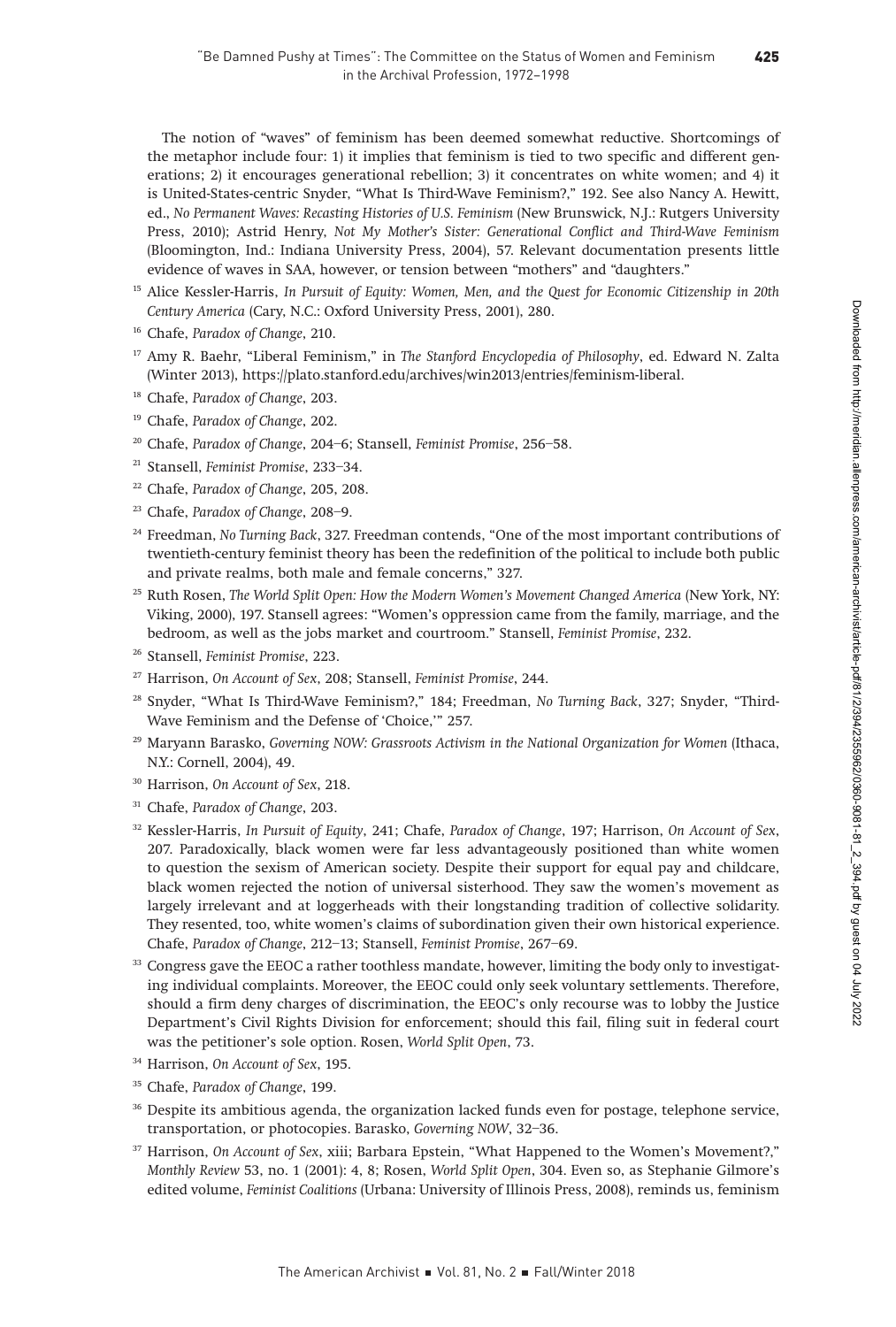425

The notion of "waves" of feminism has been deemed somewhat reductive. Shortcomings of the metaphor include four: 1) it implies that feminism is tied to two specific and different generations; 2) it encourages generational rebellion; 3) it concentrates on white women; and 4) it is United-States-centric Snyder, "What Is Third-Wave Feminism?," 192. See also Nancy A. Hewitt, ed., No Permanent Waves: Recasting Histories of U.S. Feminism (New Brunswick, N.J.: Rutgers University Press, 2010); Astrid Henry, Not My Mother's Sister: Generational Conflict and Third-Wave Feminism (Bloomington, Ind.: Indiana University Press, 2004), 57. Relevant documentation presents little evidence of waves in SAA, however, or tension between "mothers" and "daughters."

- <sup>15</sup> Alice Kessler-Harris, In Pursuit of Equity: Women, Men, and the Quest for Economic Citizenship in 20th Century America (Cary, N.C.: Oxford University Press, 2001), 280.
- <sup>16</sup> Chafe, Paradox of Change, 210.
- <sup>17</sup> Amy R. Baehr, "Liberal Feminism," in The Stanford Encyclopedia of Philosophy, ed. Edward N. Zalta (Winter 2013), <https://plato.stanford.edu/archives/win2013/entries/feminism-liberal>.
- <sup>18</sup> Chafe, Paradox of Change, 203.
- <sup>19</sup> Chafe, Paradox of Change, 202.
- <sup>20</sup> Chafe, Paradox of Change, 204-6; Stansell, Feminist Promise, 256-58.
- <sup>21</sup> Stansell, Feminist Promise, 233–34.
- <sup>22</sup> Chafe, Paradox of Change, 205, 208.
- <sup>23</sup> Chafe, Paradox of Change, 208-9.
- <sup>24</sup> Freedman, No Turning Back, 327. Freedman contends, "One of the most important contributions of twentieth-century feminist theory has been the redefinition of the political to include both public and private realms, both male and female concerns," 327.
- <sup>25</sup> Ruth Rosen, The World Split Open: How the Modern Women's Movement Changed America (New York, NY: Viking, 2000), 197. Stansell agrees: "Women's oppression came from the family, marriage, and the bedroom, as well as the jobs market and courtroom." Stansell, Feminist Promise, 232.
- <sup>26</sup> Stansell, Feminist Promise, 223.
- <sup>27</sup> Harrison, On Account of Sex, 208; Stansell, Feminist Promise, 244.
- <sup>28</sup> Snyder, "What Is Third-Wave Feminism?," 184; Freedman, No Turning Back, 327; Snyder, "Third-Wave Feminism and the Defense of 'Choice,'" 257.
- <sup>29</sup> Maryann Barasko, Governing NOW: Grassroots Activism in the National Organization for Women (Ithaca, N.Y.: Cornell, 2004), 49.
- <sup>30</sup> Harrison, On Account of Sex, 218.
- <sup>31</sup> Chafe, Paradox of Change, 203.
- <sup>32</sup> Kessler-Harris, In Pursuit of Equity, 241; Chafe, Paradox of Change, 197; Harrison, On Account of Sex, 207. Paradoxically, black women were far less advantageously positioned than white women to question the sexism of American society. Despite their support for equal pay and childcare, black women rejected the notion of universal sisterhood. They saw the women's movement as largely irrelevant and at loggerheads with their longstanding tradition of collective solidarity. They resented, too, white women's claims of subordination given their own historical experience. Chafe, Paradox of Change, 212–13; Stansell, Feminist Promise, 267–69.
- $33$  Congress gave the EEOC a rather toothless mandate, however, limiting the body only to investigating individual complaints. Moreover, the EEOC could only seek voluntary settlements. Therefore, should a firm deny charges of discrimination, the EEOC's only recourse was to lobby the Justice Department's Civil Rights Division for enforcement; should this fail, filing suit in federal court was the petitioner's sole option. Rosen, World Split Open, 73.
- <sup>34</sup> Harrison, On Account of Sex, 195.
- <sup>35</sup> Chafe, Paradox of Change, 199.
- <sup>36</sup> Despite its ambitious agenda, the organization lacked funds even for postage, telephone service, transportation, or photocopies. Barasko, Governing NOW, 32–36.
- $37$  Harrison, On Account of Sex, xiii; Barbara Epstein, "What Happened to the Women's Movement?," Monthly Review 53, no. 1 (2001): 4, 8; Rosen, World Split Open, 304. Even so, as Stephanie Gilmore's edited volume, Feminist Coalitions (Urbana: University of Illinois Press, 2008), reminds us, feminism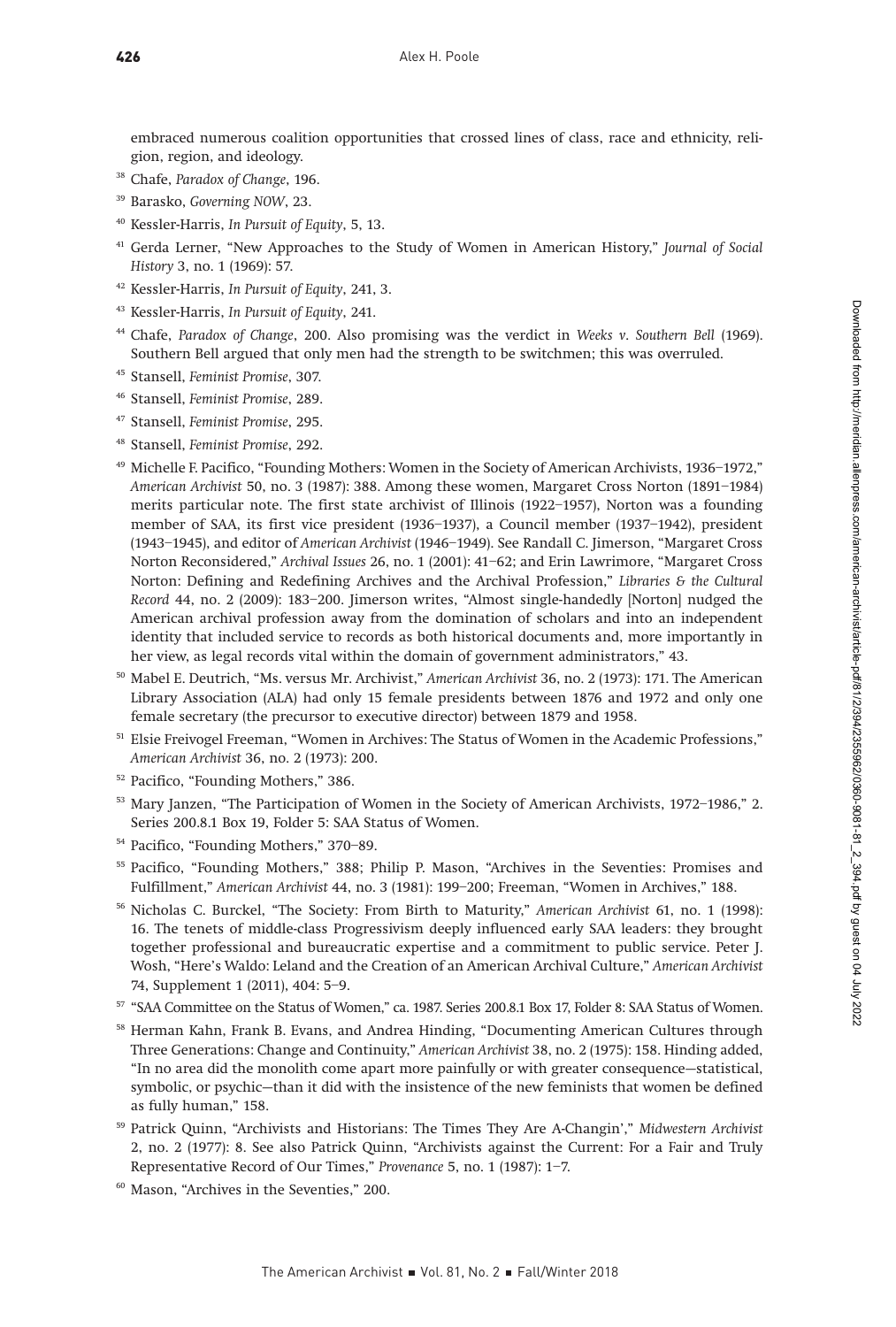embraced numerous coalition opportunities that crossed lines of class, race and ethnicity, religion, region, and ideology.

- <sup>38</sup> Chafe, Paradox of Change, 196.
- <sup>39</sup> Barasko, Governing NOW, 23.
- <sup>40</sup> Kessler-Harris, In Pursuit of Equity, 5, 13.
- <sup>41</sup> Gerda Lerner, "New Approaches to the Study of Women in American History," Journal of Social History 3, no. 1 (1969): 57.
- <sup>42</sup> Kessler-Harris, In Pursuit of Equity, 241, 3.
- <sup>43</sup> Kessler-Harris, In Pursuit of Equity, 241.
- Chafe, Paradox of Change, 200. Also promising was the verdict in Weeks v. Southern Bell (1969). Southern Bell argued that only men had the strength to be switchmen; this was overruled.
- <sup>45</sup> Stansell, Feminist Promise, 307.
- <sup>46</sup> Stansell, Feminist Promise, 289.
- <sup>47</sup> Stansell, Feminist Promise, 295.
- <sup>48</sup> Stansell, Feminist Promise, 292.
- <sup>49</sup> Michelle F. Pacifico, "Founding Mothers: Women in the Society of American Archivists, 1936–1972," American Archivist 50, no. 3 (1987): 388. Among these women, Margaret Cross Norton (1891–1984) merits particular note. The first state archivist of Illinois (1922–1957), Norton was a founding member of SAA, its first vice president (1936–1937), a Council member (1937–1942), president (1943–1945), and editor of American Archivist (1946–1949). See Randall C. Jimerson, "Margaret Cross Norton Reconsidered," Archival Issues 26, no. 1 (2001): 41–62; and Erin Lawrimore, "Margaret Cross Norton: Defining and Redefining Archives and the Archival Profession," Libraries & the Cultural Record 44, no. 2 (2009): 183–200. Jimerson writes, "Almost single-handedly [Norton] nudged the American archival profession away from the domination of scholars and into an independent identity that included service to records as both historical documents and, more importantly in her view, as legal records vital within the domain of government administrators," 43.
- <sup>50</sup> Mabel E. Deutrich, "Ms. versus Mr. Archivist," American Archivist 36, no. 2 (1973): 171. The American Library Association (ALA) had only 15 female presidents between 1876 and 1972 and only one female secretary (the precursor to executive director) between 1879 and 1958.
- <sup>51</sup> Elsie Freivogel Freeman, "Women in Archives: The Status of Women in the Academic Professions," American Archivist 36, no. 2 (1973): 200.
- <sup>52</sup> Pacifico, "Founding Mothers," 386.
- <sup>53</sup> Mary Janzen, "The Participation of Women in the Society of American Archivists, 1972-1986," 2. Series 200.8.1 Box 19, Folder 5: SAA Status of Women.
- <sup>54</sup> Pacifico, "Founding Mothers," 370–89.
- <sup>55</sup> Pacifico, "Founding Mothers," 388; Philip P. Mason, "Archives in the Seventies: Promises and Fulfillment," American Archivist 44, no. 3 (1981): 199–200; Freeman, "Women in Archives," 188.
- <sup>56</sup> Nicholas C. Burckel, "The Society: From Birth to Maturity," American Archivist 61, no. 1 (1998): 16. The tenets of middle-class Progressivism deeply influenced early SAA leaders: they brought together professional and bureaucratic expertise and a commitment to public service. Peter J. Wosh, "Here's Waldo: Leland and the Creation of an American Archival Culture," American Archivist 74, Supplement 1 (2011), 404: 5–9.
- <sup>57</sup> "SAA Committee on the Status of Women," ca. 1987. Series 200.8.1 Box 17, Folder 8: SAA Status of Women.
- <sup>58</sup> Herman Kahn, Frank B. Evans, and Andrea Hinding, "Documenting American Cultures through Three Generations: Change and Continuity," American Archivist 38, no. 2 (1975): 158. Hinding added, "In no area did the monolith come apart more painfully or with greater consequence—statistical, symbolic, or psychic—than it did with the insistence of the new feminists that women be defined as fully human," 158.
- <sup>59</sup> Patrick Quinn, "Archivists and Historians: The Times They Are A-Changin'," Midwestern Archivist 2, no. 2 (1977): 8. See also Patrick Quinn, "Archivists against the Current: For a Fair and Truly Representative Record of Our Times," Provenance 5, no. 1 (1987): 1–7.
- <sup>60</sup> Mason, "Archives in the Seventies," 200.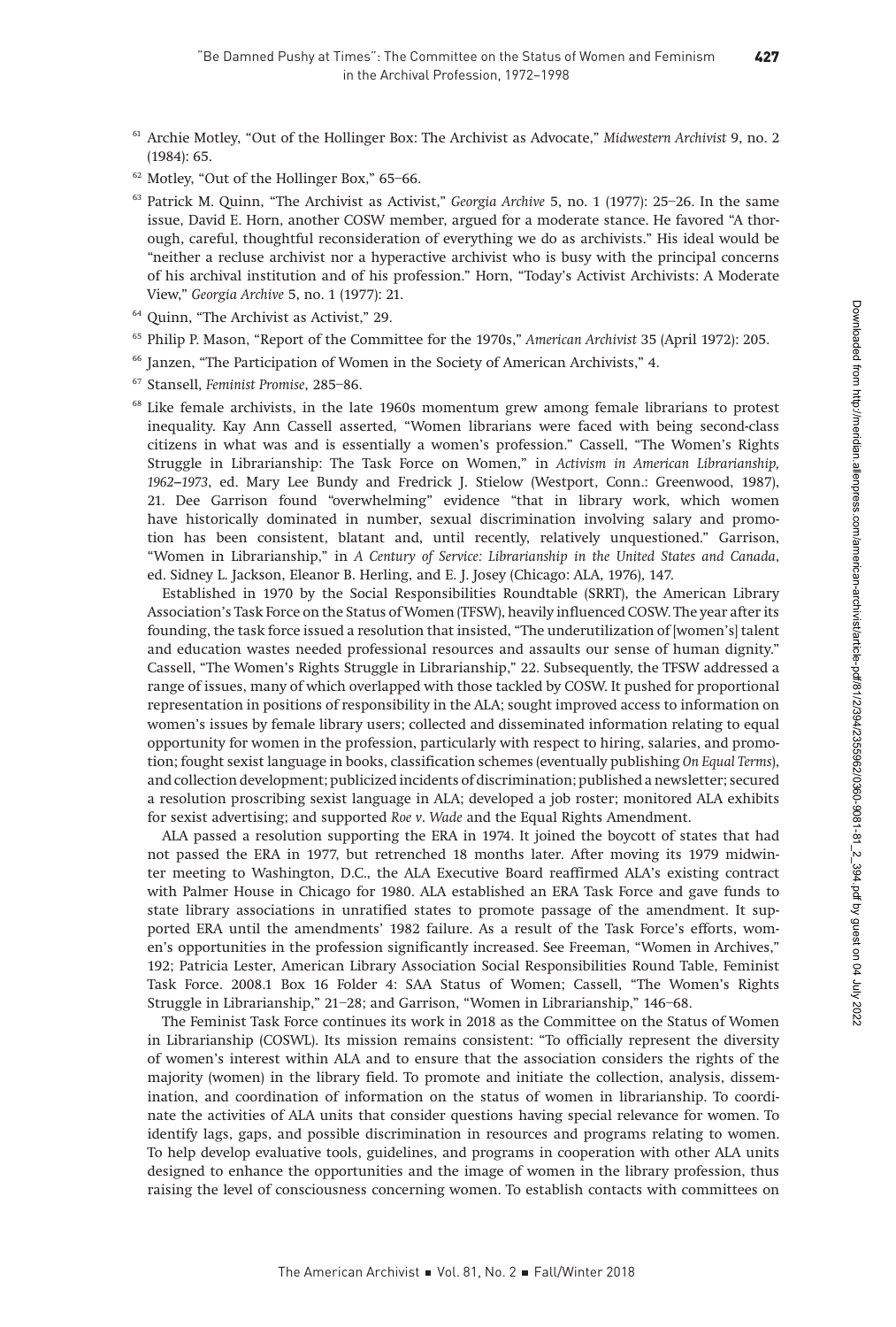427

- <sup>61</sup> Archie Motley, "Out of the Hollinger Box: The Archivist as Advocate," Midwestern Archivist 9, no. 2 (1984): 65.
- <sup>62</sup> Motley, "Out of the Hollinger Box," 65–66.
- <sup>63</sup> Patrick M. Quinn, "The Archivist as Activist," Georgia Archive 5, no. 1 (1977): 25-26. In the same issue, David E. Horn, another COSW member, argued for a moderate stance. He favored "A thorough, careful, thoughtful reconsideration of everything we do as archivists." His ideal would be "neither a recluse archivist nor a hyperactive archivist who is busy with the principal concerns of his archival institution and of his profession." Horn, "Today's Activist Archivists: A Moderate View," Georgia Archive 5, no. 1 (1977): 21.
- <sup>64</sup> Quinn, "The Archivist as Activist," 29.
- <sup>65</sup> Philip P. Mason, "Report of the Committee for the 1970s," American Archivist 35 (April 1972): 205.
- <sup>66</sup> Janzen, "The Participation of Women in the Society of American Archivists," 4.
- <sup>67</sup> Stansell, Feminist Promise, 285–86.
- $68$  Like female archivists, in the late 1960s momentum grew among female librarians to protest inequality. Kay Ann Cassell asserted, "Women librarians were faced with being second-class citizens in what was and is essentially a women's profession." Cassell, "The Women's Rights Struggle in Librarianship: The Task Force on Women," in Activism in American Librarianship, 1962–1973, ed. Mary Lee Bundy and Fredrick J. Stielow (Westport, Conn.: Greenwood, 1987), 21. Dee Garrison found "overwhelming" evidence "that in library work, which women have historically dominated in number, sexual discrimination involving salary and promotion has been consistent, blatant and, until recently, relatively unquestioned." Garrison, "Women in Librarianship," in A Century of Service: Librarianship in the United States and Canada, ed. Sidney L. Jackson, Eleanor B. Herling, and E. J. Josey (Chicago: ALA, 1976), 147.

Established in 1970 by the Social Responsibilities Roundtable (SRRT), the American Library Association's Task Force on the Status of Women (TFSW), heavily influenced COSW. The year after its founding, the task force issued a resolution that insisted, "The underutilization of [women's] talent and education wastes needed professional resources and assaults our sense of human dignity." Cassell, "The Women's Rights Struggle in Librarianship," 22. Subsequently, the TFSW addressed a range of issues, many of which overlapped with those tackled by COSW. It pushed for proportional representation in positions of responsibility in the ALA; sought improved access to information on women's issues by female library users; collected and disseminated information relating to equal opportunity for women in the profession, particularly with respect to hiring, salaries, and promotion; fought sexist language in books, classification schemes (eventually publishing On Equal Terms), and collection development; publicized incidents of discrimination; published a newsletter; secured a resolution proscribing sexist language in ALA; developed a job roster; monitored ALA exhibits for sexist advertising; and supported Roe v. Wade and the Equal Rights Amendment.

ALA passed a resolution supporting the ERA in 1974. It joined the boycott of states that had not passed the ERA in 1977, but retrenched 18 months later. After moving its 1979 midwinter meeting to Washington, D.C., the ALA Executive Board reaffirmed ALA's existing contract with Palmer House in Chicago for 1980. ALA established an ERA Task Force and gave funds to state library associations in unratified states to promote passage of the amendment. It supported ERA until the amendments' 1982 failure. As a result of the Task Force's efforts, women's opportunities in the profession significantly increased. See Freeman, "Women in Archives," 192; Patricia Lester, American Library Association Social Responsibilities Round Table, Feminist Task Force. 2008.1 Box 16 Folder 4: SAA Status of Women; Cassell, "The Women's Rights Struggle in Librarianship," 21–28; and Garrison, "Women in Librarianship," 146–68.

The Feminist Task Force continues its work in 2018 as the Committee on the Status of Women in Librarianship (COSWL). Its mission remains consistent: "To officially represent the diversity of women's interest within ALA and to ensure that the association considers the rights of the majority (women) in the library field. To promote and initiate the collection, analysis, dissemination, and coordination of information on the status of women in librarianship. To coordinate the activities of ALA units that consider questions having special relevance for women. To identify lags, gaps, and possible discrimination in resources and programs relating to women. To help develop evaluative tools, guidelines, and programs in cooperation with other ALA units designed to enhance the opportunities and the image of women in the library profession, thus raising the level of consciousness concerning women. To establish contacts with committees on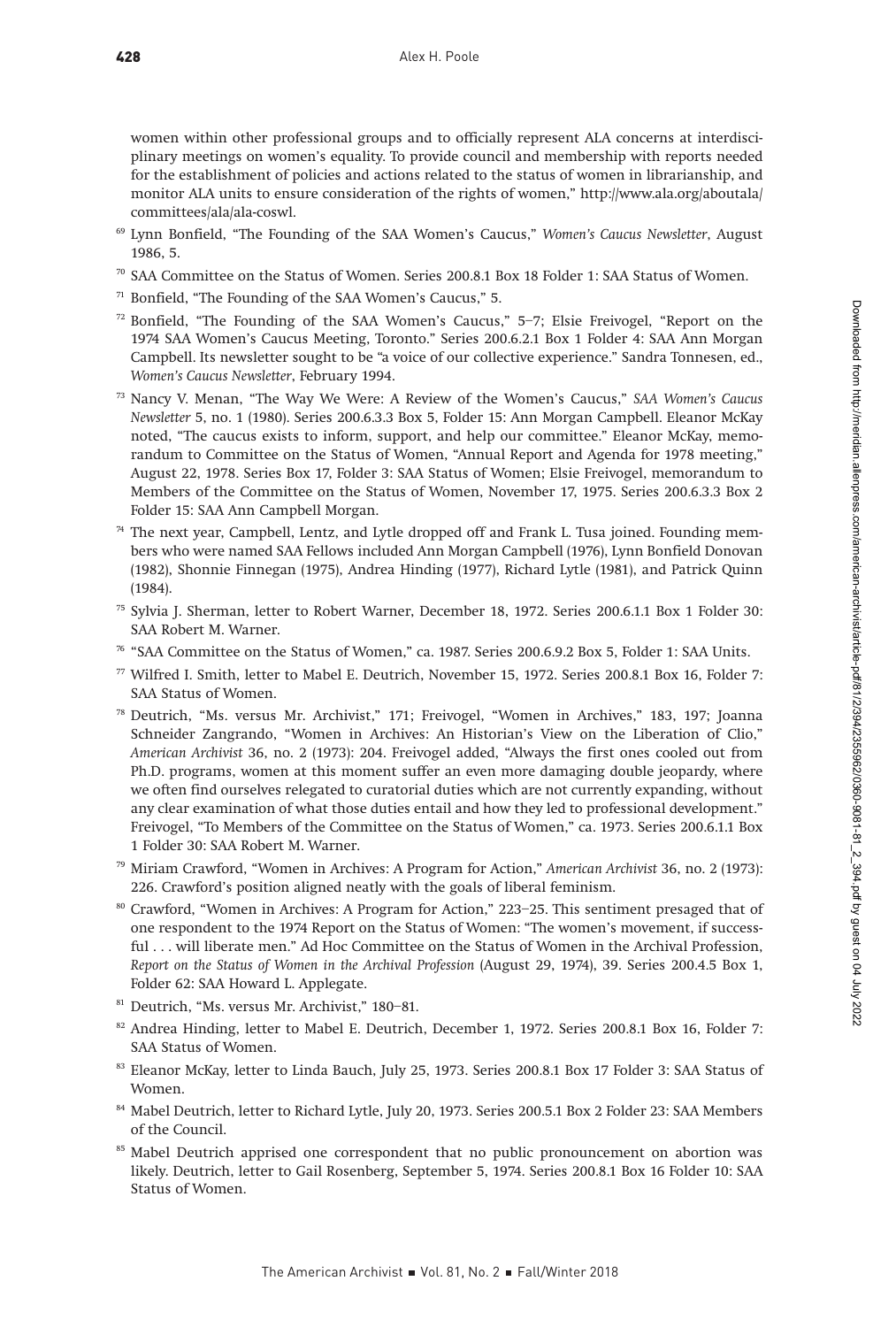women within other professional groups and to officially represent ALA concerns at interdisciplinary meetings on women's equality. To provide council and membership with reports needed for the establishment of policies and actions related to the status of women in librarianship, and monitor ALA units to ensure consideration of the rights of women," [http://www.ala.org/aboutala/](http://www.ala.org/aboutala/committees/ala/ala-coswl) [committees/ala/ala-coswl.](http://www.ala.org/aboutala/committees/ala/ala-coswl)

- <sup>69</sup> Lynn Bonfield, "The Founding of the SAA Women's Caucus," Women's Caucus Newsletter, August 1986, 5.
- <sup>70</sup> SAA Committee on the Status of Women. Series 200.8.1 Box 18 Folder 1: SAA Status of Women.
- <sup>71</sup> Bonfield, "The Founding of the SAA Women's Caucus," 5.
- $72$  Bonfield, "The Founding of the SAA Women's Caucus," 5–7; Elsie Freivogel, "Report on the 1974 SAA Women's Caucus Meeting, Toronto." Series 200.6.2.1 Box 1 Folder 4: SAA Ann Morgan Campbell. Its newsletter sought to be "a voice of our collective experience." Sandra Tonnesen, ed., Women's Caucus Newsletter, February 1994.
- $73$  Nancy V. Menan, "The Way We Were: A Review of the Women's Caucus," SAA Women's Caucus Newsletter 5, no. 1 (1980). Series 200.6.3.3 Box 5, Folder 15: Ann Morgan Campbell. Eleanor McKay noted, "The caucus exists to inform, support, and help our committee." Eleanor McKay, memorandum to Committee on the Status of Women, "Annual Report and Agenda for 1978 meeting," August 22, 1978. Series Box 17, Folder 3: SAA Status of Women; Elsie Freivogel, memorandum to Members of the Committee on the Status of Women, November 17, 1975. Series 200.6.3.3 Box 2 Folder 15: SAA Ann Campbell Morgan.
- <sup>74</sup> The next year, Campbell, Lentz, and Lytle dropped off and Frank L. Tusa joined. Founding members who were named SAA Fellows included Ann Morgan Campbell (1976), Lynn Bonfield Donovan (1982), Shonnie Finnegan (1975), Andrea Hinding (1977), Richard Lytle (1981), and Patrick Quinn (1984).
- <sup>75</sup> Sylvia J. Sherman, letter to Robert Warner, December 18, 1972. Series 200.6.1.1 Box 1 Folder 30: SAA Robert M. Warner.
- <sup>76</sup> "SAA Committee on the Status of Women," ca. 1987. Series 200.6.9.2 Box 5, Folder 1: SAA Units.
- <sup>77</sup> Wilfred I. Smith, letter to Mabel E. Deutrich, November 15, 1972. Series 200.8.1 Box 16, Folder 7: SAA Status of Women.
- <sup>78</sup> Deutrich, "Ms. versus Mr. Archivist," 171; Freivogel, "Women in Archives," 183, 197; Joanna Schneider Zangrando, "Women in Archives: An Historian's View on the Liberation of Clio," American Archivist 36, no. 2 (1973): 204. Freivogel added, "Always the first ones cooled out from Ph.D. programs, women at this moment suffer an even more damaging double jeopardy, where we often find ourselves relegated to curatorial duties which are not currently expanding, without any clear examination of what those duties entail and how they led to professional development." Freivogel, "To Members of the Committee on the Status of Women," ca. 1973. Series 200.6.1.1 Box 1 Folder 30: SAA Robert M. Warner.
- <sup>79</sup> Miriam Crawford, "Women in Archives: A Program for Action," American Archivist 36, no. 2 (1973): 226. Crawford's position aligned neatly with the goals of liberal feminism.
- <sup>80</sup> Crawford, "Women in Archives: A Program for Action," 223–25. This sentiment presaged that of one respondent to the 1974 Report on the Status of Women: "The women's movement, if successful . . . will liberate men." Ad Hoc Committee on the Status of Women in the Archival Profession, Report on the Status of Women in the Archival Profession (August 29, 1974), 39. Series 200.4.5 Box 1, Folder 62: SAA Howard L. Applegate.
- <sup>81</sup> Deutrich, "Ms. versus Mr. Archivist," 180–81.
- <sup>82</sup> Andrea Hinding, letter to Mabel E. Deutrich, December 1, 1972. Series 200.8.1 Box 16, Folder 7: SAA Status of Women.
- <sup>83</sup> Eleanor McKay, letter to Linda Bauch, July 25, 1973. Series 200.8.1 Box 17 Folder 3: SAA Status of Women.
- 84 Mabel Deutrich, letter to Richard Lytle, July 20, 1973. Series 200.5.1 Box 2 Folder 23: SAA Members of the Council.
- <sup>85</sup> Mabel Deutrich apprised one correspondent that no public pronouncement on abortion was likely. Deutrich, letter to Gail Rosenberg, September 5, 1974. Series 200.8.1 Box 16 Folder 10: SAA Status of Women.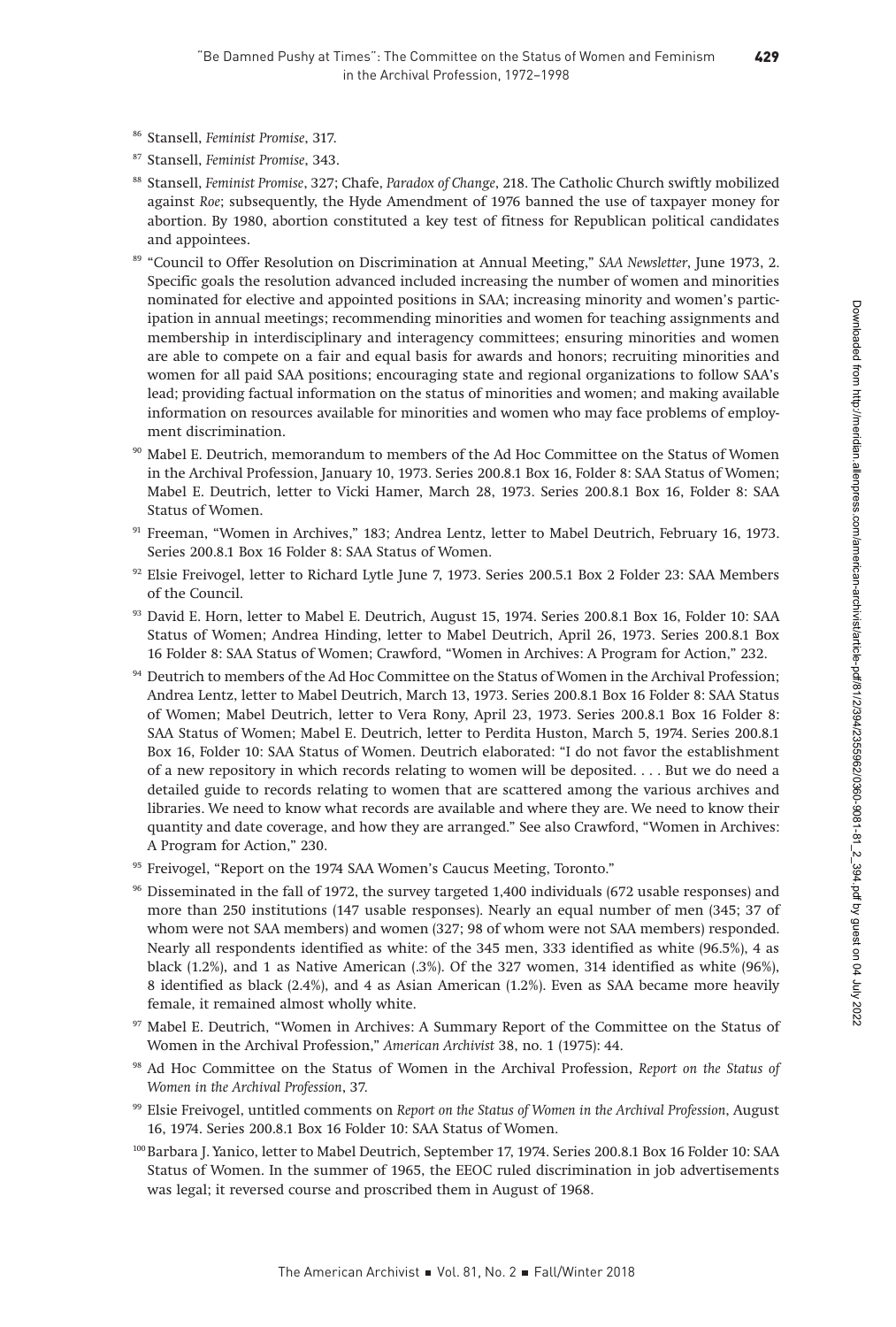- <sup>86</sup> Stansell, Feminist Promise, 317.
- <sup>87</sup> Stansell, Feminist Promise, 343.
- 88 Stansell, Feminist Promise, 327; Chafe, Paradox of Change, 218. The Catholic Church swiftly mobilized against Roe; subsequently, the Hyde Amendment of 1976 banned the use of taxpayer money for abortion. By 1980, abortion constituted a key test of fitness for Republican political candidates and appointees.
- <sup>89</sup> "Council to Offer Resolution on Discrimination at Annual Meeting," SAA Newsletter, June 1973, 2. Specific goals the resolution advanced included increasing the number of women and minorities nominated for elective and appointed positions in SAA; increasing minority and women's participation in annual meetings; recommending minorities and women for teaching assignments and membership in interdisciplinary and interagency committees; ensuring minorities and women are able to compete on a fair and equal basis for awards and honors; recruiting minorities and women for all paid SAA positions; encouraging state and regional organizations to follow SAA's lead; providing factual information on the status of minorities and women; and making available information on resources available for minorities and women who may face problems of employment discrimination.
- <sup>90</sup> Mabel E. Deutrich, memorandum to members of the Ad Hoc Committee on the Status of Women in the Archival Profession, January 10, 1973. Series 200.8.1 Box 16, Folder 8: SAA Status of Women; Mabel E. Deutrich, letter to Vicki Hamer, March 28, 1973. Series 200.8.1 Box 16, Folder 8: SAA Status of Women.
- <sup>91</sup> Freeman, "Women in Archives," 183; Andrea Lentz, letter to Mabel Deutrich, February 16, 1973. Series 200.8.1 Box 16 Folder 8: SAA Status of Women.
- $92$  Elsie Freivogel, letter to Richard Lytle June 7, 1973. Series 200.5.1 Box 2 Folder 23: SAA Members of the Council.
- 93 David E. Horn, letter to Mabel E. Deutrich, August 15, 1974. Series 200.8.1 Box 16, Folder 10: SAA Status of Women; Andrea Hinding, letter to Mabel Deutrich, April 26, 1973. Series 200.8.1 Box 16 Folder 8: SAA Status of Women; Crawford, "Women in Archives: A Program for Action," 232.
- <sup>94</sup> Deutrich to members of the Ad Hoc Committee on the Status of Women in the Archival Profession; Andrea Lentz, letter to Mabel Deutrich, March 13, 1973. Series 200.8.1 Box 16 Folder 8: SAA Status of Women; Mabel Deutrich, letter to Vera Rony, April 23, 1973. Series 200.8.1 Box 16 Folder 8: SAA Status of Women; Mabel E. Deutrich, letter to Perdita Huston, March 5, 1974. Series 200.8.1 Box 16, Folder 10: SAA Status of Women. Deutrich elaborated: "I do not favor the establishment of a new repository in which records relating to women will be deposited. . . . But we do need a detailed guide to records relating to women that are scattered among the various archives and libraries. We need to know what records are available and where they are. We need to know their quantity and date coverage, and how they are arranged." See also Crawford, "Women in Archives: A Program for Action," 230.
- <sup>95</sup> Freivogel, "Report on the 1974 SAA Women's Caucus Meeting, Toronto."
- <sup>96</sup> Disseminated in the fall of 1972, the survey targeted 1,400 individuals (672 usable responses) and more than 250 institutions (147 usable responses). Nearly an equal number of men (345; 37 of whom were not SAA members) and women (327; 98 of whom were not SAA members) responded. Nearly all respondents identified as white: of the 345 men, 333 identified as white (96.5%), 4 as black  $(1.2\%)$ , and 1 as Native American  $(.3\%)$ . Of the 327 women, 314 identified as white  $(96\%)$ , 8 identified as black (2.4%), and 4 as Asian American (1.2%). Even as SAA became more heavily female, it remained almost wholly white.
- Mabel E. Deutrich, "Women in Archives: A Summary Report of the Committee on the Status of Women in the Archival Profession," American Archivist 38, no. 1 (1975): 44.
- <sup>98</sup> Ad Hoc Committee on the Status of Women in the Archival Profession, Report on the Status of Women in the Archival Profession, 37.
- <sup>99</sup> Elsie Freivogel, untitled comments on Report on the Status of Women in the Archival Profession, August 16, 1974. Series 200.8.1 Box 16 Folder 10: SAA Status of Women.
- 100Barbara J. Yanico, letter to Mabel Deutrich, September 17, 1974. Series 200.8.1 Box 16 Folder 10: SAA Status of Women. In the summer of 1965, the EEOC ruled discrimination in job advertisements was legal; it reversed course and proscribed them in August of 1968.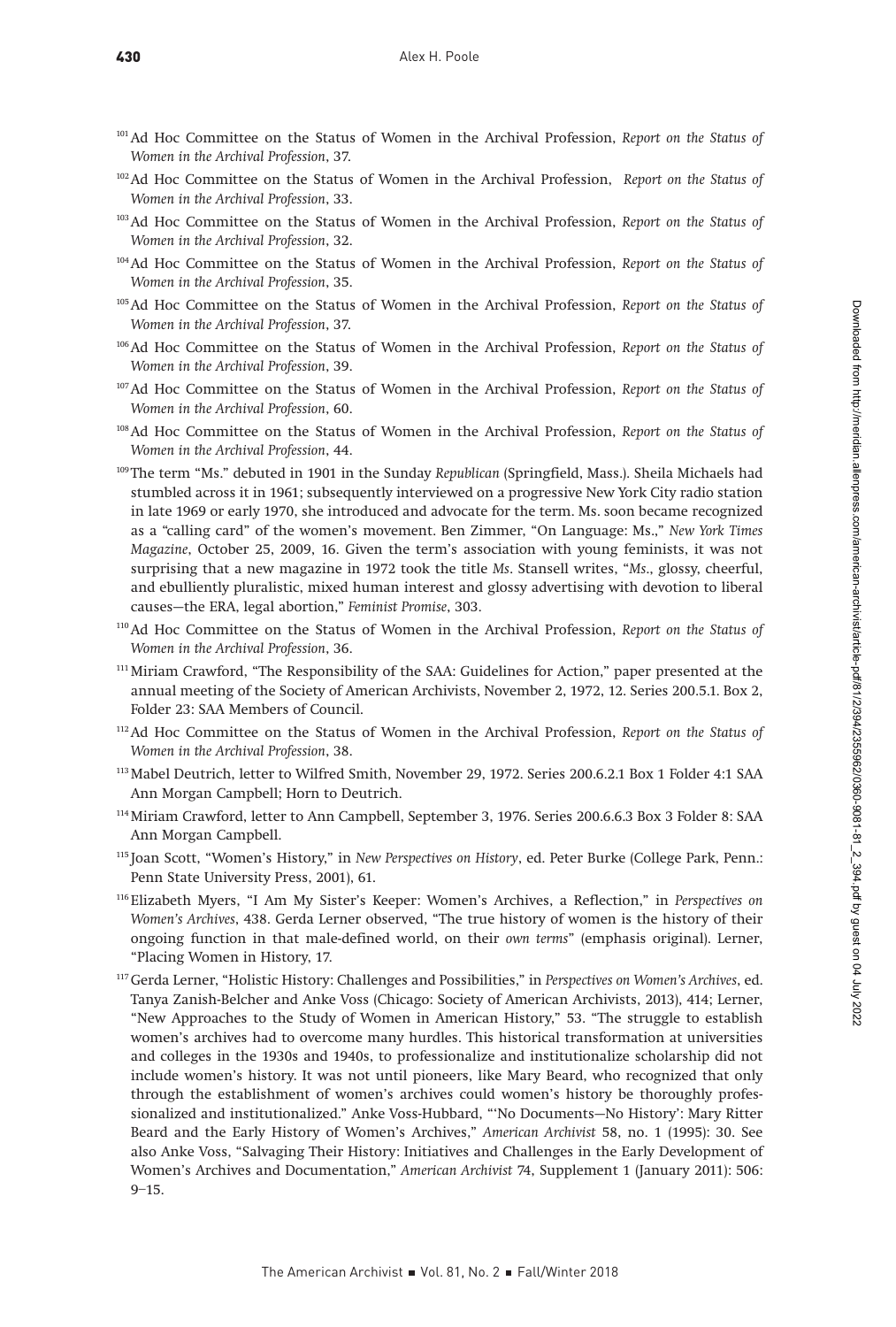- <sup>101</sup> Ad Hoc Committee on the Status of Women in the Archival Profession, Report on the Status of Women in the Archival Profession, 37.
- <sup>102</sup>Ad Hoc Committee on the Status of Women in the Archival Profession, Report on the Status of Women in the Archival Profession, 33.
- <sup>103</sup>Ad Hoc Committee on the Status of Women in the Archival Profession, Report on the Status of Women in the Archival Profession, 32.
- <sup>104</sup>Ad Hoc Committee on the Status of Women in the Archival Profession, Report on the Status of Women in the Archival Profession, 35.
- <sup>105</sup>Ad Hoc Committee on the Status of Women in the Archival Profession, Report on the Status of Women in the Archival Profession, 37.
- <sup>106</sup>Ad Hoc Committee on the Status of Women in the Archival Profession, Report on the Status of Women in the Archival Profession, 39.
- <sup>107</sup>Ad Hoc Committee on the Status of Women in the Archival Profession, Report on the Status of Women in the Archival Profession, 60.
- <sup>108</sup>Ad Hoc Committee on the Status of Women in the Archival Profession, Report on the Status of Women in the Archival Profession, 44.
- <sup>109</sup>The term "Ms." debuted in 1901 in the Sunday Republican (Springfield, Mass.). Sheila Michaels had stumbled across it in 1961; subsequently interviewed on a progressive New York City radio station in late 1969 or early 1970, she introduced and advocate for the term. Ms. soon became recognized as a "calling card" of the women's movement. Ben Zimmer, "On Language: Ms.," New York Times Magazine, October 25, 2009, 16. Given the term's association with young feminists, it was not surprising that a new magazine in 1972 took the title Ms. Stansell writes, "Ms., glossy, cheerful, and ebulliently pluralistic, mixed human interest and glossy advertising with devotion to liberal causes—the ERA, legal abortion," Feminist Promise, 303.
- <sup>110</sup>Ad Hoc Committee on the Status of Women in the Archival Profession, Report on the Status of Women in the Archival Profession, 36.
- 111Miriam Crawford, "The Responsibility of the SAA: Guidelines for Action," paper presented at the annual meeting of the Society of American Archivists, November 2, 1972, 12. Series 200.5.1. Box 2, Folder 23: SAA Members of Council.
- <sup>112</sup>Ad Hoc Committee on the Status of Women in the Archival Profession, Report on the Status of Women in the Archival Profession, 38.
- 113Mabel Deutrich, letter to Wilfred Smith, November 29, 1972. Series 200.6.2.1 Box 1 Folder 4:1 SAA Ann Morgan Campbell; Horn to Deutrich.
- 114Miriam Crawford, letter to Ann Campbell, September 3, 1976. Series 200.6.6.3 Box 3 Folder 8: SAA Ann Morgan Campbell.
- <sup>115</sup> Joan Scott, "Women's History," in New Perspectives on History, ed. Peter Burke (College Park, Penn.: Penn State University Press, 2001), 61.
- <sup>116</sup> Elizabeth Myers, "I Am My Sister's Keeper: Women's Archives, a Reflection," in Perspectives on Women's Archives, 438. Gerda Lerner observed, "The true history of women is the history of their ongoing function in that male-defined world, on their own terms" (emphasis original). Lerner, "Placing Women in History, 17.
- <sup>117</sup> Gerda Lerner, "Holistic History: Challenges and Possibilities," in Perspectives on Women's Archives, ed. Tanya Zanish-Belcher and Anke Voss (Chicago: Society of American Archivists, 2013), 414; Lerner, "New Approaches to the Study of Women in American History," 53. "The struggle to establish women's archives had to overcome many hurdles. This historical transformation at universities and colleges in the 1930s and 1940s, to professionalize and institutionalize scholarship did not include women's history. It was not until pioneers, like Mary Beard, who recognized that only through the establishment of women's archives could women's history be thoroughly professionalized and institutionalized." Anke Voss-Hubbard, "'No Documents—No History': Mary Ritter Beard and the Early History of Women's Archives," American Archivist 58, no. 1 (1995): 30. See also Anke Voss, "Salvaging Their History: Initiatives and Challenges in the Early Development of Women's Archives and Documentation," American Archivist 74, Supplement 1 (January 2011): 506:  $9 - 15.$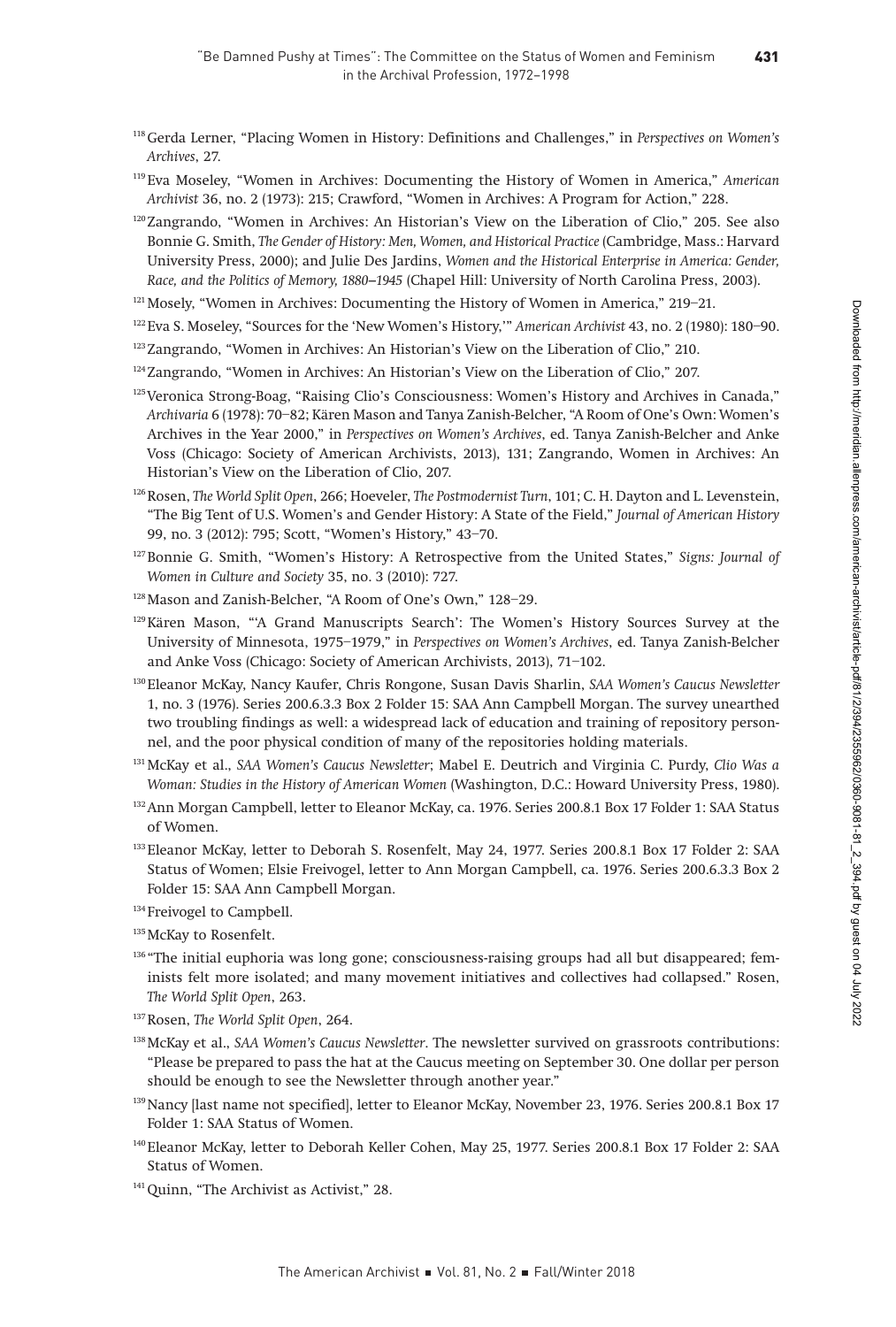431

- <sup>118</sup> Gerda Lerner, "Placing Women in History: Definitions and Challenges," in Perspectives on Women's Archives, 27.
- <sup>119</sup> Eva Moseley, "Women in Archives: Documenting the History of Women in America," American Archivist 36, no. 2 (1973): 215; Crawford, "Women in Archives: A Program for Action," 228.
- $120$ Zangrando, "Women in Archives: An Historian's View on the Liberation of Clio," 205. See also Bonnie G. Smith, The Gender of History: Men, Women, and Historical Practice (Cambridge, Mass.: Harvard University Press, 2000); and Julie Des Jardins, Women and the Historical Enterprise in America: Gender, Race, and the Politics of Memory, 1880–1945 (Chapel Hill: University of North Carolina Press, 2003).
- $121$  Mosely, "Women in Archives: Documenting the History of Women in America," 219–21.
- <sup>122</sup> Eva S. Moseley, "Sources for the 'New Women's History," American Archivist 43, no. 2 (1980): 180–90.
- $123$ Zangrando, "Women in Archives: An Historian's View on the Liberation of Clio," 210.
- $124$ Zangrando, "Women in Archives: An Historian's View on the Liberation of Clio," 207.
- <sup>125</sup>Veronica Strong-Boag, "Raising Clio's Consciousness: Women's History and Archives in Canada," Archivaria 6 (1978): 70–82; Kären Mason and Tanya Zanish-Belcher, "A Room of One's Own: Women's Archives in the Year 2000," in Perspectives on Women's Archives, ed. Tanya Zanish-Belcher and Anke Voss (Chicago: Society of American Archivists, 2013), 131; Zangrando, Women in Archives: An Historian's View on the Liberation of Clio, 207.
- <sup>126</sup> Rosen, The World Split Open, 266; Hoeveler, The Postmodernist Turn, 101; C. H. Dayton and L. Levenstein, "The Big Tent of U.S. Women's and Gender History: A State of the Field," Journal of American History 99, no. 3 (2012): 795; Scott, "Women's History," 43–70.
- <sup>127</sup>Bonnie G. Smith, "Women's History: A Retrospective from the United States," Signs: Journal of Women in Culture and Society 35, no. 3 (2010): 727.
- 128Mason and Zanish-Belcher, "A Room of One's Own," 128–29.
- <sup>129</sup>Kären Mason, "'A Grand Manuscripts Search': The Women's History Sources Survey at the University of Minnesota, 1975–1979," in Perspectives on Women's Archives, ed. Tanya Zanish-Belcher and Anke Voss (Chicago: Society of American Archivists, 2013), 71–102.
- <sup>130</sup> Eleanor McKay, Nancy Kaufer, Chris Rongone, Susan Davis Sharlin, SAA Women's Caucus Newsletter 1, no. 3 (1976). Series 200.6.3.3 Box 2 Folder 15: SAA Ann Campbell Morgan. The survey unearthed two troubling findings as well: a widespread lack of education and training of repository personnel, and the poor physical condition of many of the repositories holding materials.
- <sup>131</sup> McKay et al., SAA Women's Caucus Newsletter; Mabel E. Deutrich and Virginia C. Purdy, Clio Was a Woman: Studies in the History of American Women (Washington, D.C.: Howard University Press, 1980).
- <sup>132</sup> Ann Morgan Campbell, letter to Eleanor McKay, ca. 1976. Series 200.8.1 Box 17 Folder 1: SAA Status of Women.
- <sup>133</sup> Eleanor McKay, letter to Deborah S. Rosenfelt, May 24, 1977. Series 200.8.1 Box 17 Folder 2: SAA Status of Women; Elsie Freivogel, letter to Ann Morgan Campbell, ca. 1976. Series 200.6.3.3 Box 2 Folder 15: SAA Ann Campbell Morgan.
- <sup>134</sup> Freivogel to Campbell.
- 135 McKay to Rosenfelt.
- <sup>136</sup> "The initial euphoria was long gone; consciousness-raising groups had all but disappeared; feminists felt more isolated; and many movement initiatives and collectives had collapsed." Rosen, The World Split Open, 263.
- 137 Rosen, The World Split Open, 264.
- <sup>138</sup> McKay et al., SAA Women's Caucus Newsletter. The newsletter survived on grassroots contributions: "Please be prepared to pass the hat at the Caucus meeting on September 30. One dollar per person should be enough to see the Newsletter through another year."
- <sup>139</sup>Nancy [last name not specified], letter to Eleanor McKay, November 23, 1976. Series 200.8.1 Box 17 Folder 1: SAA Status of Women.
- 140Eleanor McKay, letter to Deborah Keller Cohen, May 25, 1977. Series 200.8.1 Box 17 Folder 2: SAA Status of Women.
- <sup>141</sup> Quinn, "The Archivist as Activist," 28.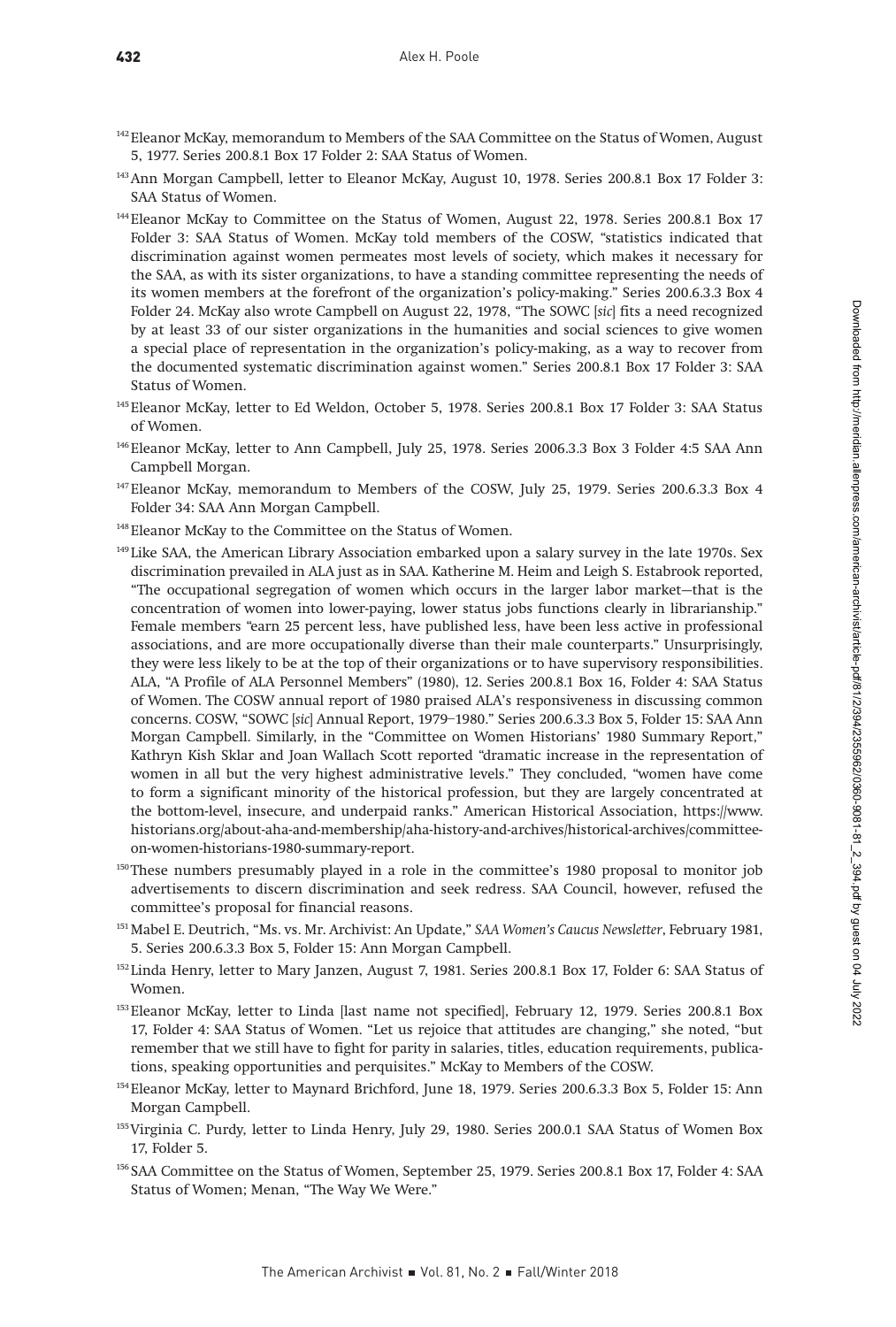- <sup>142</sup> Eleanor McKay, memorandum to Members of the SAA Committee on the Status of Women, August 5, 1977. Series 200.8.1 Box 17 Folder 2: SAA Status of Women.
- 143Ann Morgan Campbell, letter to Eleanor McKay, August 10, 1978. Series 200.8.1 Box 17 Folder 3: SAA Status of Women.
- 144Eleanor McKay to Committee on the Status of Women, August 22, 1978. Series 200.8.1 Box 17 Folder 3: SAA Status of Women. McKay told members of the COSW, "statistics indicated that discrimination against women permeates most levels of society, which makes it necessary for the SAA, as with its sister organizations, to have a standing committee representing the needs of its women members at the forefront of the organization's policy-making." Series 200.6.3.3 Box 4 Folder 24. McKay also wrote Campbell on August 22, 1978, "The SOWC [sic] fits a need recognized by at least 33 of our sister organizations in the humanities and social sciences to give women a special place of representation in the organization's policy-making, as a way to recover from the documented systematic discrimination against women." Series 200.8.1 Box 17 Folder 3: SAA Status of Women.
- <sup>145</sup> Eleanor McKay, letter to Ed Weldon, October 5, 1978. Series 200.8.1 Box 17 Folder 3: SAA Status of Women.
- 146Eleanor McKay, letter to Ann Campbell, July 25, 1978. Series 2006.3.3 Box 3 Folder 4:5 SAA Ann Campbell Morgan.
- <sup>147</sup>Eleanor McKay, memorandum to Members of the COSW, July 25, 1979. Series 200.6.3.3 Box 4 Folder 34: SAA Ann Morgan Campbell.
- 148Eleanor McKay to the Committee on the Status of Women.
- <sup>149</sup> Like SAA, the American Library Association embarked upon a salary survey in the late 1970s. Sex discrimination prevailed in ALA just as in SAA. Katherine M. Heim and Leigh S. Estabrook reported, "The occupational segregation of women which occurs in the larger labor market—that is the concentration of women into lower-paying, lower status jobs functions clearly in librarianship." Female members "earn 25 percent less, have published less, have been less active in professional associations, and are more occupationally diverse than their male counterparts." Unsurprisingly, they were less likely to be at the top of their organizations or to have supervisory responsibilities. ALA, "A Profile of ALA Personnel Members" (1980), 12. Series 200.8.1 Box 16, Folder 4: SAA Status of Women. The COSW annual report of 1980 praised ALA's responsiveness in discussing common concerns. COSW, "SOWC [sic] Annual Report, 1979–1980." Series 200.6.3.3 Box 5, Folder 15: SAA Ann Morgan Campbell. Similarly, in the "Committee on Women Historians' 1980 Summary Report," Kathryn Kish Sklar and Joan Wallach Scott reported "dramatic increase in the representation of women in all but the very highest administrative levels." They concluded, "women have come to form a significant minority of the historical profession, but they are largely concentrated at the bottom-level, insecure, and underpaid ranks." American Historical Association, [https://www.](https://www.historians.org/about-aha-and-membership/aha-history-and-archives/historical-archives/com) [historians.org/about-aha-and-membership/aha-history-and-archives/historical-archives/committee](https://www.historians.org/about-aha-and-membership/aha-history-and-archives/historical-archives/com)[on-women-historians-1980-summary-report](https://www.historians.org/about-aha-and-membership/aha-history-and-archives/historical-archives/com).
- <sup>150</sup>These numbers presumably played in a role in the committee's 1980 proposal to monitor job advertisements to discern discrimination and seek redress. SAA Council, however, refused the committee's proposal for financial reasons.
- 151 Mabel E. Deutrich, "Ms. vs. Mr. Archivist: An Update," SAA Women's Caucus Newsletter, February 1981, 5. Series 200.6.3.3 Box 5, Folder 15: Ann Morgan Campbell.
- <sup>152</sup> Linda Henry, letter to Mary Janzen, August 7, 1981. Series 200.8.1 Box 17, Folder 6: SAA Status of Women.
- <sup>153</sup> Eleanor McKay, letter to Linda [last name not specified], February 12, 1979. Series 200.8.1 Box 17, Folder 4: SAA Status of Women. "Let us rejoice that attitudes are changing," she noted, "but remember that we still have to fight for parity in salaries, titles, education requirements, publications, speaking opportunities and perquisites." McKay to Members of the COSW.
- <sup>154</sup>Eleanor McKay, letter to Maynard Brichford, June 18, 1979. Series 200.6.3.3 Box 5, Folder 15: Ann Morgan Campbell.
- <sup>155</sup> Virginia C. Purdy, letter to Linda Henry, July 29, 1980. Series 200.0.1 SAA Status of Women Box 17, Folder 5.
- <sup>156</sup> SAA Committee on the Status of Women, September 25, 1979. Series 200.8.1 Box 17, Folder 4: SAA Status of Women; Menan, "The Way We Were."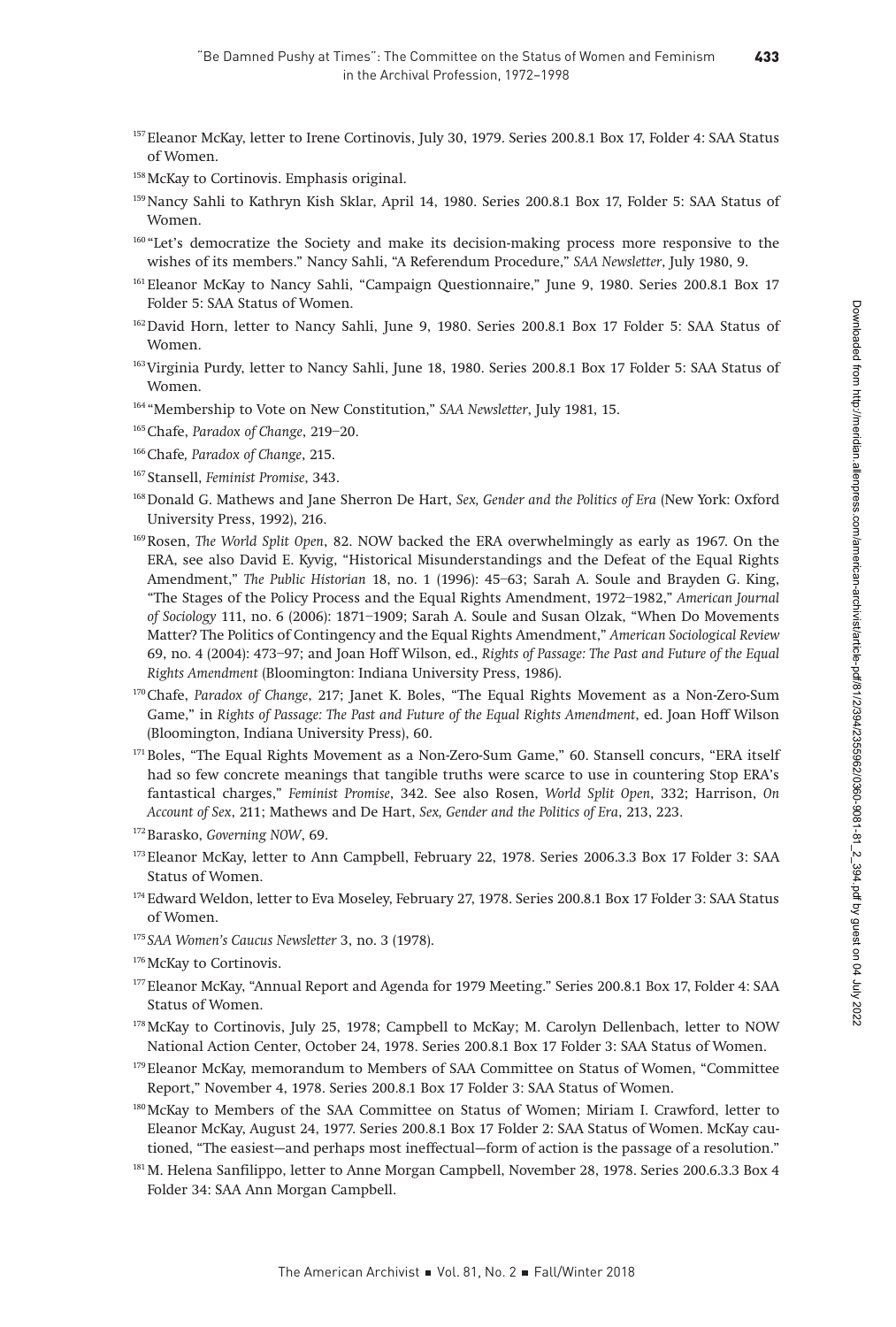- <sup>157</sup>Eleanor McKay, letter to Irene Cortinovis, July 30, 1979. Series 200.8.1 Box 17, Folder 4: SAA Status of Women.
- 158 McKay to Cortinovis. Emphasis original.
- 159Nancy Sahli to Kathryn Kish Sklar, April 14, 1980. Series 200.8.1 Box 17, Folder 5: SAA Status of Women.
- <sup>160</sup> "Let's democratize the Society and make its decision-making process more responsive to the wishes of its members." Nancy Sahli, "A Referendum Procedure," SAA Newsletter, July 1980, 9.
- <sup>161</sup> Eleanor McKay to Nancy Sahli, "Campaign Questionnaire," June 9, 1980. Series 200.8.1 Box 17 Folder 5: SAA Status of Women.
- <sup>162</sup> David Horn, letter to Nancy Sahli, June 9, 1980. Series 200.8.1 Box 17 Folder 5: SAA Status of Women.
- <sup>163</sup> Virginia Purdy, letter to Nancy Sahli, June 18, 1980. Series 200.8.1 Box 17 Folder 5: SAA Status of Women.
- <sup>164</sup> "Membership to Vote on New Constitution," SAA Newsletter, July 1981, 15.
- 165 Chafe, Paradox of Change, 219-20.
- <sup>166</sup>Chafe, Paradox of Change, 215.
- <sup>167</sup> Stansell, Feminist Promise, 343.
- <sup>168</sup> Donald G. Mathews and Jane Sherron De Hart, Sex, Gender and the Politics of Era (New York: Oxford University Press, 1992), 216.
- <sup>169</sup>Rosen, The World Split Open, 82. NOW backed the ERA overwhelmingly as early as 1967. On the ERA, see also David E. Kyvig, "Historical Misunderstandings and the Defeat of the Equal Rights Amendment," The Public Historian 18, no. 1 (1996): 45–63; Sarah A. Soule and Brayden G. King, "The Stages of the Policy Process and the Equal Rights Amendment, 1972–1982," American Journal of Sociology 111, no. 6 (2006): 1871–1909; Sarah A. Soule and Susan Olzak, "When Do Movements Matter? The Politics of Contingency and the Equal Rights Amendment," American Sociological Review 69, no. 4 (2004): 473–97; and Joan Hoff Wilson, ed., Rights of Passage: The Past and Future of the Equal Rights Amendment (Bloomington: Indiana University Press, 1986).
- $170$ Chafe, Paradox of Change, 217; Janet K. Boles, "The Equal Rights Movement as a Non-Zero-Sum Game," in Rights of Passage: The Past and Future of the Equal Rights Amendment, ed. Joan Hoff Wilson (Bloomington, Indiana University Press), 60.
- <sup>171</sup> Boles, "The Equal Rights Movement as a Non-Zero-Sum Game," 60. Stansell concurs, "ERA itself had so few concrete meanings that tangible truths were scarce to use in countering Stop ERA's fantastical charges," Feminist Promise, 342. See also Rosen, World Split Open, 332; Harrison, On Account of Sex, 211; Mathews and De Hart, Sex, Gender and the Politics of Era, 213, 223.
- 172Barasko, Governing NOW, 69.
- 173Eleanor McKay, letter to Ann Campbell, February 22, 1978. Series 2006.3.3 Box 17 Folder 3: SAA Status of Women.
- <sup>174</sup> Edward Weldon, letter to Eva Moseley, February 27, 1978. Series 200.8.1 Box 17 Folder 3: SAA Status of Women.
- 175 SAA Women's Caucus Newsletter 3, no. 3 (1978).
- 176 McKay to Cortinovis.
- 177Eleanor McKay, "Annual Report and Agenda for 1979 Meeting." Series 200.8.1 Box 17, Folder 4: SAA Status of Women.
- <sup>178</sup>McKay to Cortinovis, July 25, 1978; Campbell to McKay; M. Carolyn Dellenbach, letter to NOW National Action Center, October 24, 1978. Series 200.8.1 Box 17 Folder 3: SAA Status of Women.
- <sup>179</sup>Eleanor McKay, memorandum to Members of SAA Committee on Status of Women, "Committee Report," November 4, 1978. Series 200.8.1 Box 17 Folder 3: SAA Status of Women.
- 180McKay to Members of the SAA Committee on Status of Women; Miriam I. Crawford, letter to Eleanor McKay, August 24, 1977. Series 200.8.1 Box 17 Folder 2: SAA Status of Women. McKay cautioned, "The easiest—and perhaps most ineffectual—form of action is the passage of a resolution."
- 181 M. Helena Sanfilippo, letter to Anne Morgan Campbell, November 28, 1978. Series 200.6.3.3 Box 4 Folder 34: SAA Ann Morgan Campbell.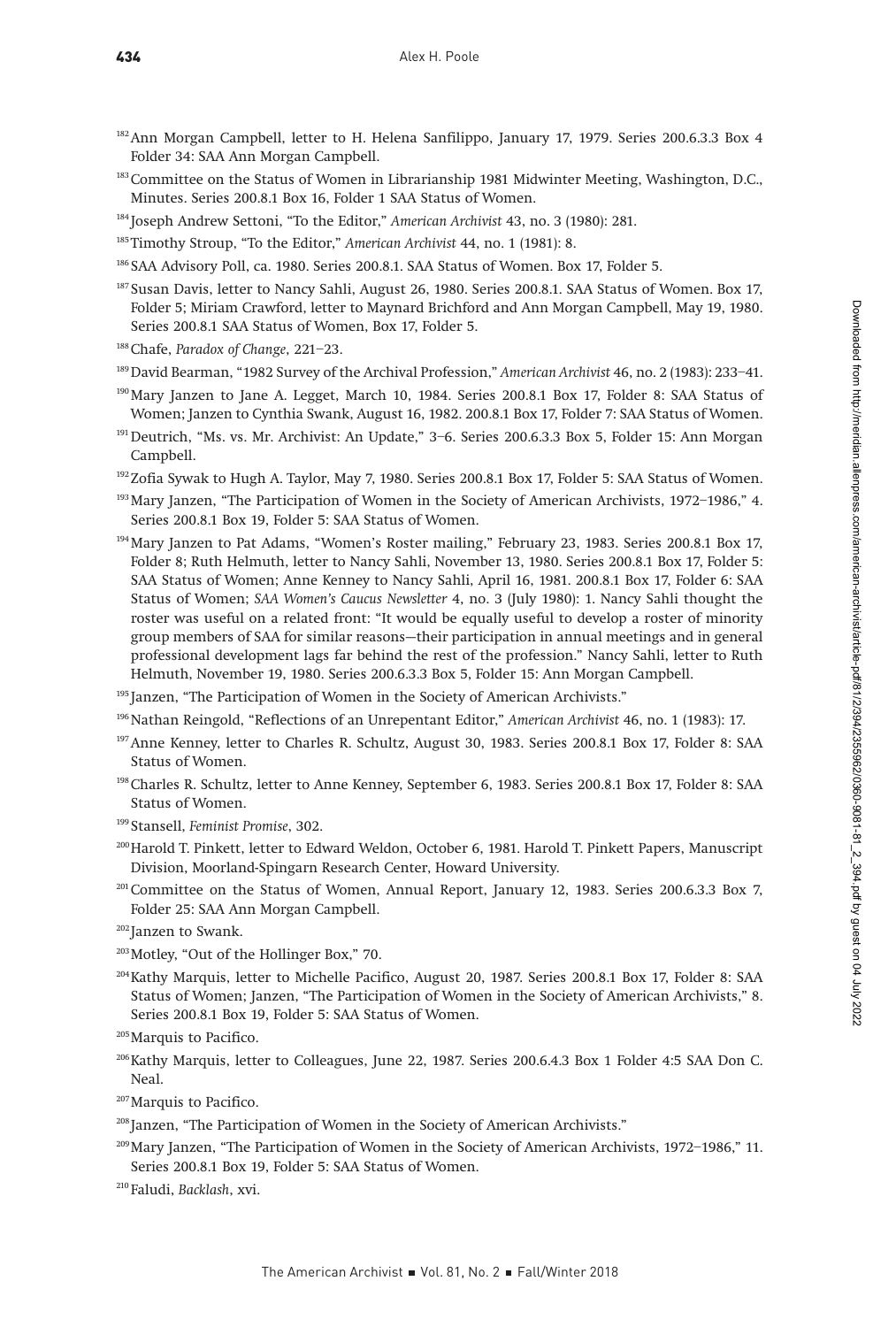- <sup>182</sup>Ann Morgan Campbell, letter to H. Helena Sanfilippo, January 17, 1979. Series 200.6.3.3 Box 4 Folder 34: SAA Ann Morgan Campbell.
- <sup>183</sup> Committee on the Status of Women in Librarianship 1981 Midwinter Meeting, Washington, D.C., Minutes. Series 200.8.1 Box 16, Folder 1 SAA Status of Women.
- <sup>184</sup> Joseph Andrew Settoni, "To the Editor," American Archivist 43, no. 3 (1980): 281.
- <sup>185</sup>Timothy Stroup, "To the Editor," American Archivist 44, no. 1 (1981): 8.
- <sup>186</sup> SAA Advisory Poll, ca. 1980. Series 200.8.1. SAA Status of Women. Box 17, Folder 5.
- 187 Susan Davis, letter to Nancy Sahli, August 26, 1980. Series 200.8.1. SAA Status of Women. Box 17, Folder 5; Miriam Crawford, letter to Maynard Brichford and Ann Morgan Campbell, May 19, 1980. Series 200.8.1 SAA Status of Women, Box 17, Folder 5.
- 188 Chafe, Paradox of Change, 221-23.
- 189David Bearman, "1982 Survey of the Archival Profession," American Archivist 46, no. 2 (1983): 233–41.
- 190Mary Janzen to Jane A. Legget, March 10, 1984. Series 200.8.1 Box 17, Folder 8: SAA Status of Women; Janzen to Cynthia Swank, August 16, 1982. 200.8.1 Box 17, Folder 7: SAA Status of Women.
- <sup>191</sup> Deutrich, "Ms. vs. Mr. Archivist: An Update," 3-6. Series 200.6.3.3 Box 5, Folder 15: Ann Morgan Campbell.
- <sup>192</sup>Zofia Sywak to Hugh A. Taylor, May 7, 1980. Series 200.8.1 Box 17, Folder 5: SAA Status of Women.
- <sup>193</sup> Mary Janzen, "The Participation of Women in the Society of American Archivists, 1972-1986," 4. Series 200.8.1 Box 19, Folder 5: SAA Status of Women.
- 194Mary Janzen to Pat Adams, "Women's Roster mailing," February 23, 1983. Series 200.8.1 Box 17, Folder 8; Ruth Helmuth, letter to Nancy Sahli, November 13, 1980. Series 200.8.1 Box 17, Folder 5: SAA Status of Women; Anne Kenney to Nancy Sahli, April 16, 1981. 200.8.1 Box 17, Folder 6: SAA Status of Women; SAA Women's Caucus Newsletter 4, no. 3 (July 1980): 1. Nancy Sahli thought the roster was useful on a related front: "It would be equally useful to develop a roster of minority group members of SAA for similar reasons—their participation in annual meetings and in general professional development lags far behind the rest of the profession." Nancy Sahli, letter to Ruth Helmuth, November 19, 1980. Series 200.6.3.3 Box 5, Folder 15: Ann Morgan Campbell.
- <sup>195</sup> Janzen, "The Participation of Women in the Society of American Archivists."
- <sup>196</sup> Nathan Reingold, "Reflections of an Unrepentant Editor," American Archivist 46, no. 1 (1983): 17.
- 197Anne Kenney, letter to Charles R. Schultz, August 30, 1983. Series 200.8.1 Box 17, Folder 8: SAA Status of Women.
- 198Charles R. Schultz, letter to Anne Kenney, September 6, 1983. Series 200.8.1 Box 17, Folder 8: SAA Status of Women.
- <sup>199</sup> Stansell, Feminist Promise, 302.
- 200Harold T. Pinkett, letter to Edward Weldon, October 6, 1981. Harold T. Pinkett Papers, Manuscript Division, Moorland-Spingarn Research Center, Howard University.
- <sup>201</sup> Committee on the Status of Women, Annual Report, January 12, 1983. Series 200.6.3.3 Box 7, Folder 25: SAA Ann Morgan Campbell.
- <sup>202</sup>Janzen to Swank.
- 203Motley, "Out of the Hollinger Box," 70.
- 204Kathy Marquis, letter to Michelle Pacifico, August 20, 1987. Series 200.8.1 Box 17, Folder 8: SAA Status of Women; Janzen, "The Participation of Women in the Society of American Archivists," 8. Series 200.8.1 Box 19, Folder 5: SAA Status of Women.
- <sup>205</sup>Marquis to Pacifico.
- 206Kathy Marquis, letter to Colleagues, June 22, 1987. Series 200.6.4.3 Box 1 Folder 4:5 SAA Don C. Neal.
- <sup>207</sup>Marquis to Pacifico.
- <sup>208</sup> Janzen, "The Participation of Women in the Society of American Archivists."
- 209Mary Janzen, "The Participation of Women in the Society of American Archivists, 1972–1986," 11. Series 200.8.1 Box 19, Folder 5: SAA Status of Women.
- <sup>210</sup> Faludi, Backlash, xvi.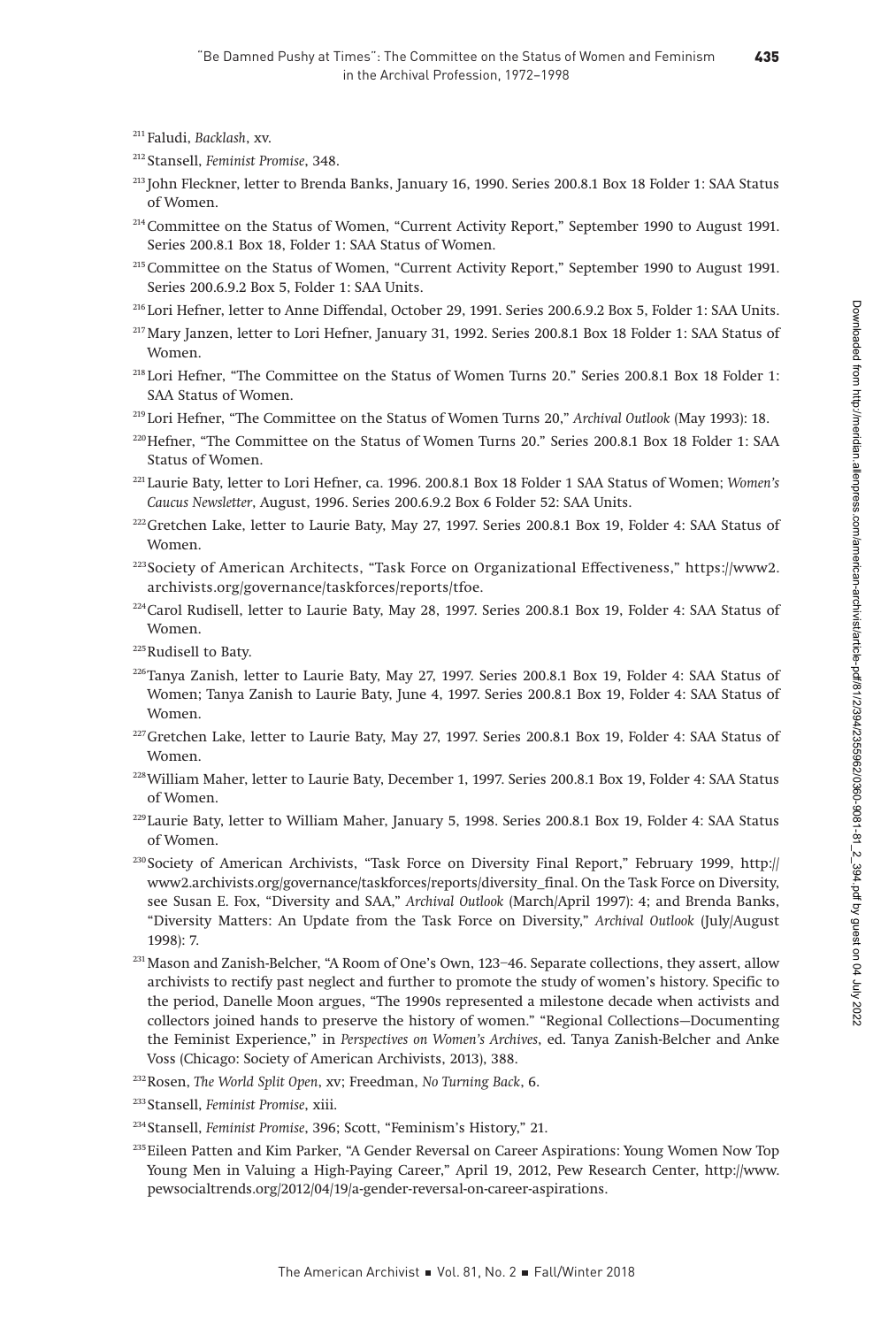<sup>211</sup> Faludi, Backlash, xv.

- <sup>212</sup> Stansell, Feminist Promise, 348.
- <sup>213</sup> John Fleckner, letter to Brenda Banks, January 16, 1990. Series 200.8.1 Box 18 Folder 1: SAA Status of Women.
- <sup>214</sup> Committee on the Status of Women, "Current Activity Report," September 1990 to August 1991. Series 200.8.1 Box 18, Folder 1: SAA Status of Women.
- <sup>215</sup> Committee on the Status of Women, "Current Activity Report," September 1990 to August 1991. Series 200.6.9.2 Box 5, Folder 1: SAA Units.
- <sup>216</sup> Lori Hefner, letter to Anne Diffendal, October 29, 1991. Series 200.6.9.2 Box 5, Folder 1: SAA Units.
- 217Mary Janzen, letter to Lori Hefner, January 31, 1992. Series 200.8.1 Box 18 Folder 1: SAA Status of Women.
- <sup>218</sup> Lori Hefner, "The Committee on the Status of Women Turns 20." Series 200.8.1 Box 18 Folder 1: SAA Status of Women.
- <sup>219</sup> Lori Hefner, "The Committee on the Status of Women Turns 20," Archival Outlook (May 1993): 18.
- <sup>220</sup>Hefner, "The Committee on the Status of Women Turns 20." Series 200.8.1 Box 18 Folder 1: SAA Status of Women.
- <sup>221</sup> Laurie Baty, letter to Lori Hefner, ca. 1996. 200.8.1 Box 18 Folder 1 SAA Status of Women; Women's Caucus Newsletter, August, 1996. Series 200.6.9.2 Box 6 Folder 52: SAA Units.
- 222Gretchen Lake, letter to Laurie Baty, May 27, 1997. Series 200.8.1 Box 19, Folder 4: SAA Status of Women.
- 223Society of American Architects, "Task Force on Organizational Effectiveness," [https://www2.](https://www2.archivists.org/governance/taskforces/reports/tfoe) [archivists.org/governance/taskforces/reports/tfoe](https://www2.archivists.org/governance/taskforces/reports/tfoe).
- $224$ Carol Rudisell, letter to Laurie Baty, May 28, 1997. Series 200.8.1 Box 19, Folder 4: SAA Status of Women.
- 225Rudisell to Baty.
- $226$ Tanya Zanish, letter to Laurie Baty, May 27, 1997. Series 200.8.1 Box 19, Folder 4: SAA Status of Women; Tanya Zanish to Laurie Baty, June 4, 1997. Series 200.8.1 Box 19, Folder 4: SAA Status of Women.
- 227Gretchen Lake, letter to Laurie Baty, May 27, 1997. Series 200.8.1 Box 19, Folder 4: SAA Status of Women.
- 228William Maher, letter to Laurie Baty, December 1, 1997. Series 200.8.1 Box 19, Folder 4: SAA Status of Women.
- <sup>229</sup> Laurie Baty, letter to William Maher, January 5, 1998. Series 200.8.1 Box 19, Folder 4: SAA Status of Women.
- <sup>230</sup> Society of American Archivists, "Task Force on Diversity Final Report," February 1999, [http://](http://www2.archivists.org/governance/taskforces/reports/diversity_final) [www2.archivists.org/governance/taskforces/reports/diversity\\_final.](http://www2.archivists.org/governance/taskforces/reports/diversity_final) On the Task Force on Diversity, see Susan E. Fox, "Diversity and SAA," Archival Outlook (March/April 1997): 4; and Brenda Banks, "Diversity Matters: An Update from the Task Force on Diversity," Archival Outlook (July/August 1998): 7.
- 231Mason and Zanish-Belcher, "A Room of One's Own, 123–46. Separate collections, they assert, allow archivists to rectify past neglect and further to promote the study of women's history. Specific to the period, Danelle Moon argues, "The 1990s represented a milestone decade when activists and collectors joined hands to preserve the history of women." "Regional Collections—Documenting the Feminist Experience," in Perspectives on Women's Archives, ed. Tanya Zanish-Belcher and Anke Voss (Chicago: Society of American Archivists, 2013), 388.
- <sup>232</sup>Rosen, The World Split Open, xv; Freedman, No Turning Back, 6.
- <sup>233</sup> Stansell, Feminist Promise, xiii.
- <sup>234</sup> Stansell, Feminist Promise, 396; Scott, "Feminism's History," 21.
- 235Eileen Patten and Kim Parker, "A Gender Reversal on Career Aspirations: Young Women Now Top Young Men in Valuing a High-Paying Career," April 19, 2012, Pew Research Center, [http://www.](http://www.pewsocialtrends.org/2012/04/19/a-gender-reversal-on-career-aspirations) [pewsocialtrends.org/2012/04/19/a-gender-reversal-on-career-aspirations](http://www.pewsocialtrends.org/2012/04/19/a-gender-reversal-on-career-aspirations).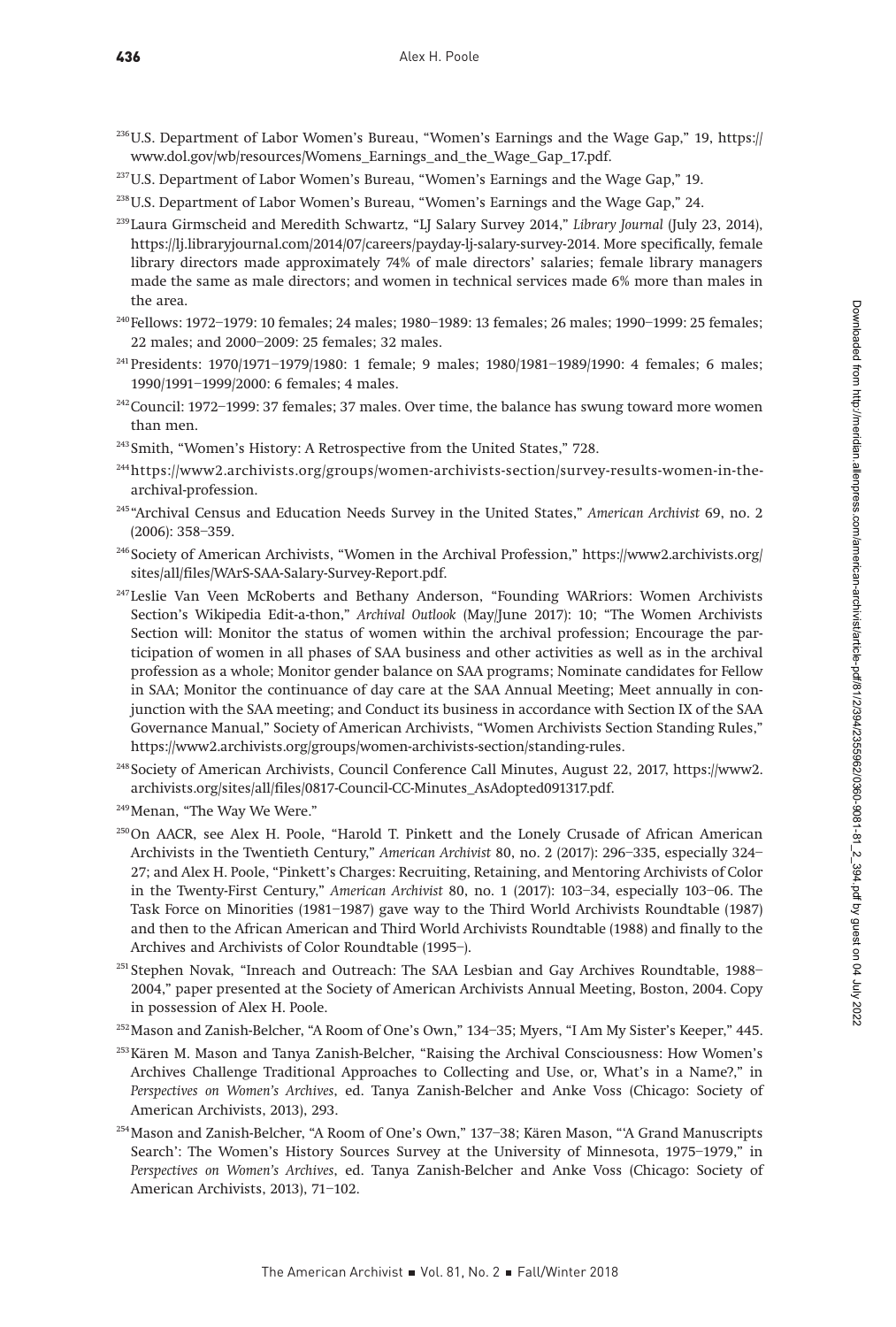- 236U.S. Department of Labor Women's Bureau, "Women's Earnings and the Wage Gap," 19, [https://](https://www.dol.gov/wb/resources/Womens_Earnings_and_the_Wage_Gap_17.pdf) [www.dol.gov/wb/resources/Womens\\_Earnings\\_and\\_the\\_Wage\\_Gap\\_17.pdf](https://www.dol.gov/wb/resources/Womens_Earnings_and_the_Wage_Gap_17.pdf).
- <sup>237</sup>U.S. Department of Labor Women's Bureau, "Women's Earnings and the Wage Gap," 19.
- <sup>238</sup>U.S. Department of Labor Women's Bureau, "Women's Earnings and the Wage Gap," 24.
- <sup>239</sup> Laura Girmscheid and Meredith Schwartz, "LJ Salary Survey 2014," Library Journal (July 23, 2014), [https://lj.libraryjournal.com/2014/07/careers/payday-lj-salary-survey-2014.](https://lj.libraryjournal.com/2014/07/careers/payday-lj-salary-survey-2014) More specifically, female library directors made approximately 74% of male directors' salaries; female library managers made the same as male directors; and women in technical services made 6% more than males in the area.
- <sup>240</sup> Fellows: 1972–1979: 10 females; 24 males; 1980–1989: 13 females; 26 males; 1990–1999: 25 females; 22 males; and 2000–2009: 25 females; 32 males.
- 241Presidents: 1970/1971–1979/1980: 1 female; 9 males; 1980/1981–1989/1990: 4 females; 6 males; 1990/1991–1999/2000: 6 females; 4 males.
- 242Council: 1972–1999: 37 females; 37 males. Over time, the balance has swung toward more women than men.
- <sup>243</sup> Smith, "Women's History: A Retrospective from the United States," 728.
- 244[https://www2.archivists.org/groups/women-archivists-section/survey-results-women-in-the](https://www2.archivists.org/groups/women-archivists-section/survey-results-women-in-the-archival-pro)[archival-profession.](https://www2.archivists.org/groups/women-archivists-section/survey-results-women-in-the-archival-pro)
- <sup>245</sup> "Archival Census and Education Needs Survey in the United States," American Archivist 69, no. 2 (2006): 358–359.
- <sup>246</sup> Society of American Archivists, "Women in the Archival Profession," [https://www2.archivists.org/](https://www2.archivists.org/sites/all/files/WArS-SAA-Salary-Survey-Report.pdf) [sites/all/files/WArS-SAA-Salary-Survey-Report.pdf.](https://www2.archivists.org/sites/all/files/WArS-SAA-Salary-Survey-Report.pdf)
- <sup>247</sup> Leslie Van Veen McRoberts and Bethany Anderson, "Founding WARriors: Women Archivists Section's Wikipedia Edit-a-thon," Archival Outlook (May/June 2017): 10; "The Women Archivists Section will: Monitor the status of women within the archival profession; Encourage the participation of women in all phases of SAA business and other activities as well as in the archival profession as a whole; Monitor gender balance on SAA programs; Nominate candidates for Fellow in SAA; Monitor the continuance of day care at the SAA Annual Meeting; Meet annually in conjunction with the SAA meeting; and Conduct its business in accordance with Section IX of the SAA Governance Manual," Society of American Archivists, "Women Archivists Section Standing Rules," <https://www2.archivists.org/groups/women-archivists-section/standing-rules>.
- <sup>248</sup> Society of American Archivists, Council Conference Call Minutes, August 22, 2017, [https://www2.](https://www2.archivists.org/sites/all/files/0817-Council-CC-Minutes_AsAdopted091317.pdf) [archivists.org/sites/all/files/0817-Council-CC-Minutes\\_AsAdopted091317.pdf](https://www2.archivists.org/sites/all/files/0817-Council-CC-Minutes_AsAdopted091317.pdf).
- <sup>249</sup>Menan, "The Way We Were."
- 250On AACR, see Alex H. Poole, "Harold T. Pinkett and the Lonely Crusade of African American Archivists in the Twentieth Century," American Archivist 80, no. 2 (2017): 296–335, especially 324– 27; and Alex H. Poole, "Pinkett's Charges: Recruiting, Retaining, and Mentoring Archivists of Color in the Twenty-First Century," American Archivist 80, no. 1 (2017): 103–34, especially 103–06. The Task Force on Minorities (1981–1987) gave way to the Third World Archivists Roundtable (1987) and then to the African American and Third World Archivists Roundtable (1988) and finally to the Archives and Archivists of Color Roundtable (1995–).
- <sup>251</sup> Stephen Novak, "Inreach and Outreach: The SAA Lesbian and Gay Archives Roundtable, 1988– 2004," paper presented at the Society of American Archivists Annual Meeting, Boston, 2004. Copy in possession of Alex H. Poole.
- 252Mason and Zanish-Belcher, "A Room of One's Own," 134–35; Myers, "I Am My Sister's Keeper," 445.
- 253Kären M. Mason and Tanya Zanish-Belcher, "Raising the Archival Consciousness: How Women's Archives Challenge Traditional Approaches to Collecting and Use, or, What's in a Name?," in Perspectives on Women's Archives, ed. Tanya Zanish-Belcher and Anke Voss (Chicago: Society of American Archivists, 2013), 293.
- 254Mason and Zanish-Belcher, "A Room of One's Own," 137–38; Kären Mason, "'A Grand Manuscripts Search': The Women's History Sources Survey at the University of Minnesota, 1975–1979," in Perspectives on Women's Archives, ed. Tanya Zanish-Belcher and Anke Voss (Chicago: Society of American Archivists, 2013), 71–102.